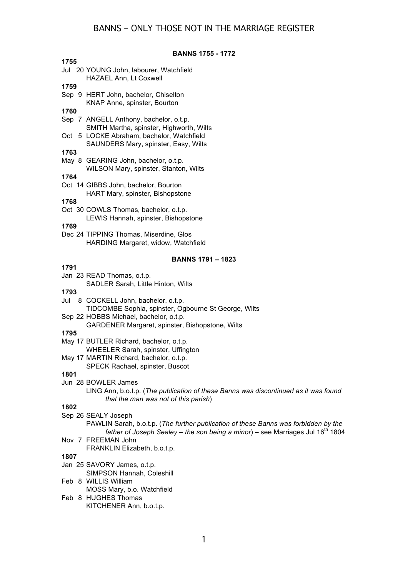| <b>BANNS 1755 - 1772</b> |                                                                                     |  |
|--------------------------|-------------------------------------------------------------------------------------|--|
| 1755                     |                                                                                     |  |
|                          | Jul 20 YOUNG John, labourer, Watchfield                                             |  |
|                          | <b>HAZAEL Ann, Lt Coxwell</b>                                                       |  |
| 1759                     |                                                                                     |  |
|                          | Sep 9 HERT John, bachelor, Chiselton                                                |  |
|                          | KNAP Anne, spinster, Bourton                                                        |  |
| 1760                     |                                                                                     |  |
|                          | Sep 7 ANGELL Anthony, bachelor, o.t.p.                                              |  |
|                          | SMITH Martha, spinster, Highworth, Wilts                                            |  |
|                          | Oct 5 LOCKE Abraham, bachelor, Watchfield                                           |  |
|                          | SAUNDERS Mary, spinster, Easy, Wilts                                                |  |
| 1763                     |                                                                                     |  |
|                          | May 8 GEARING John, bachelor, o.t.p.                                                |  |
|                          | WILSON Mary, spinster, Stanton, Wilts                                               |  |
| 1764                     |                                                                                     |  |
|                          | Oct 14 GIBBS John, bachelor, Bourton                                                |  |
|                          | HART Mary, spinster, Bishopstone                                                    |  |
| 1768                     |                                                                                     |  |
|                          | Oct 30 COWLS Thomas, bachelor, o.t.p.                                               |  |
|                          | LEWIS Hannah, spinster, Bishopstone                                                 |  |
| 1769                     |                                                                                     |  |
|                          | Dec 24 TIPPING Thomas, Miserdine, Glos                                              |  |
|                          | HARDING Margaret, widow, Watchfield                                                 |  |
|                          |                                                                                     |  |
|                          | <b>BANNS 1791 - 1823</b>                                                            |  |
| 1791                     |                                                                                     |  |
|                          | Jan 23 READ Thomas, o.t.p.                                                          |  |
|                          | SADLER Sarah, Little Hinton, Wilts                                                  |  |
| 1793                     |                                                                                     |  |
|                          | Jul 8 COCKELL John, bachelor, o.t.p.                                                |  |
|                          | TIDCOMBE Sophia, spinster, Ogbourne St George, Wilts                                |  |
|                          | Sep 22 HOBBS Michael, bachelor, o.t.p.                                              |  |
|                          | GARDENER Margaret, spinster, Bishopstone, Wilts                                     |  |
| 1795                     |                                                                                     |  |
|                          | May 17 BUTLER Richard, bachelor, o.t.p.                                             |  |
|                          | WHEELER Sarah, spinster, Uffington                                                  |  |
|                          | May 17 MARTIN Richard, bachelor, o.t.p.                                             |  |
|                          | SPECK Rachael, spinster, Buscot                                                     |  |
| 1801                     |                                                                                     |  |
|                          | Jun 28 BOWLER James                                                                 |  |
|                          | LING Ann, b.o.t.p. (The publication of these Banns was discontinued as it was found |  |
|                          | that the man was not of this parish)                                                |  |
| 1802                     |                                                                                     |  |
|                          | Sep 26 SEALY Joseph                                                                 |  |
|                          | PAWLIN Sarah, b.o.t.p. (The further publication of these Banns was forbidden by the |  |
|                          | father of Joseph Sealey – the son being a minor) – see Marriages Jul $16m$ 1804     |  |
|                          | Nov 7 FREEMAN John                                                                  |  |
|                          | FRANKLIN Elizabeth, b.o.t.p.                                                        |  |
| 1807                     |                                                                                     |  |
|                          | Jan 25 SAVORY James, o.t.p.                                                         |  |
|                          | SIMPSON Hannah, Coleshill                                                           |  |
|                          | Feb 8 WILLIS William                                                                |  |
|                          | MOSS Mary, b.o. Watchfield                                                          |  |
|                          | Feb 8 HUGHES Thomas                                                                 |  |
|                          | KITCHENER Ann, b.o.t.p.                                                             |  |
|                          |                                                                                     |  |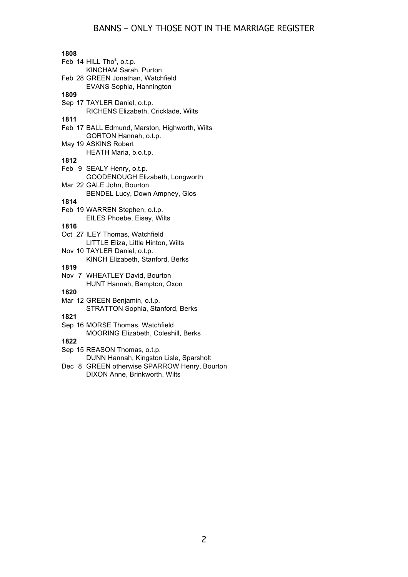| 1808                                          |
|-----------------------------------------------|
| Feb 14 HILL Tho <sup>s</sup> , o.t.p.         |
| KINCHAM Sarah, Purton                         |
| Feb 28 GREEN Jonathan, Watchfield             |
| EVANS Sophia, Hannington                      |
| 1809                                          |
| Sep 17 TAYLER Daniel, o.t.p.                  |
| RICHENS Elizabeth, Cricklade, Wilts           |
| 1811                                          |
| Feb 17 BALL Edmund, Marston, Highworth, Wilts |
| GORTON Hannah, o.t.p.                         |
| May 19 ASKINS Robert                          |
| HEATH Maria, b.o.t.p.                         |
| 1812                                          |
| Feb 9 SEALY Henry, o.t.p.                     |
| GOODENOUGH Elizabeth, Longworth               |
| Mar 22 GALE John, Bourton                     |
| BENDEL Lucy, Down Ampney, Glos                |
| 1814                                          |
| Feb 19 WARREN Stephen, o.t.p.                 |
| EILES Phoebe, Eisey, Wilts                    |
| 1816                                          |
| Oct 27 ILEY Thomas, Watchfield                |
| LITTLE Eliza, Little Hinton, Wilts            |
| Nov 10 TAYLER Daniel, o.t.p.                  |
| KINCH Elizabeth, Stanford, Berks              |
| 1819                                          |
| Nov 7 WHEATLEY David, Bourton                 |
| HUNT Hannah, Bampton, Oxon                    |
| 1820                                          |
| Mar 12 GREEN Benjamin, o.t.p.                 |
| STRATTON Sophia, Stanford, Berks              |
| 1821                                          |
| Sep 16 MORSE Thomas, Watchfield               |
| MOORING Elizabeth, Coleshill, Berks           |
| 1822                                          |
| Sep 15 REASON Thomas, o.t.p.                  |
| DUNN Hannah, Kingston Lisle, Sparsholt        |
| Dec 8 GREEN otherwise SPARROW Henry, Bourton  |
| DIXON Anne, Brinkworth, Wilts                 |
|                                               |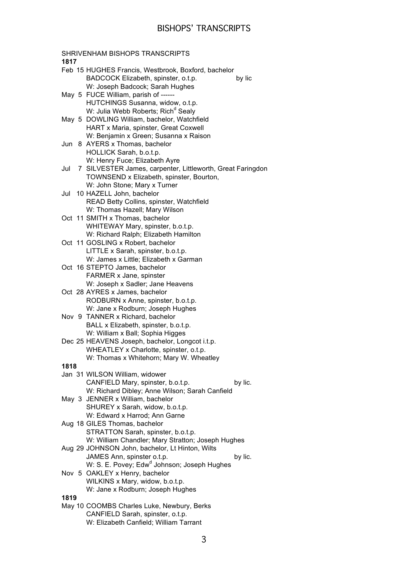| SHRIVENHAM BISHOPS TRANSCRIPTS                                    |
|-------------------------------------------------------------------|
| 1817                                                              |
| Feb 15 HUGHES Francis, Westbrook, Boxford, bachelor               |
| BADCOCK Elizabeth, spinster, o.t.p.<br>by lic                     |
| W: Joseph Badcock; Sarah Hughes                                   |
| May 5 FUCE William, parish of ------                              |
| HUTCHINGS Susanna, widow, o.t.p.                                  |
| W: Julia Webb Roberts; Rich <sup>d</sup> Sealy                    |
| May 5 DOWLING William, bachelor, Watchfield                       |
| HART x Maria, spinster, Great Coxwell                             |
| W: Benjamin x Green; Susanna x Raison                             |
| Jun 8 AYERS x Thomas, bachelor                                    |
|                                                                   |
| HOLLICK Sarah, b.o.t.p.                                           |
| W: Henry Fuce; Elizabeth Ayre                                     |
| 7 SILVESTER James, carpenter, Littleworth, Great Faringdon<br>Jul |
| TOWNSEND x Elizabeth, spinster, Bourton,                          |
| W: John Stone; Mary x Turner                                      |
| 10 HAZELL John, bachelor<br>Jul                                   |
| READ Betty Collins, spinster, Watchfield                          |
| W: Thomas Hazell; Mary Wilson                                     |
| Oct 11 SMITH x Thomas, bachelor                                   |
| WHITEWAY Mary, spinster, b.o.t.p.                                 |
| W: Richard Ralph; Elizabeth Hamilton                              |
| Oct 11 GOSLING x Robert, bachelor                                 |
| LITTLE x Sarah, spinster, b.o.t.p.                                |
| W: James x Little; Elizabeth x Garman                             |
| Oct 16 STEPTO James, bachelor                                     |
| FARMER x Jane, spinster                                           |
| W: Joseph x Sadler; Jane Heavens                                  |
| Oct 28 AYRES x James, bachelor                                    |
| RODBURN x Anne, spinster, b.o.t.p.                                |
| W: Jane x Rodburn; Joseph Hughes                                  |
| Nov 9 TANNER x Richard, bachelor                                  |
| BALL x Elizabeth, spinster, b.o.t.p.                              |
| W: William x Ball; Sophia Higges                                  |
| Dec 25 HEAVENS Joseph, bachelor, Longcot i.t.p.                   |
| WHEATLEY x Charlotte, spinster, o.t.p.                            |
| W: Thomas x Whitehorn; Mary W. Wheatley                           |
| 1818                                                              |
| Jan 31 WILSON William, widower                                    |
| CANFIELD Mary, spinster, b.o.t.p.<br>by lic.                      |
| W: Richard Dibley; Anne Wilson; Sarah Canfield                    |
| May 3 JENNER x William, bachelor                                  |
| SHUREY x Sarah, widow, b.o.t.p.                                   |
| W: Edward x Harrod; Ann Garne                                     |
| Aug 18 GILES Thomas, bachelor                                     |
| STRATTON Sarah, spinster, b.o.t.p.                                |
| W: William Chandler; Mary Stratton; Joseph Hughes                 |
| Aug 29 JOHNSON John, bachelor, Lt Hinton, Wilts                   |
| JAMES Ann, spinster o.t.p.<br>by lic.                             |
| W: S. E. Povey; Edw <sup>d</sup> Johnson; Joseph Hughes           |
| Nov 5 OAKLEY x Henry, bachelor                                    |
| WILKINS x Mary, widow, b.o.t.p.                                   |
| W: Jane x Rodburn; Joseph Hughes                                  |
| 1819                                                              |
| May 10 COOMBS Charles Luke, Newbury, Berks                        |
| CANFIELD Sarah, spinster, o.t.p.                                  |
| W: Elizabeth Canfield; William Tarrant                            |
|                                                                   |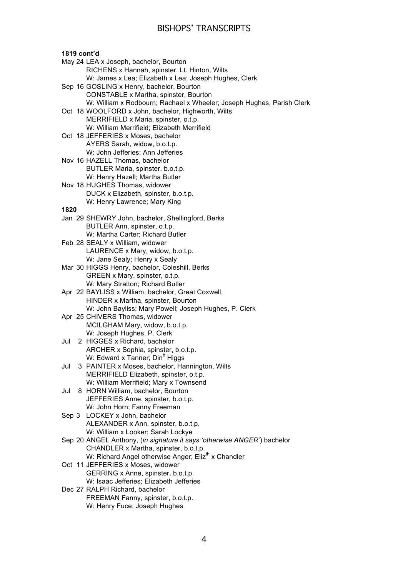### **1819 cont'd**

- May 24 LEA x Joseph, bachelor, Bourton RICHENS x Hannah, spinster, Lt. Hinton, Wilts W: James x Lea; Elizabeth x Lea; Joseph Hughes, Clerk Sep 16 GOSLING x Henry, bachelor, Bourton CONSTABLE x Martha, spinster, Bourton W: William x Rodbourn; Rachael x Wheeler; Joseph Hughes, Parish Clerk Oct 18 WOOLFORD x John, bachelor, Highworth, Wilts MERRIFIELD x Maria, spinster, o.t.p. W: William Merrifield; Elizabeth Merrifield Oct 18 JEFFERIES x Moses, bachelor AYERS Sarah, widow, b.o.t.p. W: John Jefferies; Ann Jefferies Nov 16 HAZELL Thomas, bachelor BUTLER Maria, spinster, b.o.t.p. W: Henry Hazell; Martha Butler Nov 18 HUGHES Thomas, widower DUCK x Elizabeth, spinster, b.o.t.p. W: Henry Lawrence; Mary King **1820** Jan 29 SHEWRY John, bachelor, Shellingford, Berks BUTLER Ann, spinster, o.t.p. W: Martha Carter; Richard Butler Feb 28 SEALY x William, widower LAURENCE x Mary, widow, b.o.t.p. W: Jane Sealy; Henry x Sealy Mar 30 HIGGS Henry, bachelor, Coleshill, Berks GREEN x Mary, spinster, o.t.p. W: Mary Stratton; Richard Butler Apr 22 BAYLISS x William, bachelor, Great Coxwell, HINDER x Martha, spinster, Bourton W: John Bayliss; Mary Powell; Joseph Hughes, P. Clerk Apr 25 CHIVERS Thomas, widower MCILGHAM Mary, widow, b.o.t.p. W: Joseph Hughes, P. Clerk Jul 2 HIGGES x Richard, bachelor ARCHER x Sophia, spinster, b.o.t.p. W: Edward x Tanner; Din<sup>h</sup> Higgs Jul 3 PAINTER x Moses, bachelor, Hannington, Wilts MERRIFIELD Elizabeth, spinster, o.t.p. W: William Merrifield; Mary x Townsend Jul 8 HORN William, bachelor, Bourton JEFFERIES Anne, spinster, b.o.t.p. W: John Horn; Fanny Freeman Sep 3 LOCKEY x John, bachelor ALEXANDER x Ann, spinster, b.o.t.p. W: William x Looker; Sarah Lockye Sep 20 ANGEL Anthony, (*in signature it says 'otherwise ANGER'*) bachelor CHANDLER x Martha, spinster, b.o.t.p. W: Richard Angel otherwise Anger; Eliz<sup>th</sup> x Chandler Oct 11 JEFFERIES x Moses, widower GERRING x Anne, spinster, b.o.t.p. W: Isaac Jefferies; Elizabeth Jefferies Dec 27 RALPH Richard, bachelor FREEMAN Fanny, spinster, b.o.t.p.
	- W: Henry Fuce; Joseph Hughes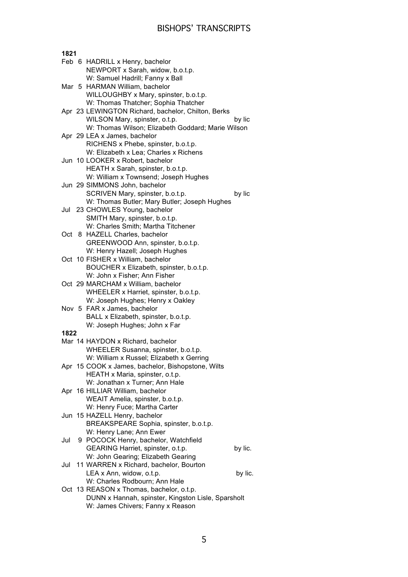| 1821 |  |                                                    |  |
|------|--|----------------------------------------------------|--|
|      |  | Feb 6 HADRILL x Henry, bachelor                    |  |
|      |  | NEWPORT x Sarah, widow, b.o.t.p.                   |  |
|      |  | W: Samuel Hadrill; Fanny x Ball                    |  |
|      |  | Mar 5 HARMAN William, bachelor                     |  |
|      |  | WILLOUGHBY x Mary, spinster, b.o.t.p.              |  |
|      |  | W: Thomas Thatcher; Sophia Thatcher                |  |
|      |  | Apr 23 LEWINGTON Richard, bachelor, Chilton, Berks |  |
|      |  | WILSON Mary, spinster, o.t.p.<br>by lic            |  |
|      |  | W: Thomas Wilson; Elizabeth Goddard; Marie Wilson  |  |
|      |  | Apr 29 LEA x James, bachelor                       |  |
|      |  | RICHENS x Phebe, spinster, b.o.t.p.                |  |
|      |  | W: Elizabeth x Lea; Charles x Richens              |  |
|      |  | Jun 10 LOOKER x Robert, bachelor                   |  |
|      |  | HEATH x Sarah, spinster, b.o.t.p.                  |  |
|      |  | W: William x Townsend; Joseph Hughes               |  |
|      |  | Jun 29 SIMMONS John, bachelor                      |  |
|      |  | SCRIVEN Mary, spinster, b.o.t.p.<br>by lic         |  |
|      |  | W: Thomas Butler; Mary Butler; Joseph Hughes       |  |
|      |  | Jul 23 CHOWLES Young, bachelor                     |  |
|      |  | SMITH Mary, spinster, b.o.t.p.                     |  |
|      |  | W: Charles Smith; Martha Titchener                 |  |
|      |  | Oct 8 HAZELL Charles, bachelor                     |  |
|      |  | GREENWOOD Ann, spinster, b.o.t.p.                  |  |
|      |  | W: Henry Hazell; Joseph Hughes                     |  |
|      |  | Oct 10 FISHER x William, bachelor                  |  |
|      |  | BOUCHER x Elizabeth, spinster, b.o.t.p.            |  |
|      |  | W: John x Fisher; Ann Fisher                       |  |
|      |  | Oct 29 MARCHAM x William, bachelor                 |  |
|      |  | WHEELER x Harriet, spinster, b.o.t.p.              |  |
|      |  | W: Joseph Hughes; Henry x Oakley                   |  |
|      |  | Nov 5 FAR x James, bachelor                        |  |
|      |  | BALL x Elizabeth, spinster, b.o.t.p.               |  |
|      |  | W: Joseph Hughes; John x Far                       |  |
| 1822 |  |                                                    |  |
|      |  | Mar 14 HAYDON x Richard, bachelor                  |  |
|      |  | WHEELER Susanna, spinster, b.o.t.p.                |  |
|      |  | W: William x Russel; Elizabeth x Gerring           |  |
|      |  | Apr 15 COOK x James, bachelor, Bishopstone, Wilts  |  |
|      |  | HEATH x Maria, spinster, o.t.p.                    |  |
|      |  | W: Jonathan x Turner; Ann Hale                     |  |
|      |  | Apr 16 HILLIAR William, bachelor                   |  |
|      |  | WEAIT Amelia, spinster, b.o.t.p.                   |  |
|      |  | W: Henry Fuce; Martha Carter                       |  |
|      |  | Jun 15 HAZELL Henry, bachelor                      |  |
|      |  | BREAKSPEARE Sophia, spinster, b.o.t.p.             |  |
|      |  | W: Henry Lane; Ann Ewer                            |  |
| Jul  |  | 9 POCOCK Henry, bachelor, Watchfield               |  |
|      |  | GEARING Harriet, spinster, o.t.p.<br>by lic.       |  |
|      |  | W: John Gearing; Elizabeth Gearing                 |  |
| Jul  |  | 11 WARREN x Richard, bachelor, Bourton             |  |
|      |  | LEA x Ann, widow, o.t.p.<br>by lic.                |  |
|      |  | W: Charles Rodbourn; Ann Hale                      |  |
|      |  | Oct 13 REASON x Thomas, bachelor, o.t.p.           |  |
|      |  | DUNN x Hannah, spinster, Kingston Lisle, Sparsholt |  |
|      |  | W: James Chivers; Fanny x Reason                   |  |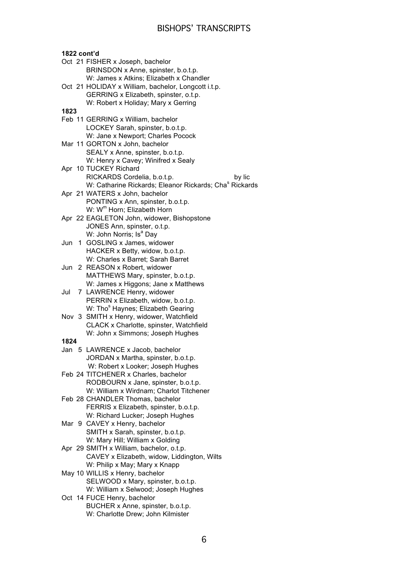**1822 cont'd** Oct 21 FISHER x Joseph, bachelor BRINSDON x Anne, spinster, b.o.t.p. W: James x Atkins; Elizabeth x Chandler Oct 21 HOLIDAY x William, bachelor, Longcott i.t.p. GERRING x Elizabeth, spinster, o.t.p. W: Robert x Holiday; Mary x Gerring **1823**  Feb 11 GERRING x William, bachelor LOCKEY Sarah, spinster, b.o.t.p. W: Jane x Newport; Charles Pocock Mar 11 GORTON x John, bachelor SEALY x Anne, spinster, b.o.t.p. W: Henry x Cavey; Winifred x Sealy Apr 10 TUCKEY Richard RICKARDS Cordelia, b.o.t.p. by lic W: Catharine Rickards; Eleanor Rickards; Cha<sup>s</sup> Rickards Apr 21 WATERS x John, bachelor PONTING x Ann, spinster, b.o.t.p. W: W<sup>m</sup> Horn; Elizabeth Horn Apr 22 EAGLETON John, widower, Bishopstone JONES Ann, spinster, o.t.p. W: John Norris; Is<sup>a</sup> Day Jun 1 GOSLING x James, widower HACKER x Betty, widow, b.o.t.p. W: Charles x Barret; Sarah Barret Jun 2 REASON x Robert, widower MATTHEWS Mary, spinster, b.o.t.p. W: James x Higgons; Jane x Matthews Jul 7 LAWRENCE Henry, widower PERRIN x Elizabeth, widow, b.o.t.p. W: Tho<sup>s</sup> Haynes; Elizabeth Gearing Nov 3 SMITH x Henry, widower, Watchfield CLACK x Charlotte, spinster, Watchfield W: John x Simmons; Joseph Hughes **1824** Jan 5 LAWRENCE x Jacob, bachelor JORDAN x Martha, spinster, b.o.t.p. W: Robert x Looker; Joseph Hughes Feb 24 TITCHENER x Charles, bachelor RODBOURN x Jane, spinster, b.o.t.p. W: William x Wirdnam; Charlot Titchener Feb 28 CHANDLER Thomas, bachelor FERRIS x Elizabeth, spinster, b.o.t.p. W: Richard Lucker; Joseph Hughes Mar 9 CAVEY x Henry, bachelor SMITH x Sarah, spinster, b.o.t.p. W: Mary Hill: William x Golding Apr 29 SMITH x William, bachelor, o.t.p. CAVEY x Elizabeth, widow, Liddington, Wilts W: Philip x May; Mary x Knapp May 10 WILLIS x Henry, bachelor SELWOOD x Mary, spinster, b.o.t.p. W: William x Selwood; Joseph Hughes Oct 14 FUCE Henry, bachelor BUCHER x Anne, spinster, b.o.t.p. W: Charlotte Drew; John Kilmister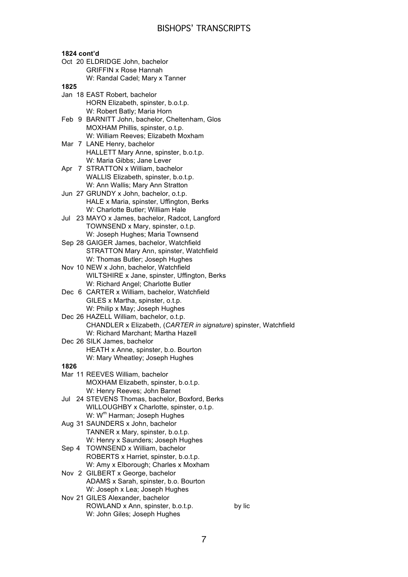**1824 cont'd** Oct 20 ELDRIDGE John, bachelor GRIFFIN x Rose Hannah W: Randal Cadel; Mary x Tanner **1825** Jan 18 EAST Robert, bachelor HORN Elizabeth, spinster, b.o.t.p. W: Robert Batly; Maria Horn Feb 9 BARNITT John, bachelor, Cheltenham, Glos MOXHAM Phillis, spinster, o.t.p. W: William Reeves; Elizabeth Moxham Mar 7 LANE Henry, bachelor HALLETT Mary Anne, spinster, b.o.t.p. W: Maria Gibbs; Jane Lever Apr 7 STRATTON x William, bachelor WALLIS Elizabeth, spinster, b.o.t.p. W: Ann Wallis; Mary Ann Stratton Jun 27 GRUNDY x John, bachelor, o.t.p. HALE x Maria, spinster, Uffington, Berks W: Charlotte Butler; William Hale Jul 23 MAYO x James, bachelor, Radcot, Langford TOWNSEND x Mary, spinster, o.t.p. W: Joseph Hughes; Maria Townsend Sep 28 GAIGER James, bachelor, Watchfield STRATTON Mary Ann, spinster, Watchfield W: Thomas Butler; Joseph Hughes Nov 10 NEW x John, bachelor, Watchfield WILTSHIRE x Jane, spinster, Uffington, Berks W: Richard Angel; Charlotte Butler Dec 6 CARTER x William, bachelor, Watchfield GILES x Martha, spinster, o.t.p. W: Philip x May; Joseph Hughes Dec 26 HAZELL William, bachelor, o.t.p. CHANDLER x Elizabeth, (*CARTER in signature*) spinster, Watchfield W: Richard Marchant; Martha Hazell Dec 26 SILK James, bachelor HEATH x Anne, spinster, b.o. Bourton W: Mary Wheatley; Joseph Hughes **1826** Mar 11 REEVES William, bachelor MOXHAM Elizabeth, spinster, b.o.t.p. W: Henry Reeves; John Barnet Jul 24 STEVENS Thomas, bachelor, Boxford, Berks WILLOUGHBY x Charlotte, spinster, o.t.p. W: W<sup>m</sup> Harman; Joseph Hughes Aug 31 SAUNDERS x John, bachelor TANNER x Mary, spinster, b.o.t.p. W: Henry x Saunders; Joseph Hughes Sep 4 TOWNSEND x William, bachelor ROBERTS x Harriet, spinster, b.o.t.p. W: Amy x Elborough; Charles x Moxham Nov 2 GILBERT x George, bachelor ADAMS x Sarah, spinster, b.o. Bourton W: Joseph x Lea; Joseph Hughes Nov 21 GILES Alexander, bachelor ROWLAND x Ann, spinster, b.o.t.p. by lic W: John Giles; Joseph Hughes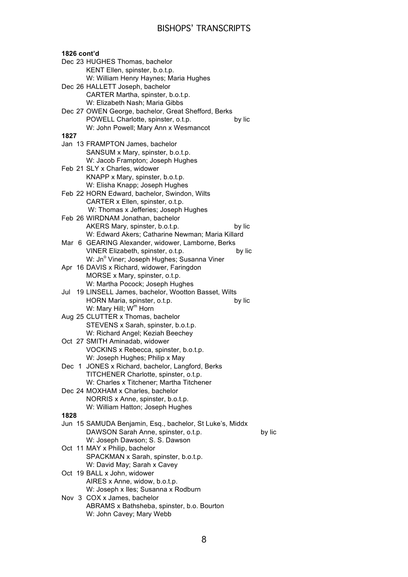| 1826 cont'd |                                                                                                 |        |
|-------------|-------------------------------------------------------------------------------------------------|--------|
|             | Dec 23 HUGHES Thomas, bachelor                                                                  |        |
|             | KENT Ellen, spinster, b.o.t.p.                                                                  |        |
|             | W: William Henry Haynes; Maria Hughes                                                           |        |
|             | Dec 26 HALLETT Joseph, bachelor                                                                 |        |
|             | CARTER Martha, spinster, b.o.t.p.                                                               |        |
|             | W: Elizabeth Nash; Maria Gibbs                                                                  |        |
|             | Dec 27 OWEN George, bachelor, Great Shefford, Berks                                             |        |
|             | POWELL Charlotte, spinster, o.t.p.<br>by lic                                                    |        |
|             | W: John Powell; Mary Ann x Wesmancot                                                            |        |
| 1827        |                                                                                                 |        |
|             | Jan 13 FRAMPTON James, bachelor                                                                 |        |
|             | SANSUM x Mary, spinster, b.o.t.p.                                                               |        |
|             | W: Jacob Frampton; Joseph Hughes                                                                |        |
|             | Feb 21 SLY x Charles, widower                                                                   |        |
|             | KNAPP x Mary, spinster, b.o.t.p.                                                                |        |
|             | W: Elisha Knapp; Joseph Hughes                                                                  |        |
|             | Feb 22 HORN Edward, bachelor, Swindon, Wilts<br>CARTER x Ellen, spinster, o.t.p.                |        |
|             | W: Thomas x Jefferies; Joseph Hughes                                                            |        |
|             | Feb 26 WIRDNAM Jonathan, bachelor                                                               |        |
|             | AKERS Mary, spinster, b.o.t.p.<br>by lic                                                        |        |
|             | W: Edward Akers; Catharine Newman; Maria Killard                                                |        |
|             | Mar 6 GEARING Alexander, widower, Lamborne, Berks                                               |        |
|             | VINER Elizabeth, spinster, o.t.p.<br>by lic                                                     |        |
|             | W: Jn° Viner; Joseph Hughes; Susanna Viner                                                      |        |
|             | Apr 16 DAVIS x Richard, widower, Faringdon                                                      |        |
|             | MORSE x Mary, spinster, o.t.p.                                                                  |        |
|             | W: Martha Pocock; Joseph Hughes                                                                 |        |
| Jul         | 19 LINSELL James, bachelor, Wootton Basset, Wilts                                               |        |
|             | HORN Maria, spinster, o.t.p.<br>by lic                                                          |        |
|             | W: Mary Hill; W <sup>m</sup> Horn                                                               |        |
|             | Aug 25 CLUTTER x Thomas, bachelor                                                               |        |
|             | STEVENS x Sarah, spinster, b.o.t.p.                                                             |        |
|             | W: Richard Angel; Keziah Beechey                                                                |        |
|             | Oct 27 SMITH Aminadab, widower                                                                  |        |
|             | VOCKINS x Rebecca, spinster, b.o.t.p.                                                           |        |
|             | W: Joseph Hughes; Philip x May                                                                  |        |
|             | Dec 1 JONES x Richard, bachelor, Langford, Berks                                                |        |
|             | TITCHENER Charlotte, spinster, o.t.p.                                                           |        |
|             | W: Charles x Titchener; Martha Titchener                                                        |        |
|             | Dec 24 MOXHAM x Charles, bachelor                                                               |        |
|             | NORRIS x Anne, spinster, b.o.t.p.                                                               |        |
|             | W: William Hatton; Joseph Hughes                                                                |        |
| 1828        |                                                                                                 |        |
|             | Jun 15 SAMUDA Benjamin, Esq., bachelor, St Luke's, Middx<br>DAWSON Sarah Anne, spinster, o.t.p. | by lic |
|             | W: Joseph Dawson; S. S. Dawson                                                                  |        |
|             | Oct 11 MAY x Philip, bachelor                                                                   |        |
|             | SPACKMAN x Sarah, spinster, b.o.t.p.                                                            |        |
|             | W: David May; Sarah x Cavey                                                                     |        |
|             | Oct 19 BALL x John, widower                                                                     |        |
|             | AIRES x Anne, widow, b.o.t.p.                                                                   |        |
|             | W: Joseph x Iles; Susanna x Rodburn                                                             |        |
|             | Nov 3 COX x James, bachelor                                                                     |        |
|             | ABRAMS x Bathsheba, spinster, b.o. Bourton                                                      |        |
|             | W: John Cavey; Mary Webb                                                                        |        |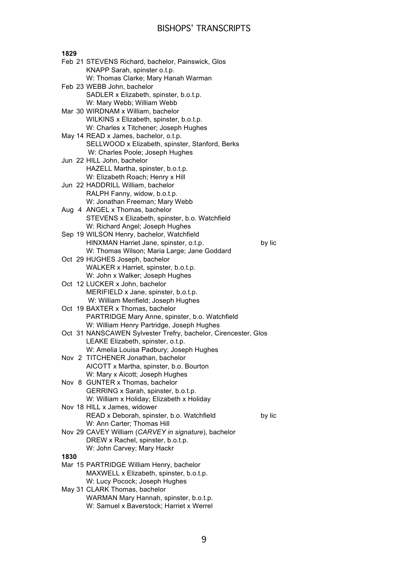| 1829 |                                                                              |  |
|------|------------------------------------------------------------------------------|--|
|      | Feb 21 STEVENS Richard, bachelor, Painswick, Glos                            |  |
|      | KNAPP Sarah, spinster o.t.p.                                                 |  |
|      | W: Thomas Clarke; Mary Hanah Warman                                          |  |
|      | Feb 23 WEBB John, bachelor                                                   |  |
|      | SADLER x Elizabeth, spinster, b.o.t.p.                                       |  |
|      | W: Mary Webb; William Webb                                                   |  |
|      | Mar 30 WIRDNAM x William, bachelor                                           |  |
|      | WILKINS x Elizabeth, spinster, b.o.t.p.                                      |  |
|      | W: Charles x Titchener; Joseph Hughes                                        |  |
|      | May 14 READ x James, bachelor, o.t.p.                                        |  |
|      | SELLWOOD x Elizabeth, spinster, Stanford, Berks                              |  |
|      | W: Charles Poole; Joseph Hughes                                              |  |
|      | Jun 22 HILL John, bachelor                                                   |  |
|      | HAZELL Martha, spinster, b.o.t.p.                                            |  |
|      | W: Elizabeth Roach; Henry x Hill                                             |  |
|      | Jun 22 HADDRILL William, bachelor                                            |  |
|      | RALPH Fanny, widow, b.o.t.p.                                                 |  |
|      | W: Jonathan Freeman; Mary Webb                                               |  |
|      | Aug 4 ANGEL x Thomas, bachelor                                               |  |
|      | STEVENS x Elizabeth, spinster, b.o. Watchfield                               |  |
|      | W: Richard Angel; Joseph Hughes<br>Sep 19 WILSON Henry, bachelor, Watchfield |  |
|      | HINXMAN Harriet Jane, spinster, o.t.p.<br>by lic                             |  |
|      | W: Thomas Wilson; Maria Large; Jane Goddard                                  |  |
|      | Oct 29 HUGHES Joseph, bachelor                                               |  |
|      | WALKER x Harriet, spinster, b.o.t.p.                                         |  |
|      | W: John x Walker; Joseph Hughes                                              |  |
|      | Oct 12 LUCKER x John, bachelor                                               |  |
|      | MERIFIELD x Jane, spinster, b.o.t.p.                                         |  |
|      | W: William Merifield; Joseph Hughes                                          |  |
|      | Oct 19 BAXTER x Thomas, bachelor                                             |  |
|      | PARTRIDGE Mary Anne, spinster, b.o. Watchfield                               |  |
|      | W: William Henry Partridge, Joseph Hughes                                    |  |
|      | Oct 31 NANSCAWEN Sylvester Trefry, bachelor, Cirencester, Glos               |  |
|      | LEAKE Elizabeth, spinster, o.t.p.                                            |  |
|      | W: Amelia Louisa Padbury; Joseph Hughes                                      |  |
|      | Nov 2 TITCHENER Jonathan, bachelor                                           |  |
|      | AICOTT x Martha, spinster, b.o. Bourton                                      |  |
|      | W: Mary x Aicott; Joseph Hughes                                              |  |
|      | Nov 8 GUNTER x Thomas, bachelor                                              |  |
|      | GERRING x Sarah, spinster, b.o.t.p.                                          |  |
|      | W: William x Holiday; Elizabeth x Holiday                                    |  |
|      | Nov 18 HILL x James, widower                                                 |  |
|      | READ x Deborah, spinster, b.o. Watchfield<br>by lic                          |  |
|      | W: Ann Carter; Thomas Hill                                                   |  |
|      | Nov 29 CAVEY William (CARVEY in signature), bachelor                         |  |
|      | DREW x Rachel, spinster, b.o.t.p.                                            |  |
|      | W: John Carvey; Mary Hackr                                                   |  |
| 1830 |                                                                              |  |
|      | Mar 15 PARTRIDGE William Henry, bachelor                                     |  |
|      | MAXWELL x Elizabeth, spinster, b.o.t.p.                                      |  |
|      | W: Lucy Pocock; Joseph Hughes                                                |  |
|      | May 31 CLARK Thomas, bachelor                                                |  |
|      | WARMAN Mary Hannah, spinster, b.o.t.p.                                       |  |
|      | W: Samuel x Baverstock; Harriet x Werrel                                     |  |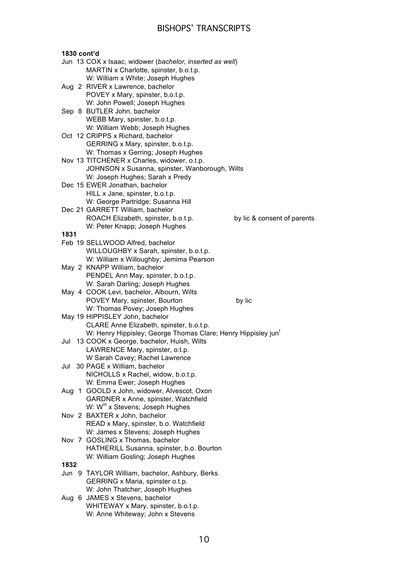| 1830 cont'd |                                                                           |                             |
|-------------|---------------------------------------------------------------------------|-----------------------------|
|             | Jun 13 COX x Isaac, widower (bachelor, inserted as well)                  |                             |
|             | MARTIN x Charlotte, spinster, b.o.t.p.                                    |                             |
|             | W: William x White; Joseph Hughes                                         |                             |
|             | Aug 2 RIVER x Lawrence, bachelor                                          |                             |
|             | POVEY x Mary, spinster, b.o.t.p.                                          |                             |
|             | W: John Powell; Joseph Hughes                                             |                             |
|             | Sep 8 BUTLER John, bachelor                                               |                             |
|             | WEBB Mary, spinster, b.o.t.p.                                             |                             |
|             | W: William Webb; Joseph Hughes                                            |                             |
|             | Oct 12 CRIPPS x Richard, bachelor                                         |                             |
|             | GERRING x Mary, spinster, b.o.t.p.                                        |                             |
|             | W: Thomas x Gerring; Joseph Hughes                                        |                             |
|             | Nov 13 TITCHENER x Charles, widower, o.t.p.                               |                             |
|             | JOHNSON x Susanna, spinster, Wanborough, Wilts                            |                             |
|             | W: Joseph Hughes; Sarah x Predy                                           |                             |
|             | Dec 15 EWER Jonathan, bachelor                                            |                             |
|             | HILL x Jane, spinster, b.o.t.p.                                           |                             |
|             | W: George Partridge; Susanna Hill                                         |                             |
|             | Dec 21 GARRETT William, bachelor                                          |                             |
|             | ROACH Elizabeth, spinster, b.o.t.p.                                       | by lic & consent of parents |
|             | W: Peter Knapp; Joseph Hughes                                             |                             |
| 1831        |                                                                           |                             |
|             | Feb 19 SELLWOOD Alfred, bachelor                                          |                             |
|             | WILLOUGHBY x Sarah, spinster, b.o.t.p.                                    |                             |
|             | W: William x Willoughby; Jemima Pearson                                   |                             |
|             | May 2 KNAPP William, bachelor                                             |                             |
|             | PENDEL Ann May, spinster, b.o.t.p.                                        |                             |
|             | W: Sarah Darling; Joseph Hughes                                           |                             |
|             | May 4 COOK Levi, bachelor, Albourn, Wilts                                 |                             |
|             | POVEY Mary, spinster, Bourton                                             | by lic                      |
|             | W: Thomas Povey; Joseph Hughes                                            |                             |
|             | May 19 HIPPISLEY John, bachelor                                           |                             |
|             | CLARE Anne Elizabeth, spinster, b.o.t.p.                                  |                             |
|             | W: Henry Hippisley; George Thomas Clare; Henry Hippisley jun <sup>r</sup> |                             |
| Jul         | 13 COOK x George, bachelor, Huish, Wilts                                  |                             |
|             | LAWRENCE Mary, spinster, o.t.p.                                           |                             |
|             | W Sarah Cavey; Rachel Lawrence                                            |                             |
| Jul         | 30 PAGE x William, bachelor                                               |                             |
|             | NICHOLLS x Rachel, widow, b.o.t.p.                                        |                             |
|             | W: Emma Ewer; Joseph Hughes                                               |                             |
|             | Aug 1 GOOLD x John, widower, Alvescot, Oxon                               |                             |
|             | GARDNER x Anne, spinster, Watchfield                                      |                             |
|             | W: W <sup>m</sup> x Stevens; Joseph Hughes                                |                             |
|             | Nov 2 BAXTER x John, bachelor                                             |                             |
|             | READ x Mary, spinster, b.o. Watchfield                                    |                             |
|             | W: James x Stevens; Joseph Hughes                                         |                             |
|             | Nov 7 GOSLING x Thomas, bachelor                                          |                             |
|             | HATHERILL Susanna, spinster, b.o. Bourton                                 |                             |
|             | W: William Gosling; Joseph Hughes                                         |                             |
| 1832        |                                                                           |                             |
|             | Jun 9 TAYLOR William, bachelor, Ashbury, Berks                            |                             |
|             | GERRING x Maria, spinster o.t.p.                                          |                             |
|             | W: John Thatcher; Joseph Hughes                                           |                             |
|             | Aug 6 JAMES x Stevens, bachelor                                           |                             |
|             | WHITEWAY x Mary, spinster, b.o.t.p.                                       |                             |
|             | W: Anne Whiteway; John x Stevens                                          |                             |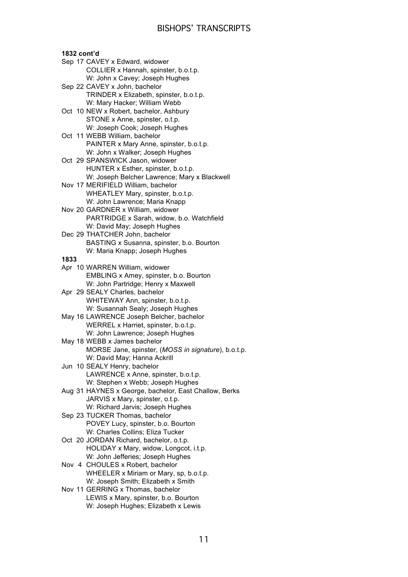### **1832 cont'd**

- Sep 17 CAVEY x Edward, widower COLLIER x Hannah, spinster, b.o.t.p. W: John x Cavey; Joseph Hughes
- Sep 22 CAVEY x John, bachelor TRINDER x Elizabeth, spinster, b.o.t.p. W: Mary Hacker; William Webb
- Oct 10 NEW x Robert, bachelor, Ashbury STONE x Anne, spinster, o.t.p. W: Joseph Cook; Joseph Hughes
- Oct 11 WEBB William, bachelor PAINTER x Mary Anne, spinster, b.o.t.p. W: John x Walker; Joseph Hughes
- Oct 29 SPANSWICK Jason, widower HUNTER x Esther, spinster, b.o.t.p. W: Joseph Belcher Lawrence; Mary x Blackwell
- Nov 17 MERIFIELD William, bachelor WHEATLEY Mary, spinster, b.o.t.p. W: John Lawrence; Maria Knapp
- Nov 20 GARDNER x William, widower PARTRIDGE x Sarah, widow, b.o. Watchfield W: David May; Joseph Hughes Dec 29 THATCHER John, bachelor
- BASTING x Susanna, spinster, b.o. Bourton W: Maria Knapp; Joseph Hughes

- Apr 10 WARREN William, widower EMBLING x Amey, spinster, b.o. Bourton W: John Partridge; Henry x Maxwell
- Apr 29 SEALY Charles, bachelor WHITEWAY Ann, spinster, b.o.t.p. W: Susannah Sealy; Joseph Hughes
- May 16 LAWRENCE Joseph Belcher, bachelor WERREL x Harriet, spinster, b.o.t.p. W: John Lawrence; Joseph Hughes
- May 18 WEBB x James bachelor MORSE Jane, spinster, (*MOSS in signature*), b.o.t.p. W: David May; Hanna Ackrill
- Jun 10 SEALY Henry, bachelor LAWRENCE x Anne, spinster, b.o.t.p. W: Stephen x Webb; Joseph Hughes
- Aug 31 HAYNES x George, bachelor, East Challow, Berks JARVIS x Mary, spinster, o.t.p. W: Richard Jarvis; Joseph Hughes
- Sep 23 TUCKER Thomas, bachelor POVEY Lucy, spinster, b.o. Bourton W: Charles Collins; Eliza Tucker
- Oct 20 JORDAN Richard, bachelor, o.t.p. HOLIDAY x Mary, widow, Longcot, i.t.p. W: John Jefferies; Joseph Hughes
- Nov 4 CHOULES x Robert, bachelor WHEELER x Miriam or Mary, sp, b.o.t.p. W: Joseph Smith; Elizabeth x Smith
- Nov 11 GERRING x Thomas, bachelor LEWIS x Mary, spinster, b.o. Bourton W: Joseph Hughes; Elizabeth x Lewis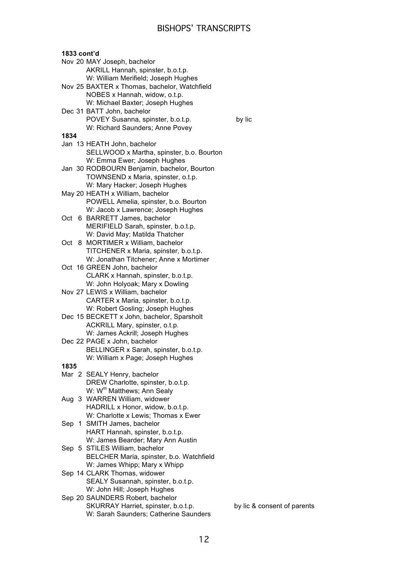|      | 1833 cont'd                                                           |
|------|-----------------------------------------------------------------------|
|      | Nov 20 MAY Joseph, bachelor                                           |
|      | AKRILL Hannah, spinster, b.o.t.p.                                     |
|      | W: William Merifield; Joseph Hughes                                   |
|      | Nov 25 BAXTER x Thomas, bachelor, Watchfield                          |
|      | NOBES x Hannah, widow, o.t.p.                                         |
|      | W: Michael Baxter; Joseph Hughes                                      |
|      | Dec 31 BATT John, bachelor<br>POVEY Susanna, spinster, b.o.t.p.       |
|      | W: Richard Saunders; Anne Povey                                       |
| 1834 |                                                                       |
|      | Jan 13 HEATH John, bachelor                                           |
|      | SELLWOOD x Martha, spinster, b.o. Bourton                             |
|      | W: Emma Ewer; Joseph Hughes                                           |
|      | Jan 30 RODBOURN Benjamin, bachelor, Bourton                           |
|      | TOWNSEND x Maria, spinster, o.t.p.                                    |
|      | W: Mary Hacker; Joseph Hughes                                         |
|      | May 20 HEATH x William, bachelor                                      |
|      | POWELL Amelia, spinster, b.o. Bourton                                 |
|      | W: Jacob x Lawrence; Joseph Hughes                                    |
|      | Oct 6 BARRETT James, bachelor                                         |
|      | MERIFIELD Sarah, spinster, b.o.t.p.<br>W: David May; Matilda Thatcher |
| Oct  | 8 MORTIMER x William, bachelor                                        |
|      | TITCHENER x Maria, spinster, b.o.t.p.                                 |
|      | W: Jonathan Titchener; Anne x Mortimer                                |
|      | Oct 16 GREEN John, bachelor                                           |
|      | CLARK x Hannah, spinster, b.o.t.p.                                    |
|      | W: John Holyoak; Mary x Dowling                                       |
|      | Nov 27 LEWIS x William, bachelor                                      |
|      | CARTER x Maria, spinster, b.o.t.p.                                    |
|      | W: Robert Gosling; Joseph Hughes                                      |
|      | Dec 15 BECKETT x John, bachelor, Sparsholt                            |
|      | ACKRILL Mary, spinster, o.t.p.                                        |
|      | W: James Ackrill; Joseph Hughes                                       |
|      | Dec 22 PAGE x John, bachelor<br>BELLINGER x Sarah, spinster, b.o.t.p. |
|      | W: William x Page; Joseph Hughes                                      |
| 1835 |                                                                       |
|      | Mar 2 SEALY Henry, bachelor                                           |
|      | DREW Charlotte, spinster, b.o.t.p.                                    |
|      | W: W <sup>m</sup> Matthews; Ann Sealy                                 |
|      | Aug 3 WARREN William, widower                                         |
|      | HADRILL x Honor, widow, b.o.t.p.                                      |
|      | W: Charlotte x Lewis; Thomas x Ewer                                   |
|      | Sep 1 SMITH James, bachelor                                           |
|      | HART Hannah, spinster, b.o.t.p.                                       |
|      | W: James Bearder; Mary Ann Austin                                     |
|      | Sep 5 STILES William, bachelor                                        |
|      | BELCHER Maria, spinster, b.o. Watchfield                              |
|      | W: James Whipp; Mary x Whipp<br>Sep 14 CLARK Thomas, widower          |
|      | SEALY Susannah, spinster, b.o.t.p.                                    |
|      | W: John Hill; Joseph Hughes                                           |
|      | Sep 20 SAUNDERS Robert, bachelor                                      |
|      | SKURRAY Harriet, spinster, b.o.t.p.                                   |
|      | W: Sarah Saunders; Catherine Saunders                                 |

by lic

by lic & consent of parents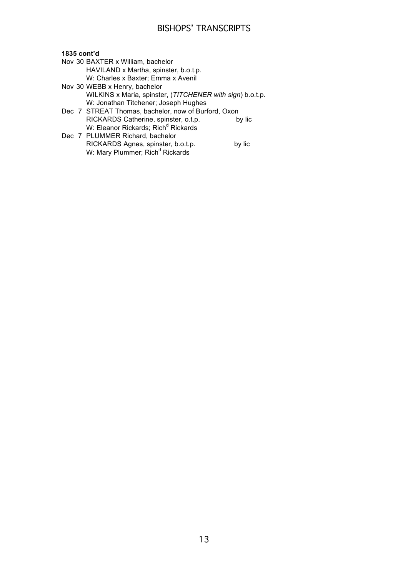### **1835 cont'd**

- Nov 30 BAXTER x William, bachelor HAVILAND x Martha, spinster, b.o.t.p. W: Charles x Baxter; Emma x Avenil
- Nov 30 WEBB x Henry, bachelor WILKINS x Maria, spinster, (*TITCHENER with sign*) b.o.t.p. W: Jonathan Titchener; Joseph Hughes
- Dec 7 STREAT Thomas, bachelor, now of Burford, Oxon RICKARDS Catherine, spinster, o.t.p. by lic W: Eleanor Rickards; Rich<sup>d</sup> Rickards
- Dec 7 PLUMMER Richard, bachelor RICKARDS Agnes, spinster, b.o.t.p. by lic W: Mary Plummer; Rich<sup>d</sup> Rickards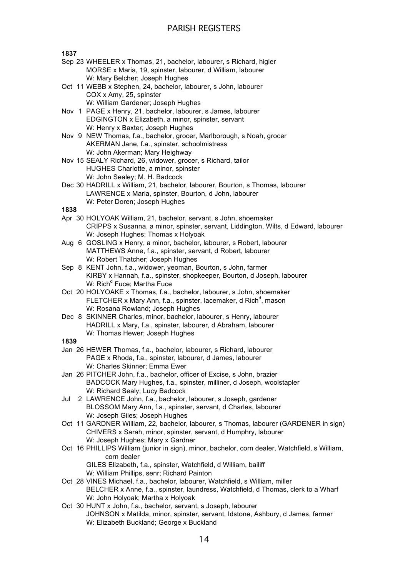**1837**

- Sep 23 WHEELER x Thomas, 21, bachelor, labourer, s Richard, higler MORSE x Maria, 19, spinster, labourer, d William, labourer W: Mary Belcher; Joseph Hughes
- Oct 11 WEBB x Stephen, 24, bachelor, labourer, s John, labourer COX x Amy, 25, spinster W: William Gardener; Joseph Hughes
- Nov 1 PAGE x Henry, 21, bachelor, labourer, s James, labourer EDGINGTON x Elizabeth, a minor, spinster, servant W: Henry x Baxter; Joseph Hughes
- Nov 9 NEW Thomas, f.a., bachelor, grocer, Marlborough, s Noah, grocer AKERMAN Jane, f.a., spinster, schoolmistress W: John Akerman; Mary Heighway
- Nov 15 SEALY Richard, 26, widower, grocer, s Richard, tailor HUGHES Charlotte, a minor, spinster W: John Sealey; M. H. Badcock
- Dec 30 HADRILL x William, 21, bachelor, labourer, Bourton, s Thomas, labourer LAWRENCE x Maria, spinster, Bourton, d John, labourer W: Peter Doren; Joseph Hughes

### **1838**

- Apr 30 HOLYOAK William, 21, bachelor, servant, s John, shoemaker CRIPPS x Susanna, a minor, spinster, servant, Liddington, Wilts, d Edward, labourer W: Joseph Hughes; Thomas x Holyoak
- Aug 6 GOSLING x Henry, a minor, bachelor, labourer, s Robert, labourer MATTHEWS Anne, f.a., spinster, servant, d Robert, labourer W: Robert Thatcher; Joseph Hughes
- Sep 8 KENT John, f.a., widower, yeoman, Bourton, s John, farmer KIRBY x Hannah, f.a., spinster, shopkeeper, Bourton, d Joseph, labourer W: Rich<sup>d</sup> Fuce; Martha Fuce
- Oct 20 HOLYOAKE x Thomas, f.a., bachelor, labourer, s John, shoemaker FLETCHER x Mary Ann, f.a., spinster, lacemaker, d Rich<sup>d</sup>, mason W: Rosana Rowland; Joseph Hughes
- Dec 8 SKINNER Charles, minor, bachelor, labourer, s Henry, labourer HADRILL x Mary, f.a., spinster, labourer, d Abraham, labourer W: Thomas Hewer; Joseph Hughes

- Jan 26 HEWER Thomas, f.a., bachelor, labourer, s Richard, labourer PAGE x Rhoda, f.a., spinster, labourer, d James, labourer W: Charles Skinner; Emma Ewer
- Jan 26 PITCHER John, f.a., bachelor, officer of Excise, s John, brazier BADCOCK Mary Hughes, f.a., spinster, milliner, d Joseph, woolstapler W: Richard Sealy; Lucy Badcock
- Jul 2 LAWRENCE John, f.a., bachelor, labourer, s Joseph, gardener BLOSSOM Mary Ann, f.a., spinster, servant, d Charles, labourer W: Joseph Giles; Joseph Hughes
- Oct 11 GARDNER William, 22, bachelor, labourer, s Thomas, labourer (GARDENER in sign) CHIVERS x Sarah, minor, spinster, servant, d Humphry, labourer W: Joseph Hughes; Mary x Gardner
- Oct 16 PHILLIPS William (junior in sign), minor, bachelor, corn dealer, Watchfield, s William, corn dealer
	- GILES Elizabeth, f.a., spinster, Watchfield, d William, bailiff W: William Phillips, senr; Richard Painton
- Oct 28 VINES Michael, f.a., bachelor, labourer, Watchfield, s William, miller BELCHER x Anne, f.a., spinster, laundress, Watchfield, d Thomas, clerk to a Wharf W: John Holyoak; Martha x Holyoak
- Oct 30 HUNT x John, f.a., bachelor, servant, s Joseph, labourer JOHNSON x Matilda, minor, spinster, servant, Idstone, Ashbury, d James, farmer W: Elizabeth Buckland; George x Buckland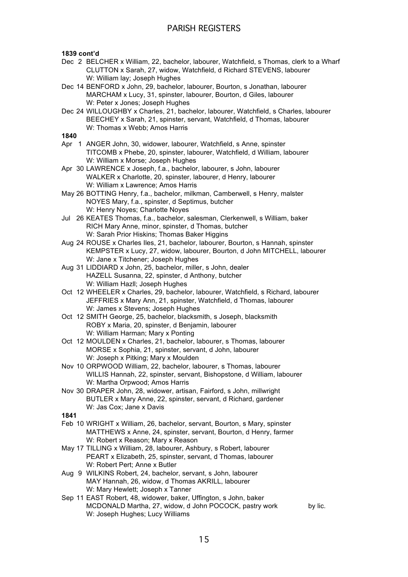### **1839 cont'd**

- Dec 2 BELCHER x William, 22, bachelor, labourer, Watchfield, s Thomas, clerk to a Wharf CLUTTON x Sarah, 27, widow, Watchfield, d Richard STEVENS, labourer W: William lay; Joseph Hughes
- Dec 14 BENFORD x John, 29, bachelor, labourer, Bourton, s Jonathan, labourer MARCHAM x Lucy, 31, spinster, labourer, Bourton, d Giles, labourer W: Peter x Jones; Joseph Hughes
- Dec 24 WILLOUGHBY x Charles, 21, bachelor, labourer, Watchfield, s Charles, labourer BEECHEY x Sarah, 21, spinster, servant, Watchfield, d Thomas, labourer W: Thomas x Webb; Amos Harris

- Apr 1 ANGER John, 30, widower, labourer, Watchfield, s Anne, spinster TITCOMB x Phebe, 20, spinster, labourer, Watchfield, d William, labourer W: William x Morse; Joseph Hughes
- Apr 30 LAWRENCE x Joseph, f.a., bachelor, labourer, s John, labourer WALKER x Charlotte, 20, spinster, labourer, d Henry, labourer W: William x Lawrence; Amos Harris
- May 26 BOTTING Henry, f.a., bachelor, milkman, Camberwell, s Henry, malster NOYES Mary, f.a., spinster, d Septimus, butcher W: Henry Noyes; Charlotte Noyes
- Jul 26 KEATES Thomas, f.a., bachelor, salesman, Clerkenwell, s William, baker RICH Mary Anne, minor, spinster, d Thomas, butcher W: Sarah Prior Hiskins; Thomas Baker Higgins
- Aug 24 ROUSE x Charles Iles, 21, bachelor, labourer, Bourton, s Hannah, spinster KEMPSTER x Lucy, 27, widow, labourer, Bourton, d John MITCHELL, labourer W: Jane x Titchener; Joseph Hughes
- Aug 31 LIDDIARD x John, 25, bachelor, miller, s John, dealer HAZELL Susanna, 22, spinster, d Anthony, butcher W: William Hazll; Joseph Hughes
- Oct 12 WHEELER x Charles, 29, bachelor, labourer, Watchfield, s Richard, labourer JEFFRIES x Mary Ann, 21, spinster, Watchfield, d Thomas, labourer W: James x Stevens; Joseph Hughes
- Oct 12 SMITH George, 25, bachelor, blacksmith, s Joseph, blacksmith ROBY x Maria, 20, spinster, d Benjamin, labourer W: William Harman; Mary x Ponting
- Oct 12 MOULDEN x Charles, 21, bachelor, labourer, s Thomas, labourer MORSE x Sophia, 21, spinster, servant, d John, labourer W: Joseph x Pitking; Mary x Moulden
- Nov 10 ORPWOOD William, 22, bachelor, labourer, s Thomas, labourer WILLIS Hannah, 22, spinster, servant, Bishopstone, d William, labourer W: Martha Orpwood; Amos Harris
- Nov 30 DRAPER John, 28, widower, artisan, Fairford, s John, millwright BUTLER x Mary Anne, 22, spinster, servant, d Richard, gardener W: Jas Cox; Jane x Davis
- **1841**
- Feb 10 WRIGHT x William, 26, bachelor, servant, Bourton, s Mary, spinster MATTHEWS x Anne, 24, spinster, servant, Bourton, d Henry, farmer W: Robert x Reason; Mary x Reason
- May 17 TILLING x William, 28, labourer, Ashbury, s Robert, labourer PEART x Elizabeth, 25, spinster, servant, d Thomas, labourer W: Robert Pert; Anne x Butler
- Aug 9 WILKINS Robert, 24, bachelor, servant, s John, labourer MAY Hannah, 26, widow, d Thomas AKRILL, labourer W: Mary Hewlett; Joseph x Tanner
- Sep 11 EAST Robert, 48, widower, baker, Uffington, s John, baker MCDONALD Martha, 27, widow, d John POCOCK, pastry work by lic. W: Joseph Hughes; Lucy Williams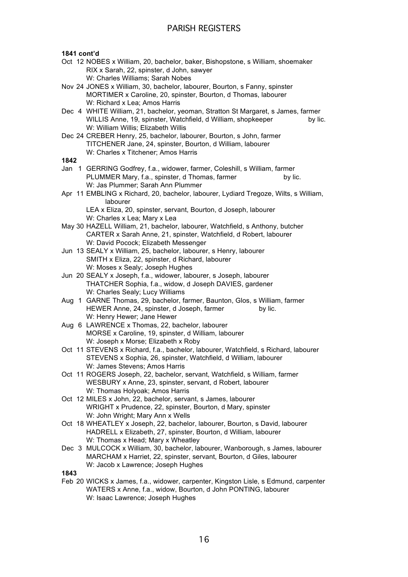**1841 cont'd**

- Oct 12 NOBES x William, 20, bachelor, baker, Bishopstone, s William, shoemaker RIX x Sarah, 22, spinster, d John, sawyer W: Charles Williams; Sarah Nobes
- Nov 24 JONES x William, 30, bachelor, labourer, Bourton, s Fanny, spinster MORTIMER x Caroline, 20, spinster, Bourton, d Thomas, labourer W: Richard x Lea; Amos Harris
- Dec 4 WHITE William, 21, bachelor, yeoman, Stratton St Margaret, s James, farmer WILLIS Anne, 19, spinster, Watchfield, d William, shopkeeper by lic. W: William Willis; Elizabeth Willis
- Dec 24 CREBER Henry, 25, bachelor, labourer, Bourton, s John, farmer TITCHENER Jane, 24, spinster, Bourton, d William, labourer W: Charles x Titchener; Amos Harris

### **1842**

- Jan 1 GERRING Godfrey, f.a., widower, farmer, Coleshill, s William, farmer PLUMMER Mary, f.a., spinster, d Thomas, farmer by lic. W: Jas Plummer; Sarah Ann Plummer
- Apr 11 EMBLING x Richard, 20, bachelor, labourer, Lydiard Tregoze, Wilts, s William, labourer

LEA x Eliza, 20, spinster, servant, Bourton, d Joseph, labourer W: Charles x Lea; Mary x Lea

- May 30 HAZELL William, 21, bachelor, labourer, Watchfield, s Anthony, butcher CARTER x Sarah Anne, 21, spinster, Watchfield, d Robert, labourer W: David Pocock; Elizabeth Messenger
- Jun 13 SEALY x William, 25, bachelor, labourer, s Henry, labourer SMITH x Eliza, 22, spinster, d Richard, labourer W: Moses x Sealy; Joseph Hughes
- Jun 20 SEALY x Joseph, f.a., widower, labourer, s Joseph, labourer THATCHER Sophia, f.a., widow, d Joseph DAVIES, gardener W: Charles Sealy; Lucy Williams
- Aug 1 GARNE Thomas, 29, bachelor, farmer, Baunton, Glos, s William, farmer HEWER Anne, 24, spinster, d Joseph, farmer by lic. W: Henry Hewer; Jane Hewer
- Aug 6 LAWRENCE x Thomas, 22, bachelor, labourer MORSE x Caroline, 19, spinster, d William, labourer W: Joseph x Morse; Elizabeth x Roby
- Oct 11 STEVENS x Richard, f.a., bachelor, labourer, Watchfield, s Richard, labourer STEVENS x Sophia, 26, spinster, Watchfield, d William, labourer W: James Stevens; Amos Harris
- Oct 11 ROGERS Joseph, 22, bachelor, servant, Watchfield, s William, farmer WESBURY x Anne, 23, spinster, servant, d Robert, labourer W: Thomas Holyoak; Amos Harris
- Oct 12 MILES x John, 22, bachelor, servant, s James, labourer WRIGHT x Prudence, 22, spinster, Bourton, d Mary, spinster W: John Wright; Mary Ann x Wells
- Oct 18 WHEATLEY x Joseph, 22, bachelor, labourer, Bourton, s David, labourer HADRELL x Elizabeth, 27, spinster, Bourton, d William, labourer W: Thomas x Head; Mary x Wheatley
- Dec 3 MULCOCK x William, 30, bachelor, labourer, Wanborough, s James, labourer MARCHAM x Harriet, 22, spinster, servant, Bourton, d Giles, labourer W: Jacob x Lawrence; Joseph Hughes

### **1843**

Feb 20 WICKS x James, f.a., widower, carpenter, Kingston Lisle, s Edmund, carpenter WATERS x Anne, f.a., widow, Bourton, d John PONTING, labourer W: Isaac Lawrence; Joseph Hughes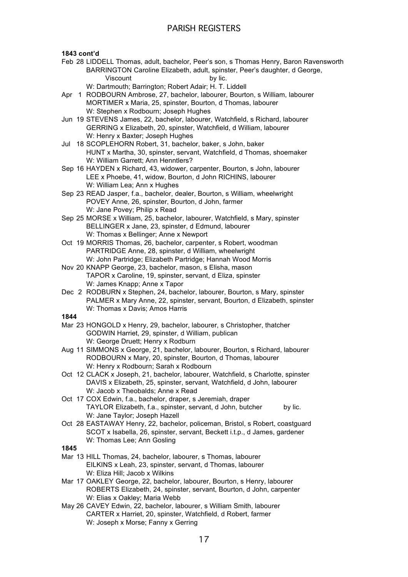### **1843 cont'd**

Feb 28 LIDDELL Thomas, adult, bachelor, Peer's son, s Thomas Henry, Baron Ravensworth BARRINGTON Caroline Elizabeth, adult, spinster, Peer's daughter, d George, Viscount by lic.

W: Dartmouth; Barrington; Robert Adair; H. T. Liddell

- Apr 1 RODBOURN Ambrose, 27, bachelor, labourer, Bourton, s William, labourer MORTIMER x Maria, 25, spinster, Bourton, d Thomas, labourer W: Stephen x Rodbourn; Joseph Hughes
- Jun 19 STEVENS James, 22, bachelor, labourer, Watchfield, s Richard, labourer GERRING x Elizabeth, 20, spinster, Watchfield, d William, labourer W: Henry x Baxter; Joseph Hughes
- Jul 18 SCOPLEHORN Robert, 31, bachelor, baker, s John, baker HUNT x Martha, 30, spinster, servant, Watchfield, d Thomas, shoemaker W: William Garrett; Ann Henntlers?
- Sep 16 HAYDEN x Richard, 43, widower, carpenter, Bourton, s John, labourer LEE x Phoebe, 41, widow, Bourton, d John RICHINS, labourer W: William Lea; Ann x Hughes
- Sep 23 READ Jasper, f.a., bachelor, dealer, Bourton, s William, wheelwright POVEY Anne, 26, spinster, Bourton, d John, farmer W: Jane Povey; Philip x Read
- Sep 25 MORSE x William, 25, bachelor, labourer, Watchfield, s Mary, spinster BELLINGER x Jane, 23, spinster, d Edmund, labourer W: Thomas x Bellinger; Anne x Newport
- Oct 19 MORRIS Thomas, 26, bachelor, carpenter, s Robert, woodman PARTRIDGE Anne, 28, spinster, d William, wheelwright W: John Partridge; Elizabeth Partridge; Hannah Wood Morris
- Nov 20 KNAPP George, 23, bachelor, mason, s Elisha, mason TAPOR x Caroline, 19, spinster, servant, d Eliza, spinster W: James Knapp; Anne x Tapor
- Dec 2 RODBURN x Stephen, 24, bachelor, labourer, Bourton, s Mary, spinster PALMER x Mary Anne, 22, spinster, servant, Bourton, d Elizabeth, spinster W: Thomas x Davis; Amos Harris

### **1844**

- Mar 23 HONGOLD x Henry, 29, bachelor, labourer, s Christopher, thatcher GODWIN Harriet, 29, spinster, d William, publican W: George Druett; Henry x Rodburn
- Aug 11 SIMMONS x George, 21, bachelor, labourer, Bourton, s Richard, labourer RODBOURN x Mary, 20, spinster, Bourton, d Thomas, labourer W: Henry x Rodbourn; Sarah x Rodbourn
- Oct 12 CLACK x Joseph, 21, bachelor, labourer, Watchfield, s Charlotte, spinster DAVIS x Elizabeth, 25, spinster, servant, Watchfield, d John, labourer W: Jacob x Theobalds; Anne x Read
- Oct 17 COX Edwin, f.a., bachelor, draper, s Jeremiah, draper TAYLOR Elizabeth, f.a., spinster, servant, d John, butcher by lic. W: Jane Taylor; Joseph Hazell
- Oct 28 EASTAWAY Henry, 22, bachelor, policeman, Bristol, s Robert, coastguard SCOT x Isabella, 26, spinster, servant, Beckett i.t.p., d James, gardener W: Thomas Lee; Ann Gosling

- Mar 13 HILL Thomas, 24, bachelor, labourer, s Thomas, labourer EILKINS x Leah, 23, spinster, servant, d Thomas, labourer W: Eliza Hill; Jacob x Wilkins
- Mar 17 OAKLEY George, 22, bachelor, labourer, Bourton, s Henry, labourer ROBERTS Elizabeth, 24, spinster, servant, Bourton, d John, carpenter W: Elias x Oakley; Maria Webb
- May 26 CAVEY Edwin, 22, bachelor, labourer, s William Smith, labourer CARTER x Harriet, 20, spinster, Watchfield, d Robert, farmer W: Joseph x Morse; Fanny x Gerring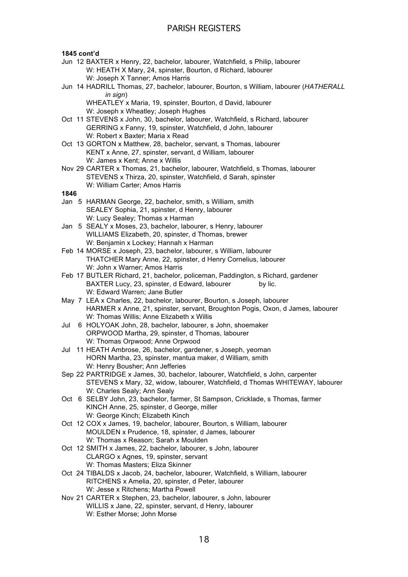### **1845 cont'd** Jun 12 BAXTER x Henry, 22, bachelor, labourer, Watchfield, s Philip, labourer W: HEATH X Mary, 24, spinster, Bourton, d Richard, labourer W: Joseph X Tanner; Amos Harris Jun 14 HADRILL Thomas, 27, bachelor, labourer, Bourton, s William, labourer (*HATHERALL in sign*) WHEATLEY x Maria, 19, spinster, Bourton, d David, labourer W: Joseph x Wheatley; Joseph Hughes Oct 11 STEVENS x John, 30, bachelor, labourer, Watchfield, s Richard, labourer GERRING x Fanny, 19, spinster, Watchfield, d John, labourer W: Robert x Baxter; Maria x Read Oct 13 GORTON x Matthew, 28, bachelor, servant, s Thomas, labourer KENT x Anne, 27, spinster, servant, d William, labourer W: James x Kent; Anne x Willis Nov 29 CARTER x Thomas, 21, bachelor, labourer, Watchfield, s Thomas, labourer STEVENS x Thirza, 20, spinster, Watchfield, d Sarah, spinster W: William Carter; Amos Harris **1846** Jan 5 HARMAN George, 22, bachelor, smith, s William, smith SEALEY Sophia, 21, spinster, d Henry, labourer W: Lucy Sealey; Thomas x Harman Jan 5 SEALY x Moses, 23, bachelor, labourer, s Henry, labourer WILLIAMS Elizabeth, 20, spinster, d Thomas, brewer W: Benjamin x Lockey; Hannah x Harman Feb 14 MORSE x Joseph, 23, bachelor, labourer, s William, labourer THATCHER Mary Anne, 22, spinster, d Henry Cornelius, labourer W: John x Warner; Amos Harris Feb 17 BUTLER Richard, 21, bachelor, policeman, Paddington, s Richard, gardener BAXTER Lucy, 23, spinster, d Edward, labourer by lic. W: Edward Warren; Jane Butler May 7 LEA x Charles, 22, bachelor, labourer, Bourton, s Joseph, labourer HARMER x Anne, 21, spinster, servant, Broughton Pogis, Oxon, d James, labourer W: Thomas Willis; Anne Elizabeth x Willis Jul 6 HOLYOAK John, 28, bachelor, labourer, s John, shoemaker ORPWOOD Martha, 29, spinster, d Thomas, labourer W: Thomas Orpwood; Anne Orpwood Jul 11 HEATH Ambrose, 26, bachelor, gardener, s Joseph, yeoman HORN Martha, 23, spinster, mantua maker, d William, smith W: Henry Bousher; Ann Jefferies Sep 22 PARTRIDGE x James, 30, bachelor, labourer, Watchfield, s John, carpenter STEVENS x Mary, 32, widow, labourer, Watchfield, d Thomas WHITEWAY, labourer W: Charles Sealy; Ann Sealy Oct 6 SELBY John, 23, bachelor, farmer, St Sampson, Cricklade, s Thomas, farmer KINCH Anne, 25, spinster, d George, miller W: George Kinch: Elizabeth Kinch Oct 12 COX x James, 19, bachelor, labourer, Bourton, s William, labourer MOULDEN x Prudence, 18, spinster, d James, labourer W: Thomas x Reason; Sarah x Moulden Oct 12 SMITH x James, 22, bachelor, labourer, s John, labourer CLARGO x Agnes, 19, spinster, servant W: Thomas Masters; Eliza Skinner Oct 24 TIBALDS x Jacob, 24, bachelor, labourer, Watchfield, s William, labourer RITCHENS x Amelia, 20, spinster, d Peter, labourer W: Jesse x Ritchens; Martha Powell Nov 21 CARTER x Stephen, 23, bachelor, labourer, s John, labourer WILLIS x Jane, 22, spinster, servant, d Henry, labourer W: Esther Morse; John Morse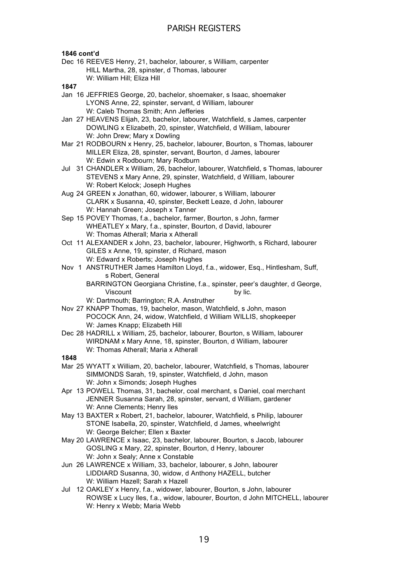### **1846 cont'd**

Dec 16 REEVES Henry, 21, bachelor, labourer, s William, carpenter HILL Martha, 28, spinster, d Thomas, labourer W: William Hill; Eliza Hill

- Jan 16 JEFFRIES George, 20, bachelor, shoemaker, s Isaac, shoemaker LYONS Anne, 22, spinster, servant, d William, labourer W: Caleb Thomas Smith; Ann Jefferies
- Jan 27 HEAVENS Elijah, 23, bachelor, labourer, Watchfield, s James, carpenter DOWLING x Elizabeth, 20, spinster, Watchfield, d William, labourer W: John Drew; Mary x Dowling
- Mar 21 RODBOURN x Henry, 25, bachelor, labourer, Bourton, s Thomas, labourer MILLER Eliza, 28, spinster, servant, Bourton, d James, labourer W: Edwin x Rodbourn; Mary Rodburn
- Jul 31 CHANDLER x William, 26, bachelor, labourer, Watchfield, s Thomas, labourer STEVENS x Mary Anne, 29, spinster, Watchfield, d William, labourer W: Robert Kelock; Joseph Hughes
- Aug 24 GREEN x Jonathan, 60, widower, labourer, s William, labourer CLARK x Susanna, 40, spinster, Beckett Leaze, d John, labourer W: Hannah Green; Joseph x Tanner
- Sep 15 POVEY Thomas, f.a., bachelor, farmer, Bourton, s John, farmer WHEATLEY x Mary, f.a., spinster, Bourton, d David, labourer W: Thomas Atherall; Maria x Atherall
- Oct 11 ALEXANDER x John, 23, bachelor, labourer, Highworth, s Richard, labourer GILES x Anne, 19, spinster, d Richard, mason W: Edward x Roberts; Joseph Hughes
- Nov 1 ANSTRUTHER James Hamilton Lloyd, f.a., widower, Esq., Hintlesham, Suff, s Robert, General
	- BARRINGTON Georgiana Christine, f.a., spinster, peer's daughter, d George, Viscount by lic.
	- W: Dartmouth; Barrington; R.A. Anstruther
- Nov 27 KNAPP Thomas, 19, bachelor, mason, Watchfield, s John, mason POCOCK Ann, 24, widow, Watchfield, d William WILLIS, shopkeeper W: James Knapp; Elizabeth Hill
- Dec 28 HADRILL x William, 25, bachelor, labourer, Bourton, s William, labourer WIRDNAM x Mary Anne, 18, spinster, Bourton, d William, labourer W: Thomas Atherall; Maria x Atherall
- **1848**
- Mar 25 WYATT x William, 20, bachelor, labourer, Watchfield, s Thomas, labourer SIMMONDS Sarah, 19, spinster, Watchfield, d John, mason W: John x Simonds; Joseph Hughes
- Apr 13 POWELL Thomas, 31, bachelor, coal merchant, s Daniel, coal merchant JENNER Susanna Sarah, 28, spinster, servant, d William, gardener W: Anne Clements; Henry Iles
- May 13 BAXTER x Robert, 21, bachelor, labourer, Watchfield, s Philip, labourer STONE Isabella, 20, spinster, Watchfield, d James, wheelwright W: George Belcher; Ellen x Baxter
- May 20 LAWRENCE x Isaac, 23, bachelor, labourer, Bourton, s Jacob, labourer GOSLING x Mary, 22, spinster, Bourton, d Henry, labourer W: John x Sealy; Anne x Constable
- Jun 26 LAWRENCE x William, 33, bachelor, labourer, s John, labourer LIDDIARD Susanna, 30, widow, d Anthony HAZELL, butcher W: William Hazell; Sarah x Hazell
- Jul 12 OAKLEY x Henry, f.a., widower, labourer, Bourton, s John, labourer ROWSE x Lucy Iles, f.a., widow, labourer, Bourton, d John MITCHELL, labourer W: Henry x Webb; Maria Webb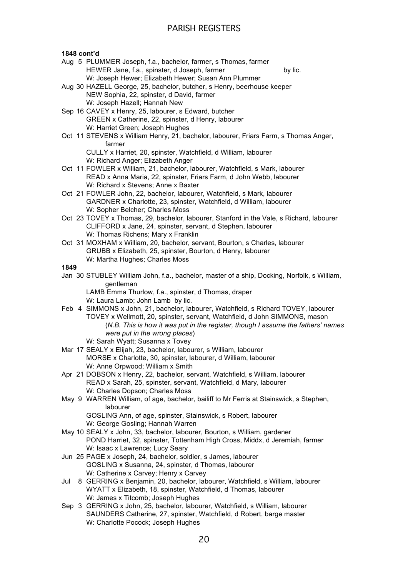### **1848 cont'd**

- Aug 5 PLUMMER Joseph, f.a., bachelor, farmer, s Thomas, farmer HEWER Jane, f.a., spinster, d Joseph, farmer by lic. W: Joseph Hewer; Elizabeth Hewer; Susan Ann Plummer
- Aug 30 HAZELL George, 25, bachelor, butcher, s Henry, beerhouse keeper NEW Sophia, 22, spinster, d David, farmer W: Joseph Hazell; Hannah New
- Sep 16 CAVEY x Henry, 25, labourer, s Edward, butcher GREEN x Catherine, 22, spinster, d Henry, labourer W: Harriet Green; Joseph Hughes
- Oct 11 STEVENS x William Henry, 21, bachelor, labourer, Friars Farm, s Thomas Anger, farmer

CULLY x Harriet, 20, spinster, Watchfield, d William, labourer W: Richard Anger; Elizabeth Anger

- Oct 11 FOWLER x William, 21, bachelor, labourer, Watchfield, s Mark, labourer READ x Anna Maria, 22, spinster, Friars Farm, d John Webb, labourer W: Richard x Stevens; Anne x Baxter
- Oct 21 FOWLER John, 22, bachelor, labourer, Watchfield, s Mark, labourer GARDNER x Charlotte, 23, spinster, Watchfield, d William, labourer W: Sopher Belcher; Charles Moss
- Oct 23 TOVEY x Thomas, 29, bachelor, labourer, Stanford in the Vale, s Richard, labourer CLIFFORD x Jane, 24, spinster, servant, d Stephen, labourer W: Thomas Richens; Mary x Franklin
- Oct 31 MOXHAM x William, 20, bachelor, servant, Bourton, s Charles, labourer GRUBB x Elizabeth, 25, spinster, Bourton, d Henry, labourer W: Martha Hughes; Charles Moss

### **1849**

Jan 30 STUBLEY William John, f.a., bachelor, master of a ship, Docking, Norfolk, s William, gentleman

LAMB Emma Thurlow, f.a., spinster, d Thomas, draper W: Laura Lamb; John Lamb by lic.

- Feb 4 SIMMONS x John, 21, bachelor, labourer, Watchfield, s Richard TOVEY, labourer TOVEY x Wellmott, 20, spinster, servant, Watchfield, d John SIMMONS, mason (*N.B. This is how it was put in the register, though I assume the fathers' names were put in the wrong places*)
	- W: Sarah Wyatt; Susanna x Tovey
- Mar 17 SEALY x Elijah, 23, bachelor, labourer, s William, labourer MORSE x Charlotte, 30, spinster, labourer, d William, labourer W: Anne Orpwood; William x Smith
- Apr 21 DOBSON x Henry, 22, bachelor, servant, Watchfield, s William, labourer READ x Sarah, 25, spinster, servant, Watchfield, d Mary, labourer W: Charles Dopson; Charles Moss
- May 9 WARREN William, of age, bachelor, bailiff to Mr Ferris at Stainswick, s Stephen, labourer

GOSLING Ann, of age, spinster, Stainswick, s Robert, labourer W: George Gosling; Hannah Warren

- May 10 SEALY x John, 33, bachelor, labourer, Bourton, s William, gardener POND Harriet, 32, spinster, Tottenham High Cross, Middx, d Jeremiah, farmer W: Isaac x Lawrence; Lucy Seary
- Jun 25 PAGE x Joseph, 24, bachelor, soldier, s James, labourer GOSLING x Susanna, 24, spinster, d Thomas, labourer W: Catherine x Carvey; Henry x Carvey
- Jul 8 GERRING x Benjamin, 20, bachelor, labourer, Watchfield, s William, labourer WYATT x Elizabeth, 18, spinster, Watchfield, d Thomas, labourer W: James x Titcomb; Joseph Hughes
- Sep 3 GERRING x John, 25, bachelor, labourer, Watchfield, s William, labourer SAUNDERS Catherine, 27, spinster, Watchfield, d Robert, barge master W: Charlotte Pocock; Joseph Hughes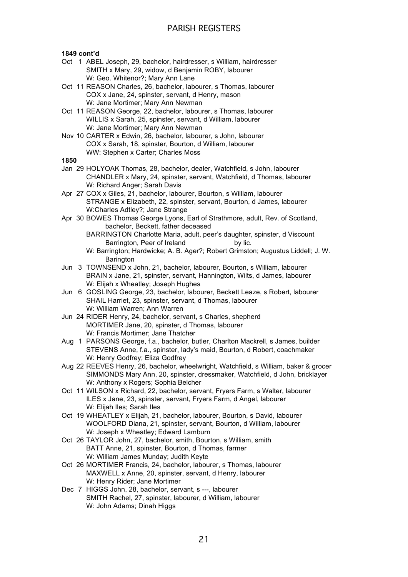### **1849 cont'd**

- Oct 1 ABEL Joseph, 29, bachelor, hairdresser, s William, hairdresser SMITH x Mary, 29, widow, d Benjamin ROBY, labourer W: Geo. Whitenor?; Mary Ann Lane
- Oct 11 REASON Charles, 26, bachelor, labourer, s Thomas, labourer COX x Jane, 24, spinster, servant, d Henry, mason W: Jane Mortimer; Mary Ann Newman
- Oct 11 REASON George, 22, bachelor, labourer, s Thomas, labourer WILLIS x Sarah, 25, spinster, servant, d William, labourer W: Jane Mortimer; Mary Ann Newman
- Nov 10 CARTER x Edwin, 26, bachelor, labourer, s John, labourer COX x Sarah, 18, spinster, Bourton, d William, labourer WW: Stephen x Carter; Charles Moss

- Jan 29 HOLYOAK Thomas, 28, bachelor, dealer, Watchfield, s John, labourer CHANDLER x Mary, 24, spinster, servant, Watchfield, d Thomas, labourer W: Richard Anger; Sarah Davis
- Apr 27 COX x Giles, 21, bachelor, labourer, Bourton, s William, labourer STRANGE x Elizabeth, 22, spinster, servant, Bourton, d James, labourer W:Charles Adtley?; Jane Strange
- Apr 30 BOWES Thomas George Lyons, Earl of Strathmore, adult, Rev. of Scotland, bachelor, Beckett, father deceased
	- BARRINGTON Charlotte Maria, adult, peer's daughter, spinster, d Viscount Barrington, Peer of Ireland by lic.
	- W: Barrington; Hardwicke; A. B. Ager?; Robert Grimston; Augustus Liddell; J. W. **Barington**
- Jun 3 TOWNSEND x John, 21, bachelor, labourer, Bourton, s William, labourer BRAIN x Jane, 21, spinster, servant, Hannington, Wilts, d James, labourer W: Elijah x Wheatley; Joseph Hughes
- Jun 6 GOSLING George, 23, bachelor, labourer, Beckett Leaze, s Robert, labourer SHAIL Harriet, 23, spinster, servant, d Thomas, labourer W: William Warren; Ann Warren
- Jun 24 RIDER Henry, 24, bachelor, servant, s Charles, shepherd MORTIMER Jane, 20, spinster, d Thomas, labourer W: Francis Mortimer; Jane Thatcher
- Aug 1 PARSONS George, f.a., bachelor, butler, Charlton Mackrell, s James, builder STEVENS Anne, f.a., spinster, lady's maid, Bourton, d Robert, coachmaker W: Henry Godfrey; Eliza Godfrey
- Aug 22 REEVES Henry, 26, bachelor, wheelwright, Watchfield, s William, baker & grocer SIMMONDS Mary Ann, 20, spinster, dressmaker, Watchfield, d John, bricklayer W: Anthony x Rogers; Sophia Belcher
- Oct 11 WILSON x Richard, 22, bachelor, servant, Fryers Farm, s Walter, labourer ILES x Jane, 23, spinster, servant, Fryers Farm, d Angel, labourer W: Elijah Iles; Sarah Iles
- Oct 19 WHEATLEY x Elijah, 21, bachelor, labourer, Bourton, s David, labourer WOOLFORD Diana, 21, spinster, servant, Bourton, d William, labourer W: Joseph x Wheatley; Edward Lamburn
- Oct 26 TAYLOR John, 27, bachelor, smith, Bourton, s William, smith BATT Anne, 21, spinster, Bourton, d Thomas, farmer W: William James Munday; Judith Keyte
- Oct 26 MORTIMER Francis, 24, bachelor, labourer, s Thomas, labourer MAXWELL x Anne, 20, spinster, servant, d Henry, labourer W: Henry Rider; Jane Mortimer
- Dec 7 HIGGS John, 28, bachelor, servant, s ---, labourer SMITH Rachel, 27, spinster, labourer, d William, labourer W: John Adams; Dinah Higgs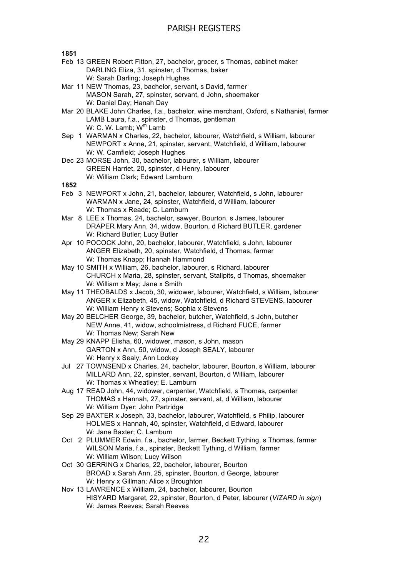**1851**

- Feb 13 GREEN Robert Fitton, 27, bachelor, grocer, s Thomas, cabinet maker DARLING Eliza, 31, spinster, d Thomas, baker W: Sarah Darling; Joseph Hughes
- Mar 11 NEW Thomas, 23, bachelor, servant, s David, farmer MASON Sarah, 27, spinster, servant, d John, shoemaker W: Daniel Day; Hanah Day
- Mar 20 BLAKE John Charles, f.a., bachelor, wine merchant, Oxford, s Nathaniel, farmer LAMB Laura, f.a., spinster, d Thomas, gentleman W: C. W. Lamb; W<sup>m</sup> Lamb
- Sep 1 WARMAN x Charles, 22, bachelor, labourer, Watchfield, s William, labourer NEWPORT x Anne, 21, spinster, servant, Watchfield, d William, labourer W: W. Camfield; Joseph Hughes
- Dec 23 MORSE John, 30, bachelor, labourer, s William, labourer GREEN Harriet, 20, spinster, d Henry, labourer W: William Clark; Edward Lamburn

- Feb 3 NEWPORT x John, 21, bachelor, labourer, Watchfield, s John, labourer WARMAN x Jane, 24, spinster, Watchfield, d William, labourer W: Thomas x Reade; C. Lamburn
- Mar 8 LEE x Thomas, 24, bachelor, sawyer, Bourton, s James, labourer DRAPER Mary Ann, 34, widow, Bourton, d Richard BUTLER, gardener W: Richard Butler; Lucy Butler
- Apr 10 POCOCK John, 20, bachelor, labourer, Watchfield, s John, labourer ANGER Elizabeth, 20, spinster, Watchfield, d Thomas, farmer W: Thomas Knapp; Hannah Hammond
- May 10 SMITH x William, 26, bachelor, labourer, s Richard, labourer CHURCH x Maria, 28, spinster, servant, Stallpits, d Thomas, shoemaker W: William x May; Jane x Smith
- May 11 THEOBALDS x Jacob, 30, widower, labourer, Watchfield, s William, labourer ANGER x Elizabeth, 45, widow, Watchfield, d Richard STEVENS, labourer W: William Henry x Stevens; Sophia x Stevens
- May 20 BELCHER George, 39, bachelor, butcher, Watchfield, s John, butcher NEW Anne, 41, widow, schoolmistress, d Richard FUCE, farmer W: Thomas New; Sarah New
- May 29 KNAPP Elisha, 60, widower, mason, s John, mason GARTON x Ann, 50, widow, d Joseph SEALY, labourer W: Henry x Sealy; Ann Lockey
- Jul 27 TOWNSEND x Charles, 24, bachelor, labourer, Bourton, s William, labourer MILLARD Ann, 22, spinster, servant, Bourton, d William, labourer W: Thomas x Wheatley; E. Lamburn
- Aug 17 READ John, 44, widower, carpenter, Watchfield, s Thomas, carpenter THOMAS x Hannah, 27, spinster, servant, at, d William, labourer W: William Dyer; John Partridge
- Sep 29 BAXTER x Joseph, 33, bachelor, labourer, Watchfield, s Philip, labourer HOLMES x Hannah, 40, spinster, Watchfield, d Edward, labourer W: Jane Baxter; C. Lamburn
- Oct 2 PLUMMER Edwin, f.a., bachelor, farmer, Beckett Tything, s Thomas, farmer WILSON Maria, f.a., spinster, Beckett Tything, d William, farmer W: William Wilson; Lucy Wilson
- Oct 30 GERRING x Charles, 22, bachelor, labourer, Bourton BROAD x Sarah Ann, 25, spinster, Bourton, d George, labourer W: Henry x Gillman; Alice x Broughton
- Nov 13 LAWRENCE x William, 24, bachelor, labourer, Bourton HISYARD Margaret, 22, spinster, Bourton, d Peter, labourer (*VIZARD in sign*) W: James Reeves; Sarah Reeves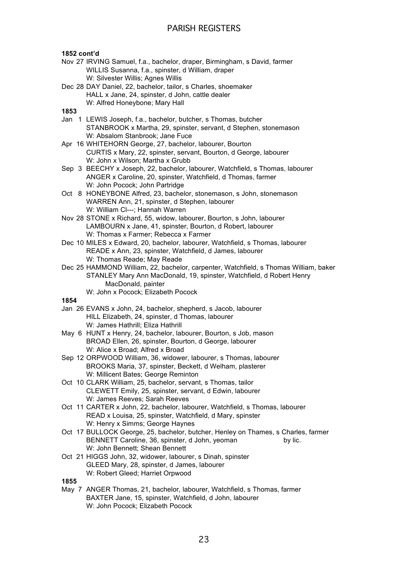### **1852 cont'd**

- Nov 27 IRVING Samuel, f.a., bachelor, draper, Birmingham, s David, farmer WILLIS Susanna, f.a., spinster, d William, draper W: Silvester Willis; Agnes Willis
- Dec 28 DAY Daniel, 22, bachelor, tailor, s Charles, shoemaker HALL x Jane, 24, spinster, d John, cattle dealer W: Alfred Honeybone; Mary Hall

### **1853**

- Jan 1 LEWIS Joseph, f.a., bachelor, butcher, s Thomas, butcher STANBROOK x Martha, 29, spinster, servant, d Stephen, stonemason W: Absalom Stanbrook; Jane Fuce
- Apr 16 WHITEHORN George, 27, bachelor, labourer, Bourton CURTIS x Mary, 22, spinster, servant, Bourton, d George, labourer W: John x Wilson; Martha x Grubb
- Sep 3 BEECHY x Joseph, 22, bachelor, labourer, Watchfield, s Thomas, labourer ANGER x Caroline, 20, spinster, Watchfield, d Thomas, farmer W: John Pocock; John Partridge
- Oct 8 HONEYBONE Alfred, 23, bachelor, stonemason, s John, stonemason WARREN Ann, 21, spinster, d Stephen, labourer W: William Cl---; Hannah Warren
- Nov 28 STONE x Richard, 55, widow, labourer, Bourton, s John, labourer LAMBOURN x Jane, 41, spinster, Bourton, d Robert, labourer W: Thomas x Farmer; Rebecca x Farmer
- Dec 10 MILES x Edward, 20, bachelor, labourer, Watchfield, s Thomas, labourer READE x Ann, 23, spinster, Watchfield, d James, labourer W: Thomas Reade; May Reade
- Dec 25 HAMMOND William, 22, bachelor, carpenter, Watchfield, s Thomas William, baker STANLEY Mary Ann MacDonald, 19, spinster, Watchfield, d Robert Henry MacDonald, painter
	- W: John x Pocock; Elizabeth Pocock

### **1854**

- Jan 26 EVANS x John, 24, bachelor, shepherd, s Jacob, labourer HILL Elizabeth, 24, spinster, d Thomas, labourer W: James Hathrill; Eliza Hathrill
- May 6 HUNT x Henry, 24, bachelor, labourer, Bourton, s Job, mason BROAD Ellen, 26, spinster, Bourton, d George, labourer W: Alice x Broad; Alfred x Broad
- Sep 12 ORPWOOD William, 36, widower, labourer, s Thomas, labourer BROOKS Maria, 37, spinster, Beckett, d Welham, plasterer W: Millicent Bates; George Reminton
- Oct 10 CLARK William, 25, bachelor, servant, s Thomas, tailor CLEWETT Emily, 25, spinster, servant, d Edwin, labourer W: James Reeves; Sarah Reeves
- Oct 11 CARTER x John, 22, bachelor, labourer, Watchfield, s Thomas, labourer READ x Louisa, 25, spinster, Watchfield, d Mary, spinster W: Henry x Simms; George Haynes
- Oct 17 BULLOCK George, 25, bachelor, butcher, Henley on Thames, s Charles, farmer BENNETT Caroline, 36, spinster, d John, yeoman by lic. W: John Bennett; Shean Bennett
- Oct 21 HIGGS John, 32, widower, labourer, s Dinah, spinster GLEED Mary, 28, spinster, d James, labourer W: Robert Gleed; Harriet Orpwood

### **1855**

May 7 ANGER Thomas, 21, bachelor, labourer, Watchfield, s Thomas, farmer BAXTER Jane, 15, spinster, Watchfield, d John, labourer W: John Pocock; Elizabeth Pocock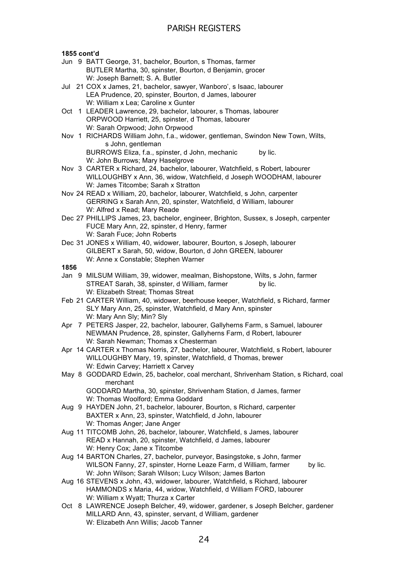### **1855 cont'd**

- Jun 9 BATT George, 31, bachelor, Bourton, s Thomas, farmer BUTLER Martha, 30, spinster, Bourton, d Benjamin, grocer W: Joseph Barnett; S. A. Butler
- Jul 21 COX x James, 21, bachelor, sawyer, Wanboro', s Isaac, labourer LEA Prudence, 20, spinster, Bourton, d James, labourer W: William x Lea; Caroline x Gunter
- Oct 1 LEADER Lawrence, 29, bachelor, labourer, s Thomas, labourer ORPWOOD Harriett, 25, spinster, d Thomas, labourer W: Sarah Orpwood; John Orpwood
- Nov 1 RICHARDS William John, f.a., widower, gentleman, Swindon New Town, Wilts, s John, gentleman

BURROWS Eliza, f.a., spinster, d John, mechanic by lic. W: John Burrows; Mary Haselgrove

- Nov 3 CARTER x Richard, 24, bachelor, labourer, Watchfield, s Robert, labourer WILLOUGHBY x Ann, 36, widow, Watchfield, d Joseph WOODHAM, labourer W: James Titcombe; Sarah x Stratton
- Nov 24 READ x William, 20, bachelor, labourer, Watchfield, s John, carpenter GERRING x Sarah Ann, 20, spinster, Watchfield, d William, labourer W: Alfred x Read; Mary Reade
- Dec 27 PHILLIPS James, 23, bachelor, engineer, Brighton, Sussex, s Joseph, carpenter FUCE Mary Ann, 22, spinster, d Henry, farmer W: Sarah Fuce; John Roberts
- Dec 31 JONES x William, 40, widower, labourer, Bourton, s Joseph, labourer GILBERT x Sarah, 50, widow, Bourton, d John GREEN, labourer W: Anne x Constable; Stephen Warner

**1856**

- Jan 9 MILSUM William, 39, widower, mealman, Bishopstone, Wilts, s John, farmer STREAT Sarah, 38, spinster, d William, farmer by lic. W: Elizabeth Streat; Thomas Streat
- Feb 21 CARTER William, 40, widower, beerhouse keeper, Watchfield, s Richard, farmer SLY Mary Ann, 25, spinster, Watchfield, d Mary Ann, spinster W: Mary Ann Sly; Min? Sly
- Apr 7 PETERS Jasper, 22, bachelor, labourer, Gallyherns Farm, s Samuel, labourer NEWMAN Prudence, 28, spinster, Gallyherns Farm, d Robert, labourer W: Sarah Newman; Thomas x Chesterman
- Apr 14 CARTER x Thomas Norris, 27, bachelor, labourer, Watchfield, s Robert, labourer WILLOUGHBY Mary, 19, spinster, Watchfield, d Thomas, brewer W: Edwin Carvey: Harriett x Carvey
- May 8 GODDARD Edwin, 25, bachelor, coal merchant, Shrivenham Station, s Richard, coal merchant

GODDARD Martha, 30, spinster, Shrivenham Station, d James, farmer W: Thomas Woolford; Emma Goddard

- Aug 9 HAYDEN John, 21, bachelor, labourer, Bourton, s Richard, carpenter BAXTER x Ann, 23, spinster, Watchfield, d John, labourer W: Thomas Anger; Jane Anger
- Aug 11 TITCOMB John, 26, bachelor, labourer, Watchfield, s James, labourer READ x Hannah, 20, spinster, Watchfield, d James, labourer W: Henry Cox; Jane x Titcombe
- Aug 14 BARTON Charles, 27, bachelor, purveyor, Basingstoke, s John, farmer WILSON Fanny, 27, spinster, Horne Leaze Farm, d William, farmer by lic. W: John Wilson; Sarah Wilson; Lucy Wilson; James Barton
- Aug 16 STEVENS x John, 43, widower, labourer, Watchfield, s Richard, labourer HAMMONDS x Maria, 44, widow, Watchfield, d William FORD, labourer W: William x Wyatt; Thurza x Carter
- Oct 8 LAWRENCE Joseph Belcher, 49, widower, gardener, s Joseph Belcher, gardener MILLARD Ann, 43, spinster, servant, d William, gardener W: Elizabeth Ann Willis; Jacob Tanner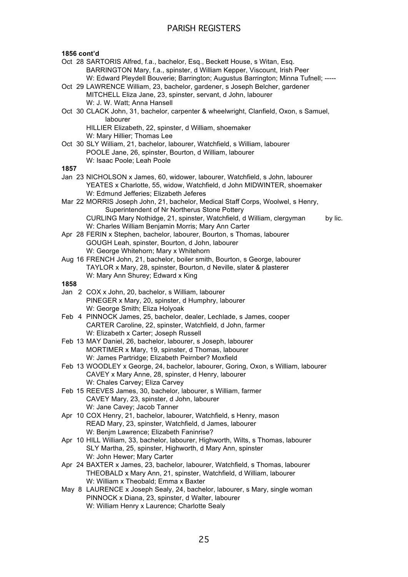### **1856 cont'd**

- Oct 28 SARTORIS Alfred, f.a., bachelor, Esq., Beckett House, s Witan, Esq. BARRINGTON Mary, f.a., spinster, d William Kepper, Viscount, Irish Peer W: Edward Pleydell Bouverie; Barrington; Augustus Barrington; Minna Tufnell; -----
- Oct 29 LAWRENCE William, 23, bachelor, gardener, s Joseph Belcher, gardener MITCHELL Eliza Jane, 23, spinster, servant, d John, labourer W: J. W. Watt; Anna Hansell
- Oct 30 CLACK John, 31, bachelor, carpenter & wheelwright, Clanfield, Oxon, s Samuel, labourer

HILLIER Elizabeth, 22, spinster, d William, shoemaker W: Mary Hillier; Thomas Lee

Oct 30 SLY William, 21, bachelor, labourer, Watchfield, s William, labourer POOLE Jane, 26, spinster, Bourton, d William, labourer W: Isaac Poole; Leah Poole

### **1857**

- Jan 23 NICHOLSON x James, 60, widower, labourer, Watchfield, s John, labourer YEATES x Charlotte, 55, widow, Watchfield, d John MIDWINTER, shoemaker W: Edmund Jefferies; Elizabeth Jeferes
- Mar 22 MORRIS Joseph John, 21, bachelor, Medical Staff Corps, Woolwel, s Henry, Superintendent of Nr Northerus Stone Pottery CURLING Mary Nothidge, 21, spinster, Watchfield, d William, clergyman by lic. W: Charles William Benjamin Morris; Mary Ann Carter
- Apr 28 FERIN x Stephen, bachelor, labourer, Bourton, s Thomas, labourer GOUGH Leah, spinster, Bourton, d John, labourer W: George Whitehorn; Mary x Whitehorn
- Aug 16 FRENCH John, 21, bachelor, boiler smith, Bourton, s George, labourer TAYLOR x Mary, 28, spinster, Bourton, d Neville, slater & plasterer W: Mary Ann Shurey; Edward x King

- Jan 2 COX x John, 20, bachelor, s William, labourer PINEGER x Mary, 20, spinster, d Humphry, labourer W: George Smith; Eliza Holyoak
- Feb 4 PINNOCK James, 25, bachelor, dealer, Lechlade, s James, cooper CARTER Caroline, 22, spinster, Watchfield, d John, farmer W: Elizabeth x Carter; Joseph Russell
- Feb 13 MAY Daniel, 26, bachelor, labourer, s Joseph, labourer MORTIMER x Mary, 19, spinster, d Thomas, labourer W: James Partridge; Elizabeth Peirnber? Moxfield
- Feb 13 WOODLEY x George, 24, bachelor, labourer, Goring, Oxon, s William, labourer CAVEY x Mary Anne, 28, spinster, d Henry, labourer W: Chales Carvey; Eliza Carvey
- Feb 15 REEVES James, 30, bachelor, labourer, s William, farmer CAVEY Mary, 23, spinster, d John, labourer W: Jane Cavey; Jacob Tanner
- Apr 10 COX Henry, 21, bachelor, labourer, Watchfield, s Henry, mason READ Mary, 23, spinster, Watchfield, d James, labourer W: Benim Lawrence: Elizabeth Faninrise?
- Apr 10 HILL William, 33, bachelor, labourer, Highworth, Wilts, s Thomas, labourer SLY Martha, 25, spinster, Highworth, d Mary Ann, spinster W: John Hewer; Mary Carter
- Apr 24 BAXTER x James, 23, bachelor, labourer, Watchfield, s Thomas, labourer THEOBALD x Mary Ann, 21, spinster, Watchfield, d William, labourer W: William x Theobald; Emma x Baxter
- May 8 LAURENCE x Joseph Sealy, 24, bachelor, labourer, s Mary, single woman PINNOCK x Diana, 23, spinster, d Walter, labourer W: William Henry x Laurence; Charlotte Sealy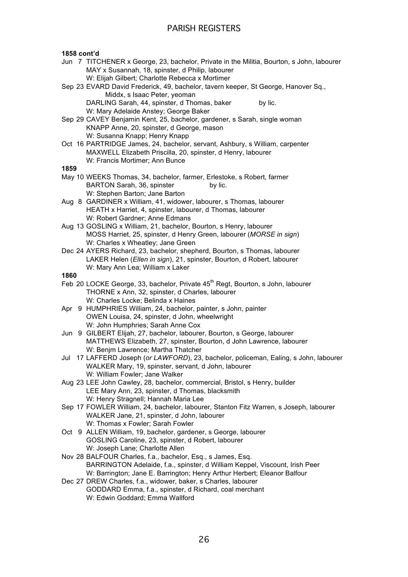**1858 cont'd** Jun 7 TITCHENER x George, 23, bachelor, Private in the Militia, Bourton, s John, labourer MAY x Susannah, 18, spinster, d Philip, labourer W: Elijah Gilbert; Charlotte Rebecca x Mortimer Sep 23 EVARD David Frederick, 49, bachelor, tavern keeper, St George, Hanover Sq., Middx, s Isaac Peter, yeoman DARLING Sarah, 44, spinster, d Thomas, baker by lic. W: Mary Adelaide Anstey; George Baker Sep 29 CAVEY Benjamin Kent, 25, bachelor, gardener, s Sarah, single woman KNAPP Anne, 20, spinster, d George, mason W: Susanna Knapp; Henry Knapp Oct 16 PARTRIDGE James, 24, bachelor, servant, Ashbury, s William, carpenter MAXWELL Elizabeth Priscilla, 20, spinster, d Henry, labourer W: Francis Mortimer; Ann Bunce **1859** May 10 WEEKS Thomas, 34, bachelor, farmer, Erlestoke, s Robert, farmer BARTON Sarah, 36, spinster by lic. W: Stephen Barton; Jane Barton Aug 8 GARDINER x William, 41, widower, labourer, s Thomas, labourer HEATH x Harriet, 4, spinster, labourer, d Thomas, labourer W: Robert Gardner; Anne Edmans Aug 13 GOSLING x William, 21, bachelor, Bourton, s Henry, labourer MOSS Harriet, 25, spinster, d Henry Green, labourer (*MORSE in sign*) W: Charles x Wheatley; Jane Green Dec 24 AYERS Richard, 23, bachelor, shepherd, Bourton, s Thomas, labourer LAKER Helen (*Ellen in sign*), 21, spinster, Bourton, d Robert, labourer W: Mary Ann Lea; William x Laker **1860** Feb 20 LOCKE George, 33, bachelor, Private 45<sup>th</sup> Regt, Bourton, s John, labourer THORNE x Ann, 32, spinster, d Charles, labourer W: Charles Locke; Belinda x Haines Apr 9 HUMPHRIES William, 24, bachelor, painter, s John, painter OWEN Louisa, 24, spinster, d John, wheelwright W: John Humphries; Sarah Anne Cox Jun 9 GILBERT Elijah, 27, bachelor, labourer, Bourton, s George, labourer MATTHEWS Elizabeth, 27, spinster, Bourton, d John Lawrence, labourer W: Benjm Lawrence; Martha Thatcher Jul 17 LAFFERD Joseph (*or LAWFORD*), 23, bachelor, policeman, Ealing, s John, labourer WALKER Mary, 19, spinster, servant, d John, labourer W: William Fowler; Jane Walker Aug 23 LEE John Cawley, 28, bachelor, commercial, Bristol, s Henry, builder LEE Mary Ann, 23, spinster, d Thomas, blacksmith W: Henry Stragnell; Hannah Maria Lee Sep 17 FOWLER William, 24, bachelor, labourer, Stanton Fitz Warren, s Joseph, labourer WALKER Jane, 21, spinster, d John, labourer W: Thomas x Fowler; Sarah Fowler Oct 9 ALLEN William, 19, bachelor, gardener, s George, labourer GOSLING Caroline, 23, spinster, d Robert, labourer W: Joseph Lane; Charlotte Allen Nov 28 BALFOUR Charles, f.a., bachelor, Esq., s James, Esq. BARRINGTON Adelaide, f.a., spinster, d William Keppel, Viscount, Irish Peer W: Barrington; Jane E. Barrington; Henry Arthur Herbert; Eleanor Balfour Dec 27 DREW Charles, f.a., widower, baker, s Charles, labourer GODDARD Emma, f.a., spinster, d Richard, coal merchant W: Edwin Goddard; Emma Wallford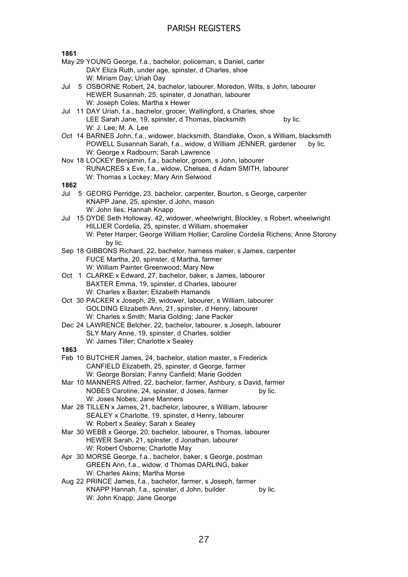**1861**

- May 29 YOUNG George, f.a., bachelor, policeman, s Daniel, carter DAY Eliza Ruth, under age, spinster, d Charles, shoe W: Miriam Day; Uriah Day
- Jul 5 OSBORNE Robert, 24, bachelor, labourer, Moredon, Wilts, s John, labourer HEWER Susannah, 25, spinster, d Jonathan, labourer W: Joseph Coles; Martha x Hewer
- Jul 11 DAY Uriah, f.a., bachelor, grocer, Wallingford, s Charles, shoe LEE Sarah Jane, 19, spinster, d Thomas, blacksmith by lic. W: J. Lee; M. A. Lee
- Oct 14 BARNES John, f.a., widower, blacksmith, Standlake, Oxon, s William, blacksmith POWELL Susannah Sarah, f.a., widow, d William JENNER, gardener by lic. W: George x Radbourn; Sarah Lawrence
- Nov 18 LOCKEY Benjamin, f.a., bachelor, groom, s John, labourer RUNACRES x Eve, f.a., widow, Chelsea, d Adam SMITH, labourer W: Thomas x Lockey; Mary Ann Selwood

### **1862**

- Jul 5 GEORG Perridge, 23, bachelor, carpenter, Bourton, s George, carpenter KNAPP Jane, 25, spinster, d John, mason W: John Iles; Hannah Knapp
- Jul 15 DYDE Seth Holloway, 42, widower, wheelwright, Blockley, s Robert, wheelwright HILLIER Cordelia, 25, spinster, d William, shoemaker W: Peter Harper; George William Hollier; Caroline Cordelia Richens; Anne Storony by lic.
- Sep 18 GIBBONS Richard, 22, bachelor, harness maker, s James, carpenter FUCE Martha, 20, spinster, d Martha, farmer W: William Painter Greenwood; Mary New
- Oct 1 CLARKE x Edward, 27, bachelor, baker, s James, labourer BAXTER Emma, 19, spinster, d Charles, labourer W: Charles x Baxter; Elizabeth Hamands
- Oct 30 PACKER x Joseph, 29, widower, labourer, s William, labourer GOLDING Elizabeth Ann, 21, spinster, d Henry, labourer W: Charles x Smith; Maria Golding; Jane Packer
- Dec 24 LAWRENCE Belcher, 22, bachelor, labourer, s Joseph, labourer SLY Mary Anne, 19, spinster, d Charles, soldier W: James Tiller; Charlotte x Sealey

- Feb 10 BUTCHER James, 24, bachelor, station master, s Frederick CANFIELD Elizabeth, 25, spinster, d George, farmer W: George Borslan; Fanny Canfield; Marie Godden
- Mar 10 MANNERS Alfred, 22, bachelor, farmer, Ashbury, s David, farmer NOBES Caroline, 24, spinster, d Joses, farmer by lic. W: Joses Nobes; Jane Manners
- Mar 28 TILLEN x James, 21, bachelor, labourer, s William, labourer SEALEY x Charlotte, 19, spinster, d Henry, labourer W: Robert x Sealey; Sarah x Sealey
- Mar 30 WEBB x George, 20, bachelor, labourer, s Thomas, labourer HEWER Sarah, 21, spinster, d Jonathan, labourer W: Robert Osborne; Charlotte May
- Apr 30 MORSE George, f.a., bachelor, baker, s George, postman GREEN Ann, f.a., widow, d Thomas DARLING, baker W: Charles Akins; Martha Morse
- Aug 22 PRINCE James, f.a., bachelor, farmer, s Joseph, farmer KNAPP Hannah, f.a., spinster, d John, builder by lic. W: John Knapp; Jane George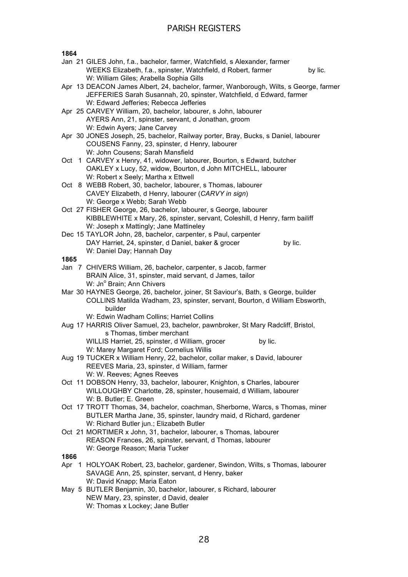**1864** Jan 21 GILES John, f.a., bachelor, farmer, Watchfield, s Alexander, farmer WEEKS Elizabeth, f.a., spinster, Watchfield, d Robert, farmer by lic. W: William Giles; Arabella Sophia Gills Apr 13 DEACON James Albert, 24, bachelor, farmer, Wanborough, Wilts, s George, farmer JEFFERIES Sarah Susannah, 20, spinster, Watchfield, d Edward, farmer W: Edward Jefferies; Rebecca Jefferies Apr 25 CARVEY William, 20, bachelor, labourer, s John, labourer AYERS Ann, 21, spinster, servant, d Jonathan, groom W: Edwin Ayers; Jane Carvey Apr 30 JONES Joseph, 25, bachelor, Railway porter, Bray, Bucks, s Daniel, labourer COUSENS Fanny, 23, spinster, d Henry, labourer W: John Cousens; Sarah Mansfield Oct 1 CARVEY x Henry, 41, widower, labourer, Bourton, s Edward, butcher OAKLEY x Lucy, 52, widow, Bourton, d John MITCHELL, labourer W: Robert x Seely; Martha x Ettwell Oct 8 WEBB Robert, 30, bachelor, labourer, s Thomas, labourer CAVEY Elizabeth, d Henry, labourer (*CARVY in sign*) W: George x Webb; Sarah Webb Oct 27 FISHER George, 26, bachelor, labourer, s George, labourer KIBBLEWHITE x Mary, 26, spinster, servant, Coleshill, d Henry, farm bailiff W: Joseph x Mattingly; Jane Mattineley Dec 15 TAYLOR John, 28, bachelor, carpenter, s Paul, carpenter DAY Harriet, 24, spinster, d Daniel, baker & grocer by lic. W: Daniel Day; Hannah Day **1865** Jan 7 CHIVERS William, 26, bachelor, carpenter, s Jacob, farmer BRAIN Alice, 31, spinster, maid servant, d James, tailor W: Jn<sup>o</sup> Brain; Ann Chivers Mar 30 HAYNES George, 26, bachelor, joiner, St Saviour's, Bath, s George, builder COLLINS Matilda Wadham, 23, spinster, servant, Bourton, d William Ebsworth, builder W: Edwin Wadham Collins; Harriet Collins Aug 17 HARRIS Oliver Samuel, 23, bachelor, pawnbroker, St Mary Radcliff, Bristol, s Thomas, timber merchant WILLIS Harriet, 25, spinster, d William, grocer by lic. W: Marey Margaret Ford; Cornelius Willis Aug 19 TUCKER x William Henry, 22, bachelor, collar maker, s David, labourer REEVES Maria, 23, spinster, d William, farmer W: W. Reeves; Agnes Reeves Oct 11 DOBSON Henry, 33, bachelor, labourer, Knighton, s Charles, labourer WILLOUGHBY Charlotte, 28, spinster, housemaid, d William, labourer W: B. Butler; E. Green Oct 17 TROTT Thomas, 34, bachelor, coachman, Sherborne, Warcs, s Thomas, miner BUTLER Martha Jane, 35, spinster, laundry maid, d Richard, gardener W: Richard Butler jun.; Elizabeth Butler Oct 21 MORTIMER x John, 31, bachelor, labourer, s Thomas, labourer REASON Frances, 26, spinster, servant, d Thomas, labourer W: George Reason; Maria Tucker **1866** Apr 1 HOLYOAK Robert, 23, bachelor, gardener, Swindon, Wilts, s Thomas, labourer SAVAGE Ann, 25, spinster, servant, d Henry, baker W: David Knapp; Maria Eaton May 5 BUTLER Benjamin, 30, bachelor, labourer, s Richard, labourer NEW Mary, 23, spinster, d David, dealer

28

W: Thomas x Lockey; Jane Butler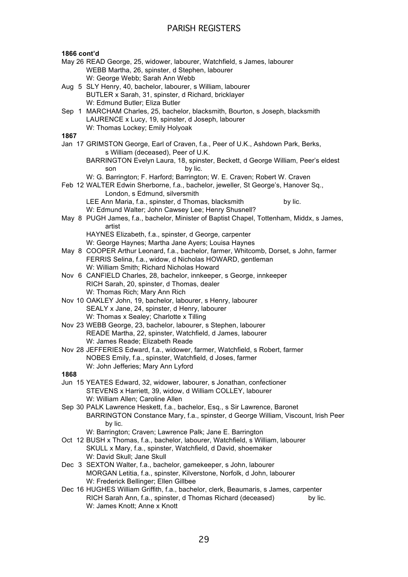### **1866 cont'd** May 26 READ George, 25, widower, labourer, Watchfield, s James, labourer WEBB Martha, 26, spinster, d Stephen, labourer W: George Webb; Sarah Ann Webb Aug 5 SLY Henry, 40, bachelor, labourer, s William, labourer BUTLER x Sarah, 31, spinster, d Richard, bricklayer W: Edmund Butler; Eliza Butler Sep 1 MARCHAM Charles, 25, bachelor, blacksmith, Bourton, s Joseph, blacksmith LAURENCE x Lucy, 19, spinster, d Joseph, labourer W: Thomas Lockey; Emily Holyoak **1867** Jan 17 GRIMSTON George, Earl of Craven, f.a., Peer of U.K., Ashdown Park, Berks, s William (deceased), Peer of U.K. BARRINGTON Evelyn Laura, 18, spinster, Beckett, d George William, Peer's eldest son by lic. W: G. Barrington; F. Harford; Barrington; W. E. Craven; Robert W. Craven Feb 12 WALTER Edwin Sherborne, f.a., bachelor, jeweller, St George's, Hanover Sq., London, s Edmund, silversmith LEE Ann Maria, f.a., spinster, d Thomas, blacksmith by lic. W: Edmund Walter; John Cawsey Lee; Henry Shusnell? May 8 PUGH James, f.a., bachelor, Minister of Baptist Chapel, Tottenham, Middx, s James, artist HAYNES Elizabeth, f.a., spinster, d George, carpenter W: George Haynes; Martha Jane Ayers; Louisa Haynes May 8 COOPER Arthur Leonard, f.a., bachelor, farmer, Whitcomb, Dorset, s John, farmer FERRIS Selina, f.a., widow, d Nicholas HOWARD, gentleman W: William Smith; Richard Nicholas Howard Nov 6 CANFIELD Charles, 28, bachelor, innkeeper, s George, innkeeper RICH Sarah, 20, spinster, d Thomas, dealer W: Thomas Rich; Mary Ann Rich Nov 10 OAKLEY John, 19, bachelor, labourer, s Henry, labourer SEALY x Jane, 24, spinster, d Henry, labourer W: Thomas x Sealey; Charlotte x Tilling Nov 23 WEBB George, 23, bachelor, labourer, s Stephen, labourer READE Martha, 22, spinster, Watchfield, d James, labourer W: James Reade; Elizabeth Reade Nov 28 JEFFERIES Edward, f.a., widower, farmer, Watchfield, s Robert, farmer NOBES Emily, f.a., spinster, Watchfield, d Joses, farmer W: John Jefferies; Mary Ann Lyford **1868** Jun 15 YEATES Edward, 32, widower, labourer, s Jonathan, confectioner STEVENS x Harriett, 39, widow, d William COLLEY, labourer W: William Allen; Caroline Allen Sep 30 PALK Lawrence Heskett, f.a., bachelor, Esq., s Sir Lawrence, Baronet BARRINGTON Constance Mary, f.a., spinster, d George William, Viscount, Irish Peer by lic. W: Barrington; Craven; Lawrence Palk; Jane E. Barrington Oct 12 BUSH x Thomas, f.a., bachelor, labourer, Watchfield, s William, labourer SKULL x Mary, f.a., spinster, Watchfield, d David, shoemaker W: David Skull; Jane Skull Dec 3 SEXTON Walter, f.a., bachelor, gamekeeper, s John, labourer MORGAN Letitia, f.a., spinster, Kilverstone, Norfolk, d John, labourer W: Frederick Bellinger; Ellen Gillbee Dec 16 HUGHES William Griffith, f.a., bachelor, clerk, Beaumaris, s James, carpenter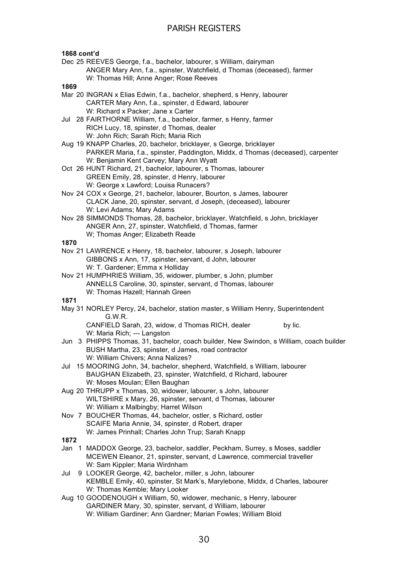### **1868 cont'd**

Dec 25 REEVES George, f.a., bachelor, labourer, s William, dairyman ANGER Mary Ann, f.a., spinster, Watchfield, d Thomas (deceased), farmer W: Thomas Hill; Anne Anger; Rose Reeves

### **1869**

- Mar 20 INGRAN x Elias Edwin, f.a., bachelor, shepherd, s Henry, labourer CARTER Mary Ann, f.a., spinster, d Edward, labourer W: Richard x Packer; Jane x Carter
- Jul 28 FAIRTHORNE William, f.a., bachelor, farmer, s Henry, farmer RICH Lucy, 18, spinster, d Thomas, dealer W: John Rich; Sarah Rich; Maria Rich
- Aug 19 KNAPP Charles, 20, bachelor, bricklayer, s George, bricklayer PARKER Maria, f.a., spinster, Paddington, Middx, d Thomas (deceased), carpenter W: Benjamin Kent Carvey; Mary Ann Wyatt
- Oct 26 HUNT Richard, 21, bachelor, labourer, s Thomas, labourer GREEN Emily, 28, spinster, d Henry, labourer W: George x Lawford; Louisa Runacers?
- Nov 24 COX x George, 21, bachelor, labourer, Bourton, s James, labourer CLACK Jane, 20, spinster, servant, d Joseph, (deceased), labourer W: Levi Adams; Mary Adams
- Nov 28 SIMMONDS Thomas, 28, bachelor, bricklayer, Watchfield, s John, bricklayer ANGER Ann, 27, spinster, Watchfield, d Thomas, farmer W; Thomas Anger; Elizabeth Reade

### **1870**

- Nov 21 LAWRENCE x Henry, 18, bachelor, labourer, s Joseph, labourer GIBBONS x Ann, 17, spinster, servant, d John, labourer W: T. Gardener; Emma x Holliday
- Nov 21 HUMPHRIES William, 35, widower, plumber, s John, plumber ANNELLS Caroline, 30, spinster, servant, d Thomas, labourer W: Thomas Hazell; Hannah Green

**1871**

May 31 NORLEY Percy, 24, bachelor, station master, s William Henry, Superintendent G.W.R.

CANFIELD Sarah, 23, widow, d Thomas RICH, dealer by lic. W: Maria Rich; --- Langston

- Jun 3 PHIPPS Thomas, 31, bachelor, coach builder, New Swindon, s William, coach builder BUSH Martha, 23, spinster, d James, road contractor W: William Chivers; Anna Nalizes?
- Jul 15 MOORING John, 34, bachelor, shepherd, Watchfield, s William, labourer BAUGHAN Elizabeth, 23, spinster, Watchfield, d Richard, labourer W: Moses Moulan; Ellen Baughan
- Aug 20 THRUPP x Thomas, 30, widower, labourer, s John, labourer WILTSHIRE x Mary, 26, spinster, servant, d Thomas, labourer W: William x Malbingby; Harret Wilson
- Nov 7 BOUCHER Thomas, 44, bachelor, ostler, s Richard, ostler SCAIFE Maria Annie, 34, spinster, d Robert, draper W: James Prinhall; Charles John Trup; Sarah Knapp
- **1872**
- Jan 1 MADDOX George, 23, bachelor, saddler, Peckham, Surrey, s Moses, saddler MCEWEN Eleanor, 21, spinster, servant, d Lawrence, commercial traveller W: Sam Kippler; Maria Wirdnham
- Jul 9 LOOKER George, 42, bachelor, miller, s John, labourer KEMBLE Emily, 40, spinster, St Mark's, Marylebone, Middx, d Charles, labourer W: Thomas Kemble; Mary Looker
- Aug 10 GOODENOUGH x William, 50, widower, mechanic, s Henry, labourer GARDINER Mary, 30, spinster, servant, d William, labourer W: William Gardiner; Ann Gardner; Marian Fowles; William Bloid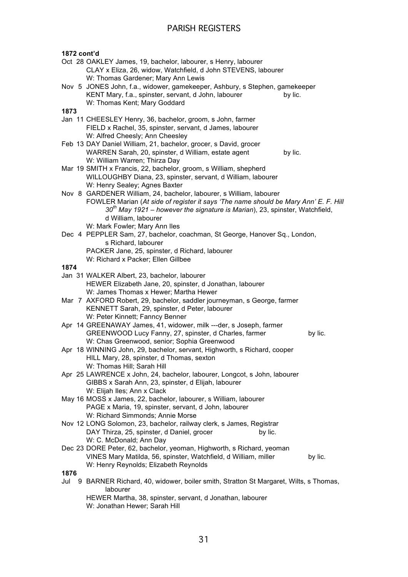| 1872 cont'd |                                                                                         |         |
|-------------|-----------------------------------------------------------------------------------------|---------|
|             | Oct 28 OAKLEY James, 19, bachelor, labourer, s Henry, labourer                          |         |
|             | CLAY x Eliza, 26, widow, Watchfield, d John STEVENS, labourer                           |         |
|             |                                                                                         |         |
|             | W: Thomas Gardener; Mary Ann Lewis                                                      |         |
|             | Nov 5 JONES John, f.a., widower, gamekeeper, Ashbury, s Stephen, gamekeeper             |         |
|             | KENT Mary, f.a., spinster, servant, d John, labourer<br>by lic.                         |         |
|             | W: Thomas Kent; Mary Goddard                                                            |         |
| 1873        |                                                                                         |         |
|             | Jan 11 CHEESLEY Henry, 36, bachelor, groom, s John, farmer                              |         |
|             | FIELD x Rachel, 35, spinster, servant, d James, labourer                                |         |
|             | W: Alfred Cheesly; Ann Cheesley                                                         |         |
|             | Feb 13 DAY Daniel William, 21, bachelor, grocer, s David, grocer                        |         |
|             | WARREN Sarah, 20, spinster, d William, estate agent<br>by lic.                          |         |
|             | W: William Warren; Thirza Day                                                           |         |
|             | Mar 19 SMITH x Francis, 22, bachelor, groom, s William, shepherd                        |         |
|             | WILLOUGHBY Diana, 23, spinster, servant, d William, labourer                            |         |
|             | W: Henry Sealey; Agnes Baxter                                                           |         |
|             | Nov 8 GARDENER William, 24, bachelor, labourer, s William, labourer                     |         |
|             | FOWLER Marian (At side of register it says 'The name should be Mary Ann' E. F. Hill     |         |
|             | $30th$ May 1921 – however the signature is Marian), 23, spinster, Watchfield,           |         |
|             | d William, labourer                                                                     |         |
|             | W: Mark Fowler; Mary Ann Iles                                                           |         |
|             | Dec 4 PEPPLER Sam, 27, bachelor, coachman, St George, Hanover Sq., London,              |         |
|             | s Richard, labourer                                                                     |         |
|             | PACKER Jane, 25, spinster, d Richard, labourer                                          |         |
|             | W: Richard x Packer; Ellen Gillbee                                                      |         |
| 1874        |                                                                                         |         |
|             | Jan 31 WALKER Albert, 23, bachelor, labourer                                            |         |
|             | HEWER Elizabeth Jane, 20, spinster, d Jonathan, labourer                                |         |
|             | W: James Thomas x Hewer; Martha Hewer                                                   |         |
|             | Mar 7 AXFORD Robert, 29, bachelor, saddler journeyman, s George, farmer                 |         |
|             | KENNETT Sarah, 29, spinster, d Peter, labourer                                          |         |
|             | W: Peter Kinnett; Fanncy Benner                                                         |         |
|             | Apr 14 GREENAWAY James, 41, widower, milk ---der, s Joseph, farmer                      |         |
|             | GREENWOOD Lucy Fanny, 27, spinster, d Charles, farmer                                   | by lic. |
|             | W: Chas Greenwood, senior; Sophia Greenwood                                             |         |
|             | Apr 18 WINNING John, 29, bachelor, servant, Highworth, s Richard, cooper                |         |
|             | HILL Mary, 28, spinster, d Thomas, sexton                                               |         |
|             | W: Thomas Hill; Sarah Hill                                                              |         |
|             | Apr 25 LAWRENCE x John, 24, bachelor, labourer, Longcot, s John, labourer               |         |
|             | GIBBS x Sarah Ann, 23, spinster, d Elijah, labourer                                     |         |
|             | W: Elijah Iles; Ann x Clack                                                             |         |
|             | May 16 MOSS x James, 22, bachelor, labourer, s William, labourer                        |         |
|             | PAGE x Maria, 19, spinster, servant, d John, labourer                                   |         |
|             | W: Richard Simmonds; Annie Morse                                                        |         |
|             | Nov 12 LONG Solomon, 23, bachelor, railway clerk, s James, Registrar                    |         |
|             | DAY Thirza, 25, spinster, d Daniel, grocer<br>by lic.                                   |         |
|             | W: C. McDonald; Ann Day                                                                 |         |
|             | Dec 23 DORE Peter, 62, bachelor, yeoman, Highworth, s Richard, yeoman                   |         |
|             | VINES Mary Matilda, 56, spinster, Watchfield, d William, miller                         | by lic. |
|             |                                                                                         |         |
| 1876        | W: Henry Reynolds; Elizabeth Reynolds                                                   |         |
|             | Jul 9 BARNER Richard, 40, widower, boiler smith, Stratton St Margaret, Wilts, s Thomas, |         |
|             | labourer                                                                                |         |
|             |                                                                                         |         |
|             | HEWER Martha, 38, spinster, servant, d Jonathan, labourer                               |         |
|             | W: Jonathan Hewer; Sarah Hill                                                           |         |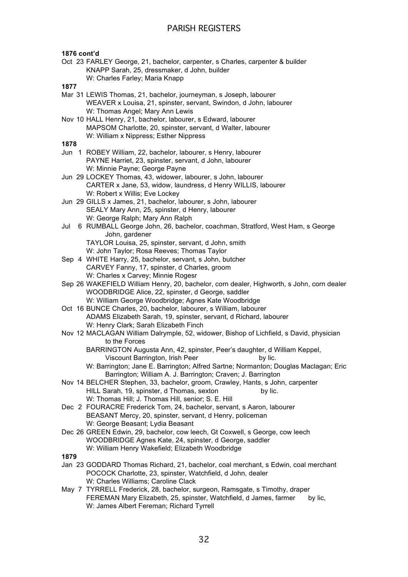### **1876 cont'd**

Oct 23 FARLEY George, 21, bachelor, carpenter, s Charles, carpenter & builder KNAPP Sarah, 25, dressmaker, d John, builder W: Charles Farley; Maria Knapp

### **1877**

- Mar 31 LEWIS Thomas, 21, bachelor, journeyman, s Joseph, labourer WEAVER x Louisa, 21, spinster, servant, Swindon, d John, labourer W: Thomas Angel; Mary Ann Lewis
- Nov 10 HALL Henry, 21, bachelor, labourer, s Edward, labourer MAPSOM Charlotte, 20, spinster, servant, d Walter, labourer W: William x Nippress; Esther Nippress

- Jun 1 ROBEY William, 22, bachelor, labourer, s Henry, labourer PAYNE Harriet, 23, spinster, servant, d John, labourer W: Minnie Payne; George Payne
- Jun 29 LOCKEY Thomas, 43, widower, labourer, s John, labourer CARTER x Jane, 53, widow, laundress, d Henry WILLIS, labourer W: Robert x Willis; Eve Lockey
- Jun 29 GILLS x James, 21, bachelor, labourer, s John, labourer SEALY Mary Ann, 25, spinster, d Henry, labourer W: George Ralph; Mary Ann Ralph
- Jul 6 RUMBALL George John, 26, bachelor, coachman, Stratford, West Ham, s George John, gardener TAYLOR Louisa, 25, spinster, servant, d John, smith W: John Taylor; Rosa Reeves; Thomas Taylor
- Sep 4 WHITE Harry, 25, bachelor, servant, s John, butcher CARVEY Fanny, 17, spinster, d Charles, groom W: Charles x Carvey; Minnie Rogesr
- Sep 26 WAKEFIELD William Henry, 20, bachelor, corn dealer, Highworth, s John, corn dealer WOODBRIDGE Alice, 22, spinster, d George, saddler W: William George Woodbridge; Agnes Kate Woodbridge
- Oct 16 BUNCE Charles, 20, bachelor, labourer, s William, labourer ADAMS Elizabeth Sarah, 19, spinster, servant, d Richard, labourer W: Henry Clark; Sarah Elizabeth Finch
- Nov 12 MACLAGAN William Dalrymple, 52, widower, Bishop of Lichfield, s David, physician to the Forces
	- BARRINGTON Augusta Ann, 42, spinster, Peer's daughter, d William Keppel, Viscount Barrington, Irish Peer by lic.
	- W: Barrington; Jane E. Barrington; Alfred Sartne; Normanton; Douglas Maclagan; Eric Barrington; William A. J. Barrington; Craven; J. Barrington
- Nov 14 BELCHER Stephen, 33, bachelor, groom, Crawley, Hants, s John, carpenter HILL Sarah, 19, spinster, d Thomas, sexton by lic. W: Thomas Hill; J. Thomas Hill, senior; S. E. Hill
- Dec 2 FOURACRE Frederick Tom, 24, bachelor, servant, s Aaron, labourer BEASANT Mercy, 20, spinster, servant, d Henry, policeman W: George Beasant; Lydia Beasant
- Dec 26 GREEN Edwin, 29, bachelor, cow leech, Gt Coxwell, s George, cow leech WOODBRIDGE Agnes Kate, 24, spinster, d George, saddler W: William Henry Wakefield; Elizabeth Woodbridge
- **1879**
- Jan 23 GODDARD Thomas Richard, 21, bachelor, coal merchant, s Edwin, coal merchant POCOCK Charlotte, 23, spinster, Watchfield, d John, dealer W: Charles Williams; Caroline Clack
- May 7 TYRRELL Frederick, 28, bachelor, surgeon, Ramsgate, s Timothy, draper FEREMAN Mary Elizabeth, 25, spinster, Watchfield, d James, farmer by lic, W: James Albert Fereman; Richard Tyrrell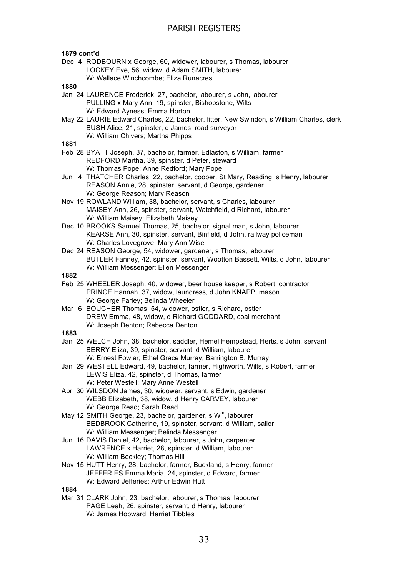### **1879 cont'd**

- Dec 4 RODBOURN x George, 60, widower, labourer, s Thomas, labourer LOCKEY Eve, 56, widow, d Adam SMITH, labourer
	- W: Wallace Winchcombe; Eliza Runacres

### **1880**

- Jan 24 LAURENCE Frederick, 27, bachelor, labourer, s John, labourer PULLING x Mary Ann, 19, spinster, Bishopstone, Wilts W: Edward Ayness; Emma Horton
- May 22 LAURIE Edward Charles, 22, bachelor, fitter, New Swindon, s William Charles, clerk BUSH Alice, 21, spinster, d James, road surveyor W: William Chivers; Martha Phipps

### **1881**

- Feb 28 BYATT Joseph, 37, bachelor, farmer, Edlaston, s William, farmer REDFORD Martha, 39, spinster, d Peter, steward W: Thomas Pope; Anne Redford; Mary Pope
- Jun 4 THATCHER Charles, 22, bachelor, cooper, St Mary, Reading, s Henry, labourer REASON Annie, 28, spinster, servant, d George, gardener W: George Reason; Mary Reason
- Nov 19 ROWLAND William, 38, bachelor, servant, s Charles, labourer MAISEY Ann, 26, spinster, servant, Watchfield, d Richard, labourer W: William Maisey; Elizabeth Maisey
- Dec 10 BROOKS Samuel Thomas, 25, bachelor, signal man, s John, labourer KEARSE Ann, 30, spinster, servant, Binfield, d John, railway policeman W: Charles Lovegrove; Mary Ann Wise
- Dec 24 REASON George, 54, widower, gardener, s Thomas, labourer BUTLER Fanney, 42, spinster, servant, Wootton Bassett, Wilts, d John, labourer W: William Messenger; Ellen Messenger
- **1882**
- Feb 25 WHEELER Joseph, 40, widower, beer house keeper, s Robert, contractor PRINCE Hannah, 37, widow, laundress, d John KNAPP, mason W: George Farley: Belinda Wheeler
- Mar 6 BOUCHER Thomas, 54, widower, ostler, s Richard, ostler DREW Emma, 48, widow, d Richard GODDARD, coal merchant W: Joseph Denton; Rebecca Denton

### **1883**

- Jan 25 WELCH John, 38, bachelor, saddler, Hemel Hempstead, Herts, s John, servant BERRY Eliza, 39, spinster, servant, d William, labourer W: Ernest Fowler; Ethel Grace Murray; Barrington B. Murray
- Jan 29 WESTELL Edward, 49, bachelor, farmer, Highworth, Wilts, s Robert, farmer LEWIS Eliza, 42, spinster, d Thomas, farmer W: Peter Westell; Mary Anne Westell
- Apr 30 WILSDON James, 30, widower, servant, s Edwin, gardener WEBB Elizabeth, 38, widow, d Henry CARVEY, labourer W: George Read; Sarah Read
- May 12 SMITH George, 23, bachelor, gardener, s  $W<sup>m</sup>$ , labourer BEDBROOK Catherine, 19, spinster, servant, d William, sailor W: William Messenger; Belinda Messenger
- Jun 16 DAVIS Daniel, 42, bachelor, labourer, s John, carpenter LAWRENCE x Harriet, 28, spinster, d William, labourer W: William Beckley; Thomas Hill
- Nov 15 HUTT Henry, 28, bachelor, farmer, Buckland, s Henry, farmer JEFFERIES Emma Maria, 24, spinster, d Edward, farmer W: Edward Jefferies; Arthur Edwin Hutt

**1884**

Mar 31 CLARK John, 23, bachelor, labourer, s Thomas, labourer PAGE Leah, 26, spinster, servant, d Henry, labourer W: James Hopward; Harriet Tibbles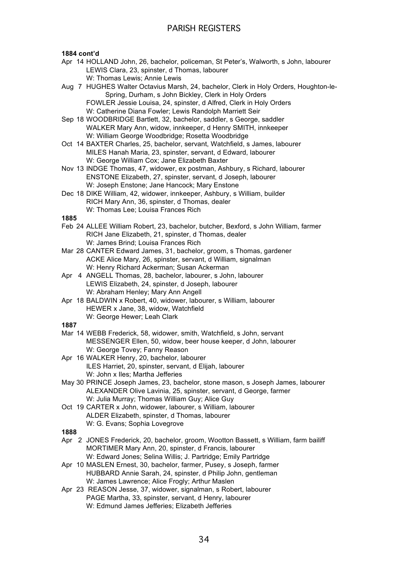### **1884 cont'd**

- Apr 14 HOLLAND John, 26, bachelor, policeman, St Peter's, Walworth, s John, labourer LEWIS Clara, 23, spinster, d Thomas, labourer W: Thomas Lewis; Annie Lewis
- Aug 7 HUGHES Walter Octavius Marsh, 24, bachelor, Clerk in Holy Orders, Houghton-le-Spring, Durham, s John Bickley, Clerk in Holy Orders FOWLER Jessie Louisa, 24, spinster, d Alfred, Clerk in Holy Orders W: Catherine Diana Fowler; Lewis Randolph Marriett Seir
- Sep 18 WOODBRIDGE Bartlett, 32, bachelor, saddler, s George, saddler WALKER Mary Ann, widow, innkeeper, d Henry SMITH, innkeeper W: William George Woodbridge; Rosetta Woodbridge
- Oct 14 BAXTER Charles, 25, bachelor, servant, Watchfield, s James, labourer MILES Hanah Maria, 23, spinster, servant, d Edward, labourer W: George William Cox; Jane Elizabeth Baxter
- Nov 13 INDGE Thomas, 47, widower, ex postman, Ashbury, s Richard, labourer ENSTONE Elizabeth, 27, spinster, servant, d Joseph, labourer W: Joseph Enstone; Jane Hancock; Mary Enstone
- Dec 18 DIKE William, 42, widower, innkeeper, Ashbury, s William, builder RICH Mary Ann, 36, spinster, d Thomas, dealer W: Thomas Lee; Louisa Frances Rich

### **1885**

- Feb 24 ALLEE William Robert, 23, bachelor, butcher, Bexford, s John William, farmer RICH Jane Elizabeth, 21, spinster, d Thomas, dealer W: James Brind; Louisa Frances Rich
- Mar 28 CANTER Edward James, 31, bachelor, groom, s Thomas, gardener ACKE Alice Mary, 26, spinster, servant, d William, signalman W: Henry Richard Ackerman; Susan Ackerman
- Apr 4 ANGELL Thomas, 28, bachelor, labourer, s John, labourer LEWIS Elizabeth, 24, spinster, d Joseph, labourer W: Abraham Henley; Mary Ann Angell
- Apr 18 BALDWIN x Robert, 40, widower, labourer, s William, labourer HEWER x Jane, 38, widow, Watchfield W: George Hewer; Leah Clark

- Mar 14 WEBB Frederick, 58, widower, smith, Watchfield, s John, servant MESSENGER Ellen, 50, widow, beer house keeper, d John, labourer W: George Tovey; Fanny Reason
- Apr 16 WALKER Henry, 20, bachelor, labourer ILES Harriet, 20, spinster, servant, d Elijah, labourer W: John x Iles; Martha Jefferies
- May 30 PRINCE Joseph James, 23, bachelor, stone mason, s Joseph James, labourer ALEXANDER Olive Lavinia, 25, spinster, servant, d George, farmer W: Julia Murray; Thomas William Guy; Alice Guy
- Oct 19 CARTER x John, widower, labourer, s William, labourer ALDER Elizabeth, spinster, d Thomas, labourer W: G. Evans; Sophia Lovegrove
- **1888**
- Apr 2 JONES Frederick, 20, bachelor, groom, Wootton Bassett, s William, farm bailiff MORTIMER Mary Ann, 20, spinster, d Francis, labourer W: Edward Jones; Selina Willis; J. Partridge; Emily Partridge
- Apr 10 MASLEN Ernest, 30, bachelor, farmer, Pusey, s Joseph, farmer HUBBARD Annie Sarah, 24, spinster, d Philip John, gentleman W: James Lawrence: Alice Frogly: Arthur Maslen
- Apr 23 REASON Jesse, 37, widower, signalman, s Robert, labourer PAGE Martha, 33, spinster, servant, d Henry, labourer W: Edmund James Jefferies; Elizabeth Jefferies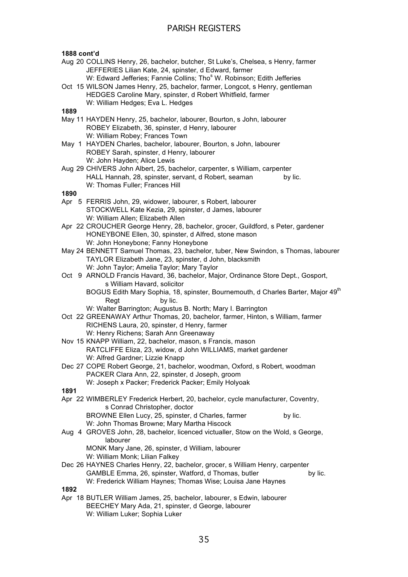### **1888 cont'd**

- Aug 20 COLLINS Henry, 26, bachelor, butcher, St Luke's, Chelsea, s Henry, farmer JEFFERIES Lilian Kate, 24, spinster, d Edward, farmer W: Edward Jefferies; Fannie Collins; Tho<sup>s</sup> W. Robinson; Edith Jefferies
- Oct 15 WILSON James Henry, 25, bachelor, farmer, Longcot, s Henry, gentleman HEDGES Caroline Mary, spinster, d Robert Whitfield, farmer W: William Hedges; Eva L. Hedges

### **1889**

- May 11 HAYDEN Henry, 25, bachelor, labourer, Bourton, s John, labourer ROBEY Elizabeth, 36, spinster, d Henry, labourer W: William Robey; Frances Town
- May 1 HAYDEN Charles, bachelor, labourer, Bourton, s John, labourer ROBEY Sarah, spinster, d Henry, labourer W: John Hayden; Alice Lewis
- Aug 29 CHIVERS John Albert, 25, bachelor, carpenter, s William, carpenter HALL Hannah, 28, spinster, servant, d Robert, seaman by lic. W: Thomas Fuller; Frances Hill

### **1890**

- Apr 5 FERRIS John, 29, widower, labourer, s Robert, labourer STOCKWELL Kate Kezia, 29, spinster, d James, labourer W: William Allen; Elizabeth Allen
- Apr 22 CROUCHER George Henry, 28, bachelor, grocer, Guildford, s Peter, gardener HONEYBONE Ellen, 30, spinster, d Alfred, stone mason W: John Honeybone; Fanny Honeybone
- May 24 BENNETT Samuel Thomas, 23, bachelor, tuber, New Swindon, s Thomas, labourer TAYLOR Elizabeth Jane, 23, spinster, d John, blacksmith W: John Taylor; Amelia Taylor; Mary Taylor
- Oct 9 ARNOLD Francis Havard, 36, bachelor, Major, Ordinance Store Dept., Gosport, s William Havard, solicitor BOGUS Edith Mary Sophia, 18, spinster, Bournemouth, d Charles Barter, Major 49<sup>th</sup> Regt by lic.
	- W: Walter Barrington; Augustus B. North; Mary I. Barrington
- Oct 22 GREENAWAY Arthur Thomas, 20, bachelor, farmer, Hinton, s William, farmer RICHENS Laura, 20, spinster, d Henry, farmer W: Henry Richens; Sarah Ann Greenaway
- Nov 15 KNAPP William, 22, bachelor, mason, s Francis, mason RATCLIFFE Eliza, 23, widow, d John WILLIAMS, market gardener W: Alfred Gardner; Lizzie Knapp
- Dec 27 COPE Robert George, 21, bachelor, woodman, Oxford, s Robert, woodman PACKER Clara Ann, 22, spinster, d Joseph, groom W: Joseph x Packer; Frederick Packer; Emily Holyoak

**1891**

- Apr 22 WIMBERLEY Frederick Herbert, 20, bachelor, cycle manufacturer, Coventry, s Conrad Christopher, doctor BROWNE Ellen Lucy, 25, spinster, d Charles, farmer by lic. W: John Thomas Browne; Mary Martha Hiscock
- Aug 4 GROVES John, 28, bachelor, licenced victualler, Stow on the Wold, s George, labourer

MONK Mary Jane, 26, spinster, d William, labourer W: William Monk; Lilian Falkey

Dec 26 HAYNES Charles Henry, 22, bachelor, grocer, s William Henry, carpenter GAMBLE Emma, 26, spinster, Watford, d Thomas, butler by lic. W: Frederick William Haynes; Thomas Wise; Louisa Jane Haynes

**1892**

Apr 18 BUTLER William James, 25, bachelor, labourer, s Edwin, labourer BEECHEY Mary Ada, 21, spinster, d George, labourer W: William Luker; Sophia Luker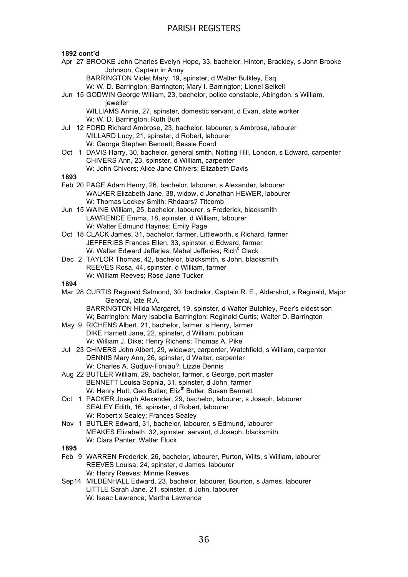### **1892 cont'd**

Apr 27 BROOKE John Charles Evelyn Hope, 33, bachelor, Hinton, Brackley, s John Brooke Johnson, Captain in Army

BARRINGTON Violet Mary, 19, spinster, d Walter Bulkley, Esq.

W: W. D. Barrington; Barrington; Mary I. Barrington; Lionel Selkell

Jun 15 GODWIN George William, 23, bachelor, police constable, Abingdon, s William, jeweller

WILLIAMS Annie, 27, spinster, domestic servant, d Evan, slate worker W: W. D. Barrington; Ruth Burt

- Jul 12 FORD Richard Ambrose, 23, bachelor, labourer, s Ambrose, labourer MILLARD Lucy, 21, spinster, d Robert, labourer W: George Stephen Bennett; Bessie Foard
- Oct 1 DAVIS Harry, 30, bachelor, general smith, Notting Hill, London, s Edward, carpenter CHIVERS Ann, 23, spinster, d William, carpenter W: John Chivers; Alice Jane Chivers; Elizabeth Davis
- **1893**
- Feb 20 PAGE Adam Henry, 26, bachelor, labourer, s Alexander, labourer WALKER Elizabeth Jane, 38, widow, d Jonathan HEWER, labourer W: Thomas Lockey Smith; Rhdaars? Titcomb
- Jun 15 WAINE William, 25, bachelor, labourer, s Frederick, blacksmith LAWRENCE Emma, 18, spinster, d William, labourer W: Walter Edmund Haynes; Emily Page
- Oct 18 CLACK James, 31, bachelor, farmer, Littleworth, s Richard, farmer JEFFERIES Frances Ellen, 33, spinster, d Edward, farmer W: Walter Edward Jefferies; Mabel Jefferies; Rich<sup>d</sup> Clack
- Dec 2 TAYLOR Thomas, 42, bachelor, blacksmith, s John, blacksmith REEVES Rosa, 44, spinster, d William, farmer W: William Reeves; Rose Jane Tucker

### **1894**

- Mar 28 CURTIS Reginald Salmond, 30, bachelor, Captain R. E., Aldershot, s Reginald, Major General, late R.A.
	- BARRINGTON Hilda Margaret, 19, spinster, d Walter Butchley, Peer's eldest son W; Barrington; Mary Isabella Barrington; Reginald Curtis; Walter D. Barrington
- May 9 RICHENS Albert, 21, bachelor, farmer, s Henry, farmer DIKE Harriett Jane, 22, spinster, d William, publican W: William J. Dike; Henry Richens; Thomas A. Pike
- Jul 23 CHIVERS John Albert, 29, widower, carpenter, Watchfield, s William, carpenter DENNIS Mary Ann, 26, spinster, d Walter, carpenter W: Charles A. Gudjuv-Foniau?; Lizzie Dennis
- Aug 22 BUTLER William, 29, bachelor, farmer, s George, port master BENNETT Louisa Sophia, 31, spinster, d John, farmer W: Henry Hutt: Geo Butler: Eliz<sup>th</sup> Butler: Susan Bennett
- Oct 1 PACKER Joseph Alexander, 29, bachelor, labourer, s Joseph, labourer SEALEY Edith, 16, spinster, d Robert, labourer W: Robert x Sealey; Frances Sealey
- Nov 1 BUTLER Edward, 31, bachelor, labourer, s Edmund, labourer MEAKES Elizabeth, 32, spinster, servant, d Joseph, blacksmith W: Clara Panter; Walter Fluck

- Feb 9 WARREN Frederick, 26, bachelor, labourer, Purton, Wilts, s William, labourer REEVES Louisa, 24, spinster, d James, labourer W: Henry Reeves; Minnie Reeves
- Sep14 MILDENHALL Edward, 23, bachelor, labourer, Bourton, s James, labourer LITTLE Sarah Jane, 21, spinster, d John, labourer W: Isaac Lawrence; Martha Lawrence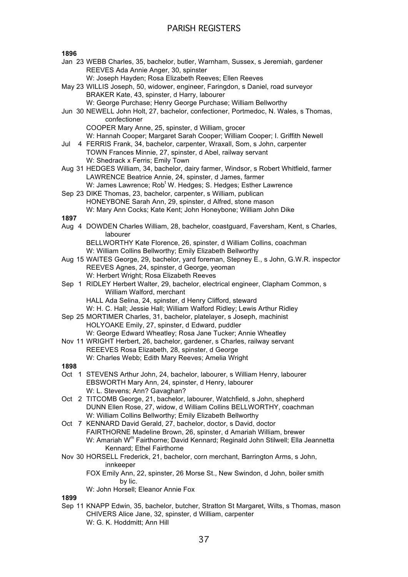**1896**

- Jan 23 WEBB Charles, 35, bachelor, butler, Warnham, Sussex, s Jeremiah, gardener REEVES Ada Annie Anger, 30, spinster
	- W: Joseph Hayden; Rosa Elizabeth Reeves; Ellen Reeves
- May 23 WILLIS Joseph, 50, widower, engineer, Faringdon, s Daniel, road surveyor BRAKER Kate, 43, spinster, d Harry, labourer
	- W: George Purchase; Henry George Purchase; William Bellworthy
- Jun 30 NEWELL John Holt, 27, bachelor, confectioner, Portmedoc, N. Wales, s Thomas, confectioner
	- COOPER Mary Anne, 25, spinster, d William, grocer
	- W: Hannah Cooper; Margaret Sarah Cooper; William Cooper; I. Griffith Newell
- Jul 4 FERRIS Frank, 34, bachelor, carpenter, Wraxall, Som, s John, carpenter TOWN Frances Minnie, 27, spinster, d Abel, railway servant W: Shedrack x Ferris; Emily Town
- Aug 31 HEDGES William, 34, bachelor, dairy farmer, Windsor, s Robert Whitfield, farmer LAWRENCE Beatrice Annie, 24, spinster, d James, farmer
- W: James Lawrence; Rob<sup>t</sup> W. Hedges; S. Hedges; Esther Lawrence Sep 23 DIKE Thomas, 23, bachelor, carpenter, s William, publican HONEYBONE Sarah Ann, 29, spinster, d Alfred, stone mason
	- W: Mary Ann Cocks; Kate Kent; John Honeybone; William John Dike

**1897**

Aug 4 DOWDEN Charles William, 28, bachelor, coastguard, Faversham, Kent, s Charles, labourer

BELLWORTHY Kate Florence, 26, spinster, d William Collins, coachman W: William Collins Bellworthy; Emily Elizabeth Bellworthy

- Aug 15 WAITES George, 29, bachelor, yard foreman, Stepney E., s John, G.W.R. inspector REEVES Agnes, 24, spinster, d George, yeoman W: Herbert Wright; Rosa Elizabeth Reeves
- Sep 1 RIDLEY Herbert Walter, 29, bachelor, electrical engineer, Clapham Common, s William Walford, merchant HALL Ada Selina, 24, spinster, d Henry Clifford, steward
	- W: H. C. Hall; Jessie Hall; William Walford Ridley; Lewis Arthur Ridley
- Sep 25 MORTIMER Charles, 31, bachelor, platelayer, s Joseph, machinist HOLYOAKE Emily, 27, spinster, d Edward, puddler W: George Edward Wheatley; Rosa Jane Tucker; Annie Wheatley
- Nov 11 WRIGHT Herbert, 26, bachelor, gardener, s Charles, railway servant REEEVES Rosa Elizabeth, 28, spinster, d George W: Charles Webb; Edith Mary Reeves; Amelia Wright

### **1898**

- Oct 1 STEVENS Arthur John, 24, bachelor, labourer, s William Henry, labourer EBSWORTH Mary Ann, 24, spinster, d Henry, labourer W: L. Stevens: Ann? Gavaghan?
- Oct 2 TITCOMB George, 21, bachelor, labourer, Watchfield, s John, shepherd DUNN Ellen Rose, 27, widow, d William Collins BELLWORTHY, coachman W: William Collins Bellworthy; Emily Elizabeth Bellworthy
- Oct 7 KENNARD David Gerald, 27, bachelor, doctor, s David, doctor FAIRTHORNE Madeline Brown, 26, spinster, d Amariah William, brewer W: Amariah W<sup>m</sup> Fairthorne; David Kennard; Reginald John Stilwell; Ella Jeannetta Kennard; Ethel Fairthorne
- Nov 30 HORSELL Frederick, 21, bachelor, corn merchant, Barrington Arms, s John, innkeeper

FOX Emily Ann, 22, spinster, 26 Morse St., New Swindon, d John, boiler smith by lic.

### W: John Horsell; Eleanor Annie Fox

### **1899**

Sep 11 KNAPP Edwin, 35, bachelor, butcher, Stratton St Margaret, Wilts, s Thomas, mason CHIVERS Alice Jane, 32, spinster, d William, carpenter W: G. K. Hoddmitt; Ann Hill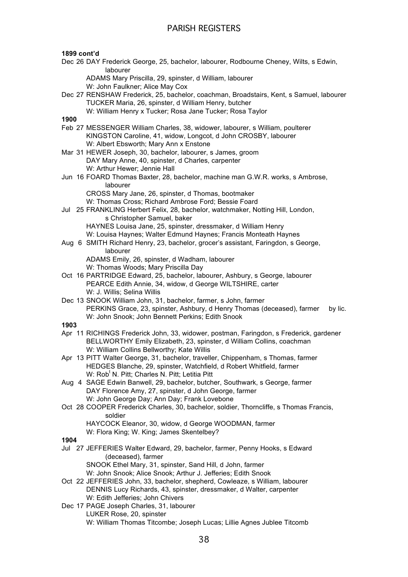### **1899 cont'd**

- Dec 26 DAY Frederick George, 25, bachelor, labourer, Rodbourne Cheney, Wilts, s Edwin, labourer
	- ADAMS Mary Priscilla, 29, spinster, d William, labourer

W: John Faulkner; Alice May Cox

Dec 27 RENSHAW Frederick, 25, bachelor, coachman, Broadstairs, Kent, s Samuel, labourer TUCKER Maria, 26, spinster, d William Henry, butcher W: William Henry x Tucker; Rosa Jane Tucker; Rosa Taylor

**1900**

- Feb 27 MESSENGER William Charles, 38, widower, labourer, s William, poulterer KINGSTON Caroline, 41, widow, Longcot, d John CROSBY, labourer W: Albert Ebsworth; Mary Ann x Enstone
- Mar 31 HEWER Joseph, 30, bachelor, labourer, s James, groom DAY Mary Anne, 40, spinster, d Charles, carpenter W: Arthur Hewer; Jennie Hall
- Jun 16 FOARD Thomas Baxter, 28, bachelor, machine man G.W.R. works, s Ambrose, labourer CROSS Mary Jane, 26, spinster, d Thomas, bootmaker

W: Thomas Cross; Richard Ambrose Ford; Bessie Foard

Jul 25 FRANKLING Herbert Felix, 28, bachelor, watchmaker, Notting Hill, London, s Christopher Samuel, baker HAYNES Louisa Jane, 25, spinster, dressmaker, d William Henry

W: Louisa Haynes; Walter Edmund Haynes; Francis Monteath Haynes

Aug 6 SMITH Richard Henry, 23, bachelor, grocer's assistant, Faringdon, s George, labourer

ADAMS Emily, 26, spinster, d Wadham, labourer W: Thomas Woods; Mary Priscilla Day

- Oct 16 PARTRIDGE Edward, 25, bachelor, labourer, Ashbury, s George, labourer PEARCE Edith Annie, 34, widow, d George WILTSHIRE, carter W: J. Willis; Selina Willis
- Dec 13 SNOOK William John, 31, bachelor, farmer, s John, farmer PERKINS Grace, 23, spinster, Ashbury, d Henry Thomas (deceased), farmer by lic. W: John Snook; John Bennett Perkins; Edith Snook

- Apr 11 RICHINGS Frederick John, 33, widower, postman, Faringdon, s Frederick, gardener BELLWORTHY Emily Elizabeth, 23, spinster, d William Collins, coachman W: William Collins Bellworthy; Kate Willis
- Apr 13 PITT Walter George, 31, bachelor, traveller, Chippenham, s Thomas, farmer HEDGES Blanche, 29, spinster, Watchfield, d Robert Whitfield, farmer W: Rob<sup>t</sup> N. Pitt; Charles N. Pitt; Letitia Pitt
- Aug 4 SAGE Edwin Banwell, 29, bachelor, butcher, Southwark, s George, farmer DAY Florence Amy, 27, spinster, d John George, farmer W: John George Day; Ann Day; Frank Lovebone
- Oct 28 COOPER Frederick Charles, 30, bachelor, soldier, Thorncliffe, s Thomas Francis, soldier HAYCOCK Eleanor, 30, widow, d George WOODMAN, farmer
	- W: Flora King; W. King; James Skentelbey?
- **1904**
- Jul 27 JEFFERIES Walter Edward, 29, bachelor, farmer, Penny Hooks, s Edward (deceased), farmer SNOOK Ethel Mary, 31, spinster, Sand Hill, d John, farmer
	- W: John Snook; Alice Snook; Arthur J. Jefferies; Edith Snook
- Oct 22 JEFFERIES John, 33, bachelor, shepherd, Cowleaze, s William, labourer DENNIS Lucy Richards, 43, spinster, dressmaker, d Walter, carpenter W: Edith Jefferies; John Chivers
- Dec 17 PAGE Joseph Charles, 31, labourer LUKER Rose, 20, spinster W: William Thomas Titcombe; Joseph Lucas; Lillie Agnes Jublee Titcomb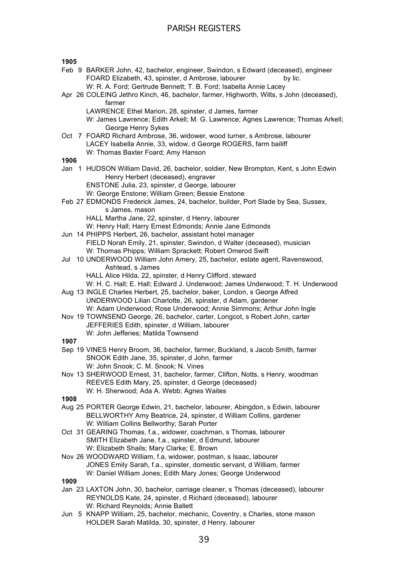### **1905**

| פטעו |                                                                                                                                                             |
|------|-------------------------------------------------------------------------------------------------------------------------------------------------------------|
|      | Feb 9 BARKER John, 42, bachelor, engineer, Swindon, s Edward (deceased), engineer                                                                           |
|      | FOARD Elizabeth, 43, spinster, d Ambrose, labourer<br>by lic.<br>W: R. A. Ford; Gertrude Bennett; T. B. Ford; Isabella Annie Lacey                          |
|      | Apr 26 COLEING Jethro Kinch, 46, bachelor, farmer, Highworth, Wilts, s John (deceased),                                                                     |
|      | farmer                                                                                                                                                      |
|      | LAWRENCE Ethel Marion, 28, spinster, d James, farmer                                                                                                        |
|      | W: James Lawrence; Edith Arkell; M. G. Lawrence; Agnes Lawrence; Thomas Arkell;                                                                             |
|      | George Henry Sykes                                                                                                                                          |
|      | Oct 7 FOARD Richard Ambrose, 36, widower, wood turner, s Ambrose, labourer                                                                                  |
|      | LACEY Isabella Annie, 33, widow, d George ROGERS, farm bailiff                                                                                              |
|      | W: Thomas Baxter Foard; Amy Hanson                                                                                                                          |
| 1906 |                                                                                                                                                             |
|      | Jan 1 HUDSON William David, 26, bachelor, soldier, New Brompton, Kent, s John Edwin                                                                         |
|      | Henry Herbert (deceased), engraver<br>ENSTONE Julia, 23, spinster, d George, labourer                                                                       |
|      | W: George Enstone; William Green; Bessie Enstone                                                                                                            |
|      | Feb 27 EDMONDS Frederick James, 24, bachelor, builder, Port Slade by Sea, Sussex,                                                                           |
|      | s James, mason                                                                                                                                              |
|      | HALL Martha Jane, 22, spinster, d Henry, labourer                                                                                                           |
|      | W: Henry Hall; Harry Ernest Edmonds; Annie Jane Edmonds                                                                                                     |
|      | Jun 14 PHIPPS Herbert, 26, bachelor, assistant hotel manager                                                                                                |
|      | FIELD Norah Emily, 21, spinster, Swindon, d Walter (deceased), musician                                                                                     |
|      | W: Thomas Phipps; William Sprackett; Robert Omerod Swift                                                                                                    |
|      | Jul 10 UNDERWOOD William John Amery, 25, bachelor, estate agent, Ravenswood,                                                                                |
|      | Ashtead, s James                                                                                                                                            |
|      | HALL Alice Hilda, 22, spinster, d Henry Clifford, steward                                                                                                   |
|      | W: H. C. Hall; E. Hall; Edward J. Underwood; James Underwood; T. H. Underwood<br>Aug 13 INGLE Charles Herbert, 25, bachelor, baker, London, s George Alfred |
|      | UNDERWOOD Lilian Charlotte, 26, spinster, d Adam, gardener                                                                                                  |
|      | W: Adam Underwood; Rose Underwood; Annie Simmons; Arthur John Ingle                                                                                         |
|      | Nov 19 TOWNSEND George, 26, bachelor, carter, Longcot, s Robert John, carter                                                                                |
|      | JEFFERIES Edith, spinster, d William, labourer                                                                                                              |
|      | W: John Jefferies; Matilda Townsend                                                                                                                         |
| 1907 |                                                                                                                                                             |
|      | Sep 19 VINES Henry Broom, 36, bachelor, farmer, Buckland, s Jacob Smith, farmer                                                                             |
|      | SNOOK Edith Jane, 35, spinster, d John, farmer                                                                                                              |
|      | W: John Snook; C. M. Snook; N. Vines                                                                                                                        |
|      | Nov 13 SHERWOOD Ernest, 31, bachelor, farmer, Clifton, Notts, s Henry, woodman                                                                              |
|      | REEVES Edith Mary, 25, spinster, d George (deceased)                                                                                                        |
|      | W: H. Sherwood; Ada A. Webb; Agnes Waites                                                                                                                   |
| 1908 |                                                                                                                                                             |
|      | Aug 25 PORTER George Edwin, 21, bachelor, labourer, Abingdon, s Edwin, labourer                                                                             |
|      | BELLWORTHY Amy Beatrice, 24, spinster, d William Collins, gardener                                                                                          |
|      | W: William Collins Bellworthy; Sarah Porter                                                                                                                 |
|      | Oct 31 GEARING Thomas, f.a., widower, coachman, s Thomas, labourer                                                                                          |
|      | SMITH Elizabeth Jane, f.a., spinster, d Edmund, labourer                                                                                                    |
|      | W: Elizabeth Shails; Mary Clarke; E. Brown                                                                                                                  |
|      | Nov 26 WOODWARD William, f.a, widower, postman, s Isaac, labourer                                                                                           |
|      | JONES Emily Sarah, f.a., spinster, domestic servant, d William, farmer                                                                                      |
|      | W: Daniel William Jones; Edith Mary Jones; George Underwood                                                                                                 |
| 1909 |                                                                                                                                                             |
|      | Jan 23 LAXTON John, 30, bachelor, carriage cleaner, s Thomas (deceased), labourer<br>REYNOLDS Kate, 24, spinster, d Richard (deceased), labourer            |

W: Richard Reynolds; Annie Ballett

Jun 5 KNAPP William, 25, bachelor, mechanic, Coventry, s Charles, stone mason HOLDER Sarah Matilda, 30, spinster, d Henry, labourer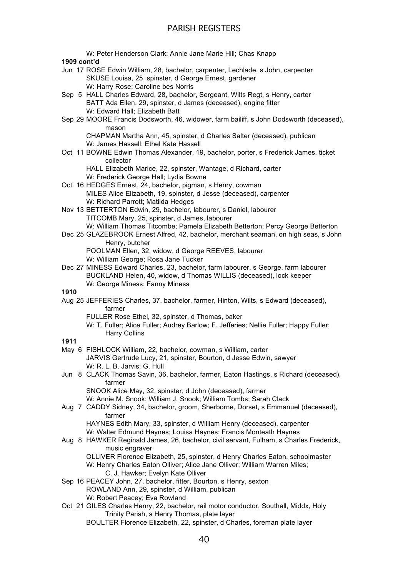PARISH REGISTERS W: Peter Henderson Clark; Annie Jane Marie Hill; Chas Knapp **1909 cont'd** Jun 17 ROSE Edwin William, 28, bachelor, carpenter, Lechlade, s John, carpenter SKUSE Louisa, 25, spinster, d George Ernest, gardener W: Harry Rose; Caroline bes Norris Sep 5 HALL Charles Edward, 28, bachelor, Sergeant, Wilts Regt, s Henry, carter BATT Ada Ellen, 29, spinster, d James (deceased), engine fitter W: Edward Hall; Elizabeth Batt Sep 29 MOORE Francis Dodsworth, 46, widower, farm bailiff, s John Dodsworth (deceased), mason CHAPMAN Martha Ann, 45, spinster, d Charles Salter (deceased), publican W: James Hassell; Ethel Kate Hassell Oct 11 BOWNE Edwin Thomas Alexander, 19, bachelor, porter, s Frederick James, ticket collector HALL Elizabeth Marice, 22, spinster, Wantage, d Richard, carter W: Frederick George Hall; Lydia Bowne Oct 16 HEDGES Ernest, 24, bachelor, pigman, s Henry, cowman MILES Alice Elizabeth, 19, spinster, d Jesse (deceased), carpenter W: Richard Parrott; Matilda Hedges Nov 13 BETTERTON Edwin, 29, bachelor, labourer, s Daniel, labourer TITCOMB Mary, 25, spinster, d James, labourer W: William Thomas Titcombe; Pamela Elizabeth Betterton; Percy George Betterton Dec 25 GLAZEBROOK Ernest Alfred, 42, bachelor, merchant seaman, on high seas, s John Henry, butcher POOLMAN Ellen, 32, widow, d George REEVES, labourer W: William George; Rosa Jane Tucker Dec 27 MINESS Edward Charles, 23, bachelor, farm labourer, s George, farm labourer BUCKLAND Helen, 40, widow, d Thomas WILLIS (deceased), lock keeper W: George Miness; Fanny Miness **1910** Aug 25 JEFFERIES Charles, 37, bachelor, farmer, Hinton, Wilts, s Edward (deceased), farmer FULLER Rose Ethel, 32, spinster, d Thomas, baker W: T. Fuller; Alice Fuller; Audrey Barlow; F. Jefferies; Nellie Fuller; Happy Fuller; Harry Collins **1911** May 6 FISHLOCK William, 22, bachelor, cowman, s William, carter JARVIS Gertrude Lucy, 21, spinster, Bourton, d Jesse Edwin, sawyer W: R. L. B. Jarvis; G. Hull Jun 8 CLACK Thomas Savin, 36, bachelor, farmer, Eaton Hastings, s Richard (deceased), farmer SNOOK Alice May, 32, spinster, d John (deceased), farmer

- W: Annie M. Snook; William J. Snook; William Tombs; Sarah Clack Aug 7 CADDY Sidney, 34, bachelor, groom, Sherborne, Dorset, s Emmanuel (deceased), farmer
	- HAYNES Edith Mary, 33, spinster, d William Henry (deceased), carpenter W: Walter Edmund Haynes; Louisa Haynes; Francis Monteath Haynes
- Aug 8 HAWKER Reginald James, 26, bachelor, civil servant, Fulham, s Charles Frederick, music engraver
	- OLLIVER Florence Elizabeth, 25, spinster, d Henry Charles Eaton, schoolmaster W: Henry Charles Eaton Olliver: Alice Jane Olliver: William Warren Miles:
		- C. J. Hawker; Evelyn Kate Olliver
- Sep 16 PEACEY John, 27, bachelor, fitter, Bourton, s Henry, sexton ROWLAND Ann, 29, spinster, d William, publican W: Robert Peacey; Eva Rowland
- Oct 21 GILES Charles Henry, 22, bachelor, rail motor conductor, Southall, Middx, Holy Trinity Parish, s Henry Thomas, plate layer BOULTER Florence Elizabeth, 22, spinster, d Charles, foreman plate layer
	- 40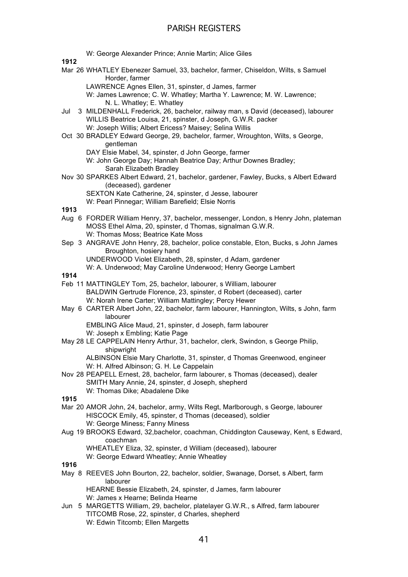W: George Alexander Prince; Annie Martin; Alice Giles **1912** Mar 26 WHATLEY Ebenezer Samuel, 33, bachelor, farmer, Chiseldon, Wilts, s Samuel Horder, farmer LAWRENCE Agnes Ellen, 31, spinster, d James, farmer W: James Lawrence; C. W. Whatley; Martha Y. Lawrence; M. W. Lawrence; N. L. Whatley; E. Whatley Jul 3 MILDENHALL Frederick, 26, bachelor, railway man, s David (deceased), labourer WILLIS Beatrice Louisa, 21, spinster, d Joseph, G.W.R. packer W: Joseph Willis; Albert Ericess? Maisey; Selina Willis Oct 30 BRADLEY Edward George, 29, bachelor, farmer, Wroughton, Wilts, s George, gentleman DAY Elsie Mabel, 34, spinster, d John George, farmer W: John George Day; Hannah Beatrice Day; Arthur Downes Bradley; Sarah Elizabeth Bradley Nov 30 SPARKES Albert Edward, 21, bachelor, gardener, Fawley, Bucks, s Albert Edward (deceased), gardener SEXTON Kate Catherine, 24, spinster, d Jesse, labourer W: Pearl Pinnegar; William Barefield; Elsie Norris **1913** Aug 6 FORDER William Henry, 37, bachelor, messenger, London, s Henry John, plateman MOSS Ethel Alma, 20, spinster, d Thomas, signalman G.W.R. W: Thomas Moss; Beatrice Kate Moss Sep 3 ANGRAVE John Henry, 28, bachelor, police constable, Eton, Bucks, s John James Broughton, hosiery hand UNDERWOOD Violet Elizabeth, 28, spinster, d Adam, gardener W: A. Underwood; May Caroline Underwood; Henry George Lambert **1914** Feb 11 MATTINGLEY Tom, 25, bachelor, labourer, s William, labourer BALDWIN Gertrude Florence, 23, spinster, d Robert (deceased), carter W: Norah Irene Carter; William Mattingley; Percy Hewer May 6 CARTER Albert John, 22, bachelor, farm labourer, Hannington, Wilts, s John, farm labourer EMBLING Alice Maud, 21, spinster, d Joseph, farm labourer W: Joseph x Embling; Katie Page May 28 LE CAPPELAIN Henry Arthur, 31, bachelor, clerk, Swindon, s George Philip, shipwright ALBINSON Elsie Mary Charlotte, 31, spinster, d Thomas Greenwood, engineer W: H. Alfred Albinson; G. H. Le Cappelain Nov 28 PEAPELL Ernest, 28, bachelor, farm labourer, s Thomas (deceased), dealer SMITH Mary Annie, 24, spinster, d Joseph, shepherd W: Thomas Dike; Abadalene Dike **1915** Mar 20 AMOR John, 24, bachelor, army, Wilts Regt, Marlborough, s George, labourer HISCOCK Emily, 45, spinster, d Thomas (deceased), soldier W: George Miness; Fanny Miness Aug 19 BROOKS Edward, 32,bachelor, coachman, Chiddington Causeway, Kent, s Edward, coachman WHEATLEY Eliza, 32, spinster, d William (deceased), labourer W: George Edward Wheatley; Annie Wheatley **1916** May 8 REEVES John Bourton, 22, bachelor, soldier, Swanage, Dorset, s Albert, farm labourer HEARNE Bessie Elizabeth, 24, spinster, d James, farm labourer W: James x Hearne; Belinda Hearne Jun 5 MARGETTS William, 29, bachelor, platelayer G.W.R., s Alfred, farm labourer TITCOMB Rose, 22, spinster, d Charles, shepherd W: Edwin Titcomb; Ellen Margetts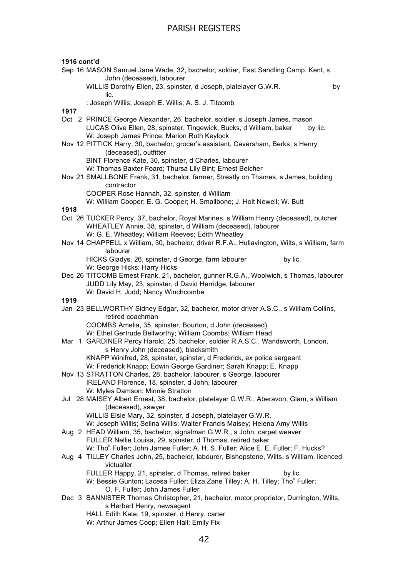| 1916 cont'd                                                                                                                                           |    |
|-------------------------------------------------------------------------------------------------------------------------------------------------------|----|
| Sep 16 MASON Samuel Jane Wade, 32, bachelor, soldier, East Sandling Camp, Kent, s<br>John (deceased), labourer                                        |    |
| WILLIS Dorothy Ellen, 23, spinster, d Joseph, platelayer G.W.R.<br>lic.                                                                               | by |
| : Joseph Willis; Joseph E. Willis; A. S. J. Titcomb<br>1917                                                                                           |    |
| Oct 2 PRINCE George Alexander, 26, bachelor, soldier, s Joseph James, mason                                                                           |    |
| LUCAS Olive Ellen, 28, spinster, Tingewick, Bucks, d William, baker<br>by lic.<br>W: Joseph James Prince; Marion Ruth Keylock                         |    |
| Nov 12 PITTICK Harry, 30, bachelor, grocer's assistant, Caversham, Berks, s Henry<br>(deceased), outfitter                                            |    |
| BINT Florence Kate, 30, spinster, d Charles, labourer                                                                                                 |    |
| W: Thomas Baxter Foard; Thursa Lily Bint; Ernest Belcher<br>Nov 21 SMALLBONE Frank, 31, bachelor, farmer, Streatly on Thames, s James, building       |    |
| contractor<br>COOPER Rose Hannah, 32, spinster, d William                                                                                             |    |
| W: William Cooper; E. G. Cooper; H. Smallbone; J. Holt Newell; W. Butt                                                                                |    |
| 1918                                                                                                                                                  |    |
| Oct 26 TUCKER Percy, 37, bachelor, Royal Marines, s William Henry (deceased), butcher<br>WHEATLEY Annie, 38, spinster, d William (deceased), labourer |    |
| W: G. E. Wheatley; William Reeves; Edith Wheatley<br>Nov 14 CHAPPELL x William, 30, bachelor, driver R.F.A., Hullavington, Wilts, s William, farm     |    |
| labourer                                                                                                                                              |    |
| HICKS Gladys, 26, spinster, d George, farm labourer<br>by lic.                                                                                        |    |
| W: George Hicks; Harry Hicks                                                                                                                          |    |
| Dec 26 TITCOMB Ernest Frank, 21, bachelor, gunner R.G.A., Woolwich, s Thomas, labourer                                                                |    |
| JUDD Lily May, 23, spinster, d David Herridge, labourer<br>W: David H. Judd; Nancy Winchcombe                                                         |    |
| 1919                                                                                                                                                  |    |
| Jan 23 BELLWORTHY Sidney Edgar, 32, bachelor, motor driver A.S.C., s William Collins,                                                                 |    |
| retired coachman                                                                                                                                      |    |
| COOMBS Amelia, 35, spinster, Bourton, d John (deceased)                                                                                               |    |
| W: Ethel Gertrude Bellworthy; William Coombs; William Head                                                                                            |    |
| Mar 1 GARDINER Percy Harold, 25, bachelor, soldier R.A.S.C., Wandsworth, London,<br>s Henry John (deceased), blacksmith                               |    |
| KNAPP Winifred, 28, spinster, spinster, d Frederick, ex police sergeant                                                                               |    |
| W: Frederick Knapp; Edwin George Gardiner; Sarah Knapp; E. Knapp                                                                                      |    |
| Nov 13 STRATTON Charles, 28, bachelor, labourer, s George, labourer                                                                                   |    |
| IRELAND Florence, 18, spinster, d John, labourer                                                                                                      |    |
| W: Myles Damson; Minnie Stratton                                                                                                                      |    |
| Jul 28 MAISEY Albert Ernest, 38, bachelor, platelayer G.W.R., Aberavon, Glam, s William<br>(deceased), sawyer                                         |    |
| WILLIS Elsie Mary, 32, spinster, d Joseph, platelayer G.W.R.                                                                                          |    |
| W: Joseph Willis; Selina Willis; Walter Francis Maisey; Helena Amy Willis                                                                             |    |
| Aug 2 HEAD William, 35, bachelor, signalman G.W.R., s John, carpet weaver                                                                             |    |
| FULLER Nellie Louisa, 29, spinster, d Thomas, retired baker                                                                                           |    |
| W: Tho <sup>s</sup> Fuller; John James Fuller; A. H. S. Fuller; Alice E. E. Fuller; F. Hucks?                                                         |    |
| Aug 4 TILLEY Charles John, 25, bachelor, labourer, Bishopstone, Wilts, s William, licenced<br>victualler                                              |    |
| FULLER Happy, 21, spinster, d Thomas, retired baker<br>by lic.                                                                                        |    |
| W: Bessie Gunton; Lacesa Fuller; Eliza Zane Tilley; A. H. Tilley; Tho <sup>8</sup> Fuller;                                                            |    |
| O. F. Fuller; John James Fuller                                                                                                                       |    |
| Dec 3 BANNISTER Thomas Christopher, 21, bachelor, motor proprietor, Durrington, Wilts,<br>s Herbert Henry, newsagent                                  |    |
| HALL Edith Kate, 19, spinster, d Henry, carter                                                                                                        |    |
| W: Arthur James Coop; Ellen Hall; Emily Fix                                                                                                           |    |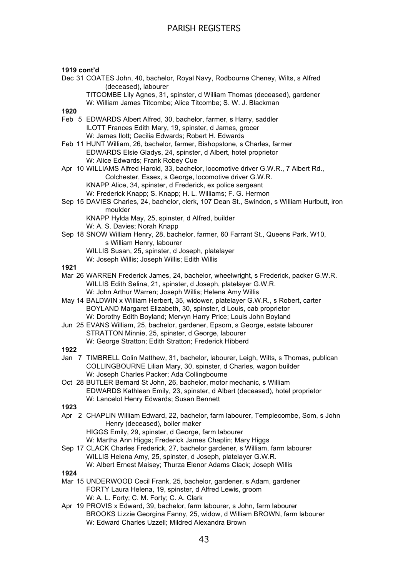### **1919 cont'd**

Dec 31 COATES John, 40, bachelor, Royal Navy, Rodbourne Cheney, Wilts, s Alfred (deceased), labourer TITCOMBE Lily Agnes, 31, spinster, d William Thomas (deceased), gardener W: William James Titcombe; Alice Titcombe; S. W. J. Blackman **1920** Feb 5 EDWARDS Albert Alfred, 30, bachelor, farmer, s Harry, saddler ILOTT Frances Edith Mary, 19, spinster, d James, grocer W: James Ilott; Cecilia Edwards; Robert H. Edwards Feb 11 HUNT William, 26, bachelor, farmer, Bishopstone, s Charles, farmer EDWARDS Elsie Gladys, 24, spinster, d Albert, hotel proprietor W: Alice Edwards; Frank Robey Cue Apr 10 WILLIAMS Alfred Harold, 33, bachelor, locomotive driver G.W.R., 7 Albert Rd., Colchester, Essex, s George, locomotive driver G.W.R. KNAPP Alice, 34, spinster, d Frederick, ex police sergeant W: Frederick Knapp; S. Knapp; H. L. Williams; F. G. Hermon Sep 15 DAVIES Charles, 24, bachelor, clerk, 107 Dean St., Swindon, s William Hurlbutt, iron moulder KNAPP Hylda May, 25, spinster, d Alfred, builder W: A. S. Davies; Norah Knapp Sep 18 SNOW William Henry, 28, bachelor, farmer, 60 Farrant St., Queens Park, W10, s William Henry, labourer WILLIS Susan, 25, spinster, d Joseph, platelayer W: Joseph Willis; Joseph Willis; Edith Willis **1921** Mar 26 WARREN Frederick James, 24, bachelor, wheelwright, s Frederick, packer G.W.R. WILLIS Edith Selina, 21, spinster, d Joseph, platelayer G.W.R. W: John Arthur Warren; Joseph Willis; Helena Amy Willis May 14 BALDWIN x William Herbert, 35, widower, platelayer G.W.R., s Robert, carter BOYLAND Margaret Elizabeth, 30, spinster, d Louis, cab proprietor W: Dorothy Edith Boyland; Mervyn Harry Price; Louis John Boyland Jun 25 EVANS William, 25, bachelor, gardener, Epsom, s George, estate labourer STRATTON Minnie, 25, spinster, d George, labourer W: George Stratton; Edith Stratton; Frederick Hibberd **1922** Jan 7 TIMBRELL Colin Matthew, 31, bachelor, labourer, Leigh, Wilts, s Thomas, publican COLLINGBOURNE Lilian Mary, 30, spinster, d Charles, wagon builder W: Joseph Charles Packer; Ada Collingbourne Oct 28 BUTLER Bernard St John, 26, bachelor, motor mechanic, s William EDWARDS Kathleen Emily, 23, spinster, d Albert (deceased), hotel proprietor W: Lancelot Henry Edwards; Susan Bennett **1923** Apr 2 CHAPLIN William Edward, 22, bachelor, farm labourer, Templecombe, Som, s John Henry (deceased), boiler maker HIGGS Emily, 29, spinster, d George, farm labourer W: Martha Ann Higgs; Frederick James Chaplin; Mary Higgs Sep 17 CLACK Charles Frederick, 27, bachelor gardener, s William, farm labourer WILLIS Helena Amy, 25, spinster, d Joseph, platelayer G.W.R. W: Albert Ernest Maisey; Thurza Elenor Adams Clack; Joseph Willis

- Mar 15 UNDERWOOD Cecil Frank, 25, bachelor, gardener, s Adam, gardener FORTY Laura Helena, 19, spinster, d Alfred Lewis, groom W: A. L. Forty; C. M. Forty; C. A. Clark
- Apr 19 PROVIS x Edward, 39, bachelor, farm labourer, s John, farm labourer BROOKS Lizzie Georgina Fanny, 25, widow, d William BROWN, farm labourer W: Edward Charles Uzzell; Mildred Alexandra Brown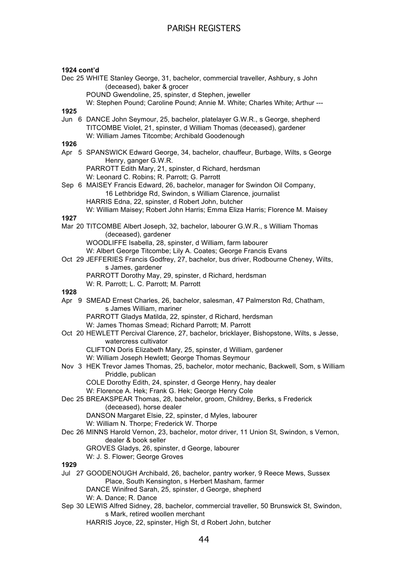### **1924 cont'd**

Dec 25 WHITE Stanley George, 31, bachelor, commercial traveller, Ashbury, s John (deceased), baker & grocer

POUND Gwendoline, 25, spinster, d Stephen, jeweller

W: Stephen Pound; Caroline Pound; Annie M. White; Charles White; Arthur ---

**1925**

Jun 6 DANCE John Seymour, 25, bachelor, platelayer G.W.R., s George, shepherd TITCOMBE Violet, 21, spinster, d William Thomas (deceased), gardener W: William James Titcombe; Archibald Goodenough

**1926**

Apr 5 SPANSWICK Edward George, 34, bachelor, chauffeur, Burbage, Wilts, s George Henry, ganger G.W.R.

PARROTT Edith Mary, 21, spinster, d Richard, herdsman W: Leonard C. Robins; R. Parrott; G. Parrott

Sep 6 MAISEY Francis Edward, 26, bachelor, manager for Swindon Oil Company, 16 Lethbridge Rd, Swindon, s William Clarence, journalist HARRIS Edna, 22, spinster, d Robert John, butcher

# W: William Maisey; Robert John Harris; Emma Eliza Harris; Florence M. Maisey

**1927** Mar 20 TITCOMBE Albert Joseph, 32, bachelor, labourer G.W.R., s William Thomas (deceased), gardener

WOODLIFFE Isabella, 28, spinster, d William, farm labourer

W: Albert George Titcombe; Lily A. Coates; George Francis Evans

- Oct 29 JEFFERIES Francis Godfrey, 27, bachelor, bus driver, Rodbourne Cheney, Wilts, s James, gardener
	- PARROTT Dorothy May, 29, spinster, d Richard, herdsman
	- W: R. Parrott; L. C. Parrott; M. Parrott

### **1928**

Apr 9 SMEAD Ernest Charles, 26, bachelor, salesman, 47 Palmerston Rd, Chatham, s James William, mariner PARROTT Gladys Matilda, 22, spinster, d Richard, herdsman

W: James Thomas Smead; Richard Parrott; M. Parrott

Oct 20 HEWLETT Percival Clarence, 27, bachelor, bricklayer, Bishopstone, Wilts, s Jesse, watercress cultivator CLIFTON Doris Elizabeth Mary, 25, spinster, d William, gardener

- W: William Joseph Hewlett: George Thomas Seymour
- Nov 3 HEK Trevor James Thomas, 25, bachelor, motor mechanic, Backwell, Som, s William Priddle, publican

COLE Dorothy Edith, 24, spinster, d George Henry, hay dealer

W: Florence A. Hek; Frank G. Hek; George Henry Cole

Dec 25 BREAKSPEAR Thomas, 28, bachelor, groom, Childrey, Berks, s Frederick (deceased), horse dealer

DANSON Margaret Elsie, 22, spinster, d Myles, labourer

- W: William N. Thorpe; Frederick W. Thorpe
- Dec 26 MINNS Harold Vernon, 23, bachelor, motor driver, 11 Union St, Swindon, s Vernon, dealer & book seller GROVES Gladys, 26, spinster, d George, labourer

W: J. S. Flower; George Groves

- **1929**
- Jul 27 GOODENOUGH Archibald, 26, bachelor, pantry worker, 9 Reece Mews, Sussex Place, South Kensington, s Herbert Masham, farmer DANCE Winifred Sarah, 25, spinster, d George, shepherd W: A. Dance; R. Dance
- Sep 30 LEWIS Alfred Sidney, 28, bachelor, commercial traveller, 50 Brunswick St, Swindon, s Mark, retired woollen merchant

HARRIS Joyce, 22, spinster, High St, d Robert John, butcher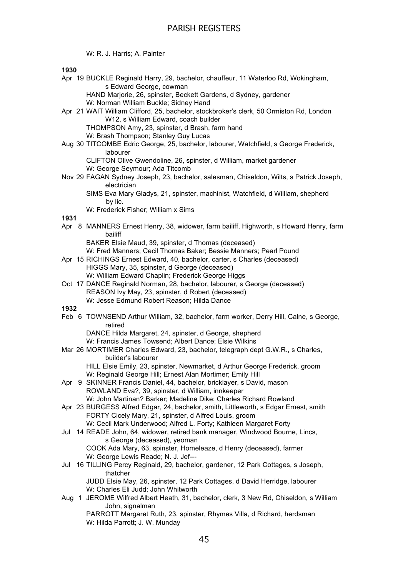W: R. J. Harris; A. Painter

**1930**

Apr 19 BUCKLE Reginald Harry, 29, bachelor, chauffeur, 11 Waterloo Rd, Wokingham, s Edward George, cowman

HAND Marjorie, 26, spinster, Beckett Gardens, d Sydney, gardener

- W: Norman William Buckle; Sidney Hand
- Apr 21 WAIT William Clifford, 25, bachelor, stockbroker's clerk, 50 Ormiston Rd, London W12, s William Edward, coach builder

THOMPSON Amy, 23, spinster, d Brash, farm hand

W: Brash Thompson; Stanley Guy Lucas

Aug 30 TITCOMBE Edric George, 25, bachelor, labourer, Watchfield, s George Frederick, labourer

CLIFTON Olive Gwendoline, 26, spinster, d William, market gardener W: George Seymour; Ada Titcomb

Nov 29 FAGAN Sydney Joseph, 23, bachelor, salesman, Chiseldon, Wilts, s Patrick Joseph, electrician

SIMS Eva Mary Gladys, 21, spinster, machinist, Watchfield, d William, shepherd by lic.

W: Frederick Fisher; William x Sims

### **1931**

Apr 8 MANNERS Ernest Henry, 38, widower, farm bailiff, Highworth, s Howard Henry, farm bailiff

BAKER Elsie Maud, 39, spinster, d Thomas (deceased)

W: Fred Manners; Cecil Thomas Baker; Bessie Manners; Pearl Pound

- Apr 15 RICHINGS Ernest Edward, 40, bachelor, carter, s Charles (deceased) HIGGS Mary, 35, spinster, d George (deceased) W: William Edward Chaplin: Frederick George Higgs
- Oct 17 DANCE Reginald Norman, 28, bachelor, labourer, s George (deceased) REASON Ivy May, 23, spinster, d Robert (deceased) W: Jesse Edmund Robert Reason; Hilda Dance

**1932**

Feb 6 TOWNSEND Arthur William, 32, bachelor, farm worker, Derry Hill, Calne, s George, retired

DANCE Hilda Margaret, 24, spinster, d George, shepherd W: Francis James Towsend; Albert Dance; Elsie Wilkins

- Mar 26 MORTIMER Charles Edward, 23, bachelor, telegraph dept G.W.R., s Charles, builder's labourer
	- HILL Elsie Emily, 23, spinster, Newmarket, d Arthur George Frederick, groom W: Reginald George Hill; Ernest Alan Mortimer; Emily Hill
- Apr 9 SKINNER Francis Daniel, 44, bachelor, bricklayer, s David, mason ROWLAND Eva?, 39, spinster, d William, innkeeper W: John Martinan? Barker; Madeline Dike; Charles Richard Rowland
- Apr 23 BURGESS Alfred Edgar, 24, bachelor, smith, Littleworth, s Edgar Ernest, smith FORTY Cicely Mary, 21, spinster, d Alfred Louis, groom W: Cecil Mark Underwood; Alfred L. Forty; Kathleen Margaret Forty
- Jul 14 READE John, 64, widower, retired bank manager, Windwood Bourne, Lincs, s George (deceased), yeoman COOK Ada Mary, 63, spinster, Homeleaze, d Henry (deceased), farmer

W: George Lewis Reade; N. J. Jef---

Jul 16 TILLING Percy Reginald, 29, bachelor, gardener, 12 Park Cottages, s Joseph, thatcher

JUDD Elsie May, 26, spinster, 12 Park Cottages, d David Herridge, labourer W: Charles Eli Judd; John Whitworth

Aug 1 JEROME Wilfred Albert Heath, 31, bachelor, clerk, 3 New Rd, Chiseldon, s William John, signalman

PARROTT Margaret Ruth, 23, spinster, Rhymes Villa, d Richard, herdsman W: Hilda Parrott; J. W. Munday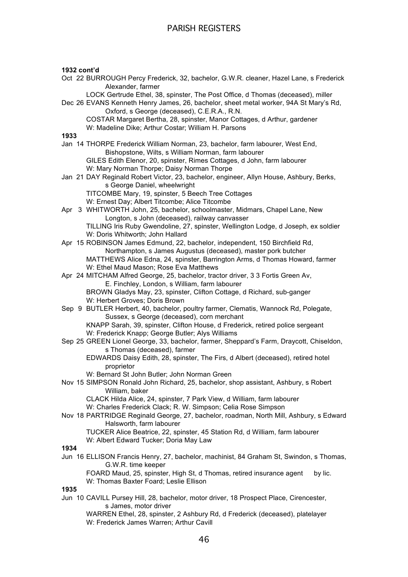#### **1932 cont'd**

Oct 22 BURROUGH Percy Frederick, 32, bachelor, G.W.R. cleaner, Hazel Lane, s Frederick Alexander, farmer

LOCK Gertrude Ethel, 38, spinster, The Post Office, d Thomas (deceased), miller

- Dec 26 EVANS Kenneth Henry James, 26, bachelor, sheet metal worker, 94A St Mary's Rd, Oxford, s George (deceased), C.E.R.A., R.N.
	- COSTAR Margaret Bertha, 28, spinster, Manor Cottages, d Arthur, gardener W: Madeline Dike; Arthur Costar; William H. Parsons

**1933**

- Jan 14 THORPE Frederick William Norman, 23, bachelor, farm labourer, West End, Bishopstone, Wilts, s William Norman, farm labourer GILES Edith Elenor, 20, spinster, Rimes Cottages, d John, farm labourer
	- W: Mary Norman Thorpe; Daisy Norman Thorpe
- Jan 21 DAY Reginald Robert Victor, 23, bachelor, engineer, Allyn House, Ashbury, Berks, s George Daniel, wheelwright TITCOMBE Mary, 19, spinster, 5 Beech Tree Cottages
	- W: Ernest Day; Albert Titcombe; Alice Titcombe
- Apr 3 WHITWORTH John, 25, bachelor, schoolmaster, Midmars, Chapel Lane, New Longton, s John (deceased), railway canvasser

TILLING Iris Ruby Gwendoline, 27, spinster, Wellington Lodge, d Joseph, ex soldier W: Doris Whitworth; John Hallard

- Apr 15 ROBINSON James Edmund, 22, bachelor, independent, 150 Birchfield Rd, Northampton, s James Augustus (deceased), master pork butcher MATTHEWS Alice Edna, 24, spinster, Barrington Arms, d Thomas Howard, farmer W: Ethel Maud Mason; Rose Eva Matthews
- Apr 24 MITCHAM Alfred George, 25, bachelor, tractor driver, 3 3 Fortis Green Av, E. Finchley, London, s William, farm labourer BROWN Gladys May, 23, spinster, Clifton Cottage, d Richard, sub-ganger W: Herbert Groves; Doris Brown
- Sep 9 BUTLER Herbert, 40, bachelor, poultry farmer, Clematis, Wannock Rd, Polegate, Sussex, s George (deceased), corn merchant KNAPP Sarah, 39, spinster, Clifton House, d Frederick, retired police sergeant

W: Frederick Knapp; George Butler; Alys Williams Sep 25 GREEN Lionel George, 33, bachelor, farmer, Sheppard's Farm, Draycott, Chiseldon,

s Thomas (deceased), farmer

EDWARDS Daisy Edith, 28, spinster, The Firs, d Albert (deceased), retired hotel proprietor

- W: Bernard St John Butler; John Norman Green
- Nov 15 SIMPSON Ronald John Richard, 25, bachelor, shop assistant, Ashbury, s Robert William, baker

CLACK Hilda Alice, 24, spinster, 7 Park View, d William, farm labourer

W: Charles Frederick Clack; R. W. Simpson; Celia Rose Simpson

- Nov 18 PARTRIDGE Reginald George, 27, bachelor, roadman, North Mill, Ashbury, s Edward Halsworth, farm labourer
	- TUCKER Alice Beatrice, 22, spinster, 45 Station Rd, d William, farm labourer W: Albert Edward Tucker; Doria May Law

### **1934**

Jun 16 ELLISON Francis Henry, 27, bachelor, machinist, 84 Graham St, Swindon, s Thomas, G.W.R. time keeper

FOARD Maud, 25, spinster, High St, d Thomas, retired insurance agent by lic. W: Thomas Baxter Foard; Leslie Ellison

#### **1935**

Jun 10 CAVILL Pursey Hill, 28, bachelor, motor driver, 18 Prospect Place, Cirencester, s James, motor driver

WARREN Ethel, 28, spinster, 2 Ashbury Rd, d Frederick (deceased), platelayer W: Frederick James Warren; Arthur Cavill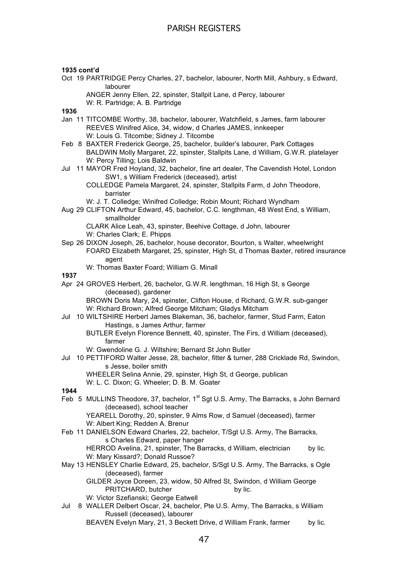#### **1935 cont'd**

Oct 19 PARTRIDGE Percy Charles, 27, bachelor, labourer, North Mill, Ashbury, s Edward, labourer

ANGER Jenny Ellen, 22, spinster, Stallpit Lane, d Percy, labourer W: R. Partridge; A. B. Partridge

### **1936**

- Jan 11 TITCOMBE Worthy, 38, bachelor, labourer, Watchfield, s James, farm labourer REEVES Winifred Alice, 34, widow, d Charles JAMES, innkeeper W: Louis G. Titcombe; Sidney J. Titcombe
- Feb 8 BAXTER Frederick George, 25, bachelor, builder's labourer, Park Cottages BALDWIN Molly Margaret, 22, spinster, Stallpits Lane, d William, G.W.R. platelayer W: Percy Tilling; Lois Baldwin
- Jul 11 MAYOR Fred Hoyland, 32, bachelor, fine art dealer, The Cavendish Hotel, London SW1, s William Frederick (deceased), artist

COLLEDGE Pamela Margaret, 24, spinster, Stallpits Farm, d John Theodore, barrister

W: J. T. Colledge; Winifred Colledge; Robin Mount; Richard Wyndham

Aug 29 CLIFTON Arthur Edward, 45, bachelor, C.C. lengthman, 48 West End, s William, smallholder

CLARK Alice Leah, 43, spinster, Beehive Cottage, d John, labourer W: Charles Clark; E. Phipps

- Sep 26 DIXON Joseph, 26, bachelor, house decorator, Bourton, s Walter, wheelwright FOARD Elizabeth Margaret, 25, spinster, High St, d Thomas Baxter, retired insurance agent
	- W: Thomas Baxter Foard; William G. Minall

### **1937**

Apr 24 GROVES Herbert, 26, bachelor, G.W.R. lengthman, 16 High St, s George (deceased), gardener

BROWN Doris Mary, 24, spinster, Clifton House, d Richard, G.W.R. sub-ganger W: Richard Brown; Alfred George Mitcham; Gladys Mitcham

- Jul 10 WILTSHIRE Herbert James Blakeman, 36, bachelor, farmer, Stud Farm, Eaton Hastings, s James Arthur, farmer
	- BUTLER Evelyn Florence Bennett, 40, spinster, The Firs, d William (deceased), farmer
	- W: Gwendoline G. J. Wiltshire; Bernard St John Butler
- Jul 10 PETTIFORD Walter Jesse, 28, bachelor, fitter & turner, 288 Cricklade Rd, Swindon, s Jesse, boiler smith

WHEELER Selina Annie, 29, spinster, High St, d George, publican

W: L. C. Dixon; G. Wheeler; D. B. M. Goater

#### **1944**

Feb 5 MULLINS Theodore, 37, bachelor, 1<sup>st</sup> Sgt U.S. Army, The Barracks, s John Bernard (deceased), school teacher

YEARELL Dorothy, 20, spinster, 9 Alms Row, d Samuel (deceased), farmer W: Albert King; Redden A. Brenur

- Feb 11 DANIELSON Edward Charles, 22, bachelor, T/Sgt U.S. Army, The Barracks, s Charles Edward, paper hanger HERROD Avelina, 21, spinster, The Barracks, d William, electrician by lic. W: Mary Kissard?; Donald Russoe?
- May 13 HENSLEY Charlie Edward, 25, bachelor, S/Sgt U.S. Army, The Barracks, s Ogle (deceased), farmer

GILDER Joyce Doreen, 23, widow, 50 Alfred St, Swindon, d William George PRITCHARD, butcher by lic.

- W: Victor Szefianski; George Eatwell
- Jul 8 WALLER Delbert Oscar, 24, bachelor, Pte U.S. Army, The Barracks, s William Russell (deceased), labourer

BEAVEN Evelyn Mary, 21, 3 Beckett Drive, d William Frank, farmer by lic.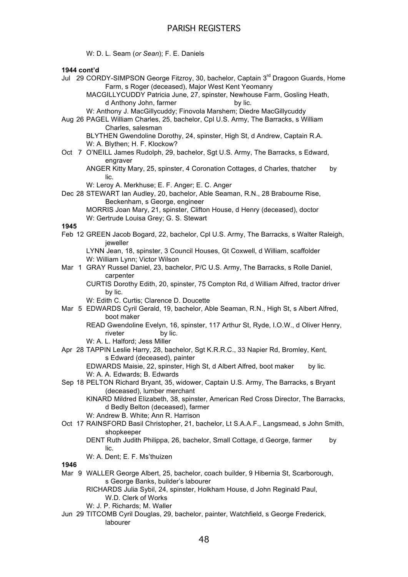W: D. L. Seam (*or Sean*); F. E. Daniels

### **1944 cont'd**

- Jul 29 CORDY-SIMPSON George Fitzroy, 30, bachelor, Captain 3<sup>rd</sup> Dragoon Guards, Home Farm, s Roger (deceased), Major West Kent Yeomanry MACGILLYCUDDY Patricia June, 27, spinster, Newhouse Farm, Gosling Heath, d Anthony John, farmer by lic. W: Anthony J. MacGillycuddy; Finovola Marshem; Diedre MacGillycuddy Aug 26 PAGEL William Charles, 25, bachelor, Cpl U.S. Army, The Barracks, s William Charles, salesman BLYTHEN Gwendoline Dorothy, 24, spinster, High St, d Andrew, Captain R.A. W: A. Blythen; H. F. Klockow? Oct 7 O'NEILL James Rudolph, 29, bachelor, Sgt U.S. Army, The Barracks, s Edward, engraver ANGER Kitty Mary, 25, spinster, 4 Coronation Cottages, d Charles, thatcher by lic. W: Leroy A. Merkhuse; E. F. Anger; E. C. Anger Dec 28 STEWART Ian Audley, 20, bachelor, Able Seaman, R.N., 28 Brabourne Rise, Beckenham, s George, engineer MORRIS Joan Mary, 21, spinster, Clifton House, d Henry (deceased), doctor W: Gertrude Louisa Grey; G. S. Stewart **1945** Feb 12 GREEN Jacob Bogard, 22, bachelor, Cpl U.S. Army, The Barracks, s Walter Raleigh, jeweller LYNN Jean, 18, spinster, 3 Council Houses, Gt Coxwell, d William, scaffolder W: William Lynn; Victor Wilson Mar 1 GRAY Russel Daniel, 23, bachelor, P/C U.S. Army, The Barracks, s Rolle Daniel, carpenter CURTIS Dorothy Edith, 20, spinster, 75 Compton Rd, d William Alfred, tractor driver by lic. W: Edith C. Curtis; Clarence D. Doucette Mar 5 EDWARDS Cyril Gerald, 19, bachelor, Able Seaman, R.N., High St, s Albert Alfred, boot maker READ Gwendoline Evelyn, 16, spinster, 117 Arthur St, Ryde, I.O.W., d Oliver Henry, riveter by lic. W: A. L. Halford; Jess Miller Apr 28 TAPPIN Leslie Harry, 28. bachelor, Sqt K.R.R.C., 33 Napier Rd, Bromley, Kent, s Edward (deceased), painter EDWARDS Maisie, 22, spinster, High St, d Albert Alfred, boot maker by lic. W: A. A. Edwards; B. Edwards Sep 18 PELTON Richard Bryant, 35, widower, Captain U.S. Army, The Barracks, s Bryant (deceased), lumber merchant KINARD Mildred Elizabeth, 38, spinster, American Red Cross Director, The Barracks, d Bedly Belton (deceased), farmer W: Andrew B. White; Ann R. Harrison Oct 17 RAINSFORD Basil Christopher, 21, bachelor, Lt S.A.A.F., Langsmead, s John Smith, shopkeeper DENT Ruth Judith Philippa, 26, bachelor, Small Cottage, d George, farmer by lic. W: A. Dent; E. F. Ms'thuizen **1946** Mar 9 WALLER George Albert, 25, bachelor, coach builder, 9 Hibernia St, Scarborough, s George Banks, builder's labourer RICHARDS Julia Sybil, 24, spinster, Holkham House, d John Reginald Paul, W.D. Clerk of Works W: J. P. Richards; M. Waller
	- Jun 29 TITCOMB Cyril Douglas, 29, bachelor, painter, Watchfield, s George Frederick, labourer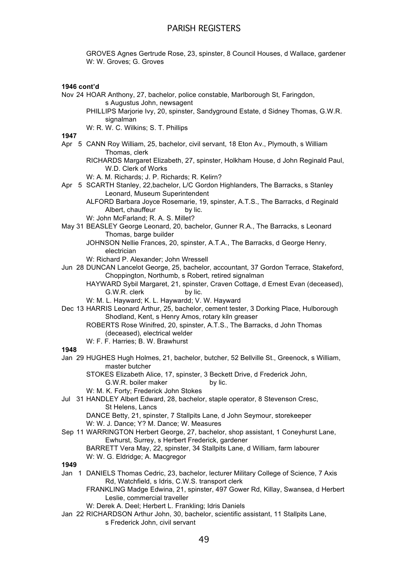GROVES Agnes Gertrude Rose, 23, spinster, 8 Council Houses, d Wallace, gardener W: W. Groves; G. Groves

### **1946 cont'd**

- Nov 24 HOAR Anthony, 27, bachelor, police constable, Marlborough St, Faringdon, s Augustus John, newsagent
	- PHILLIPS Marjorie Ivy, 20, spinster, Sandyground Estate, d Sidney Thomas, G.W.R. signalman

W: R. W. C. Wilkins; S. T. Phillips

**1947**

- Apr 5 CANN Roy William, 25, bachelor, civil servant, 18 Eton Av., Plymouth, s William Thomas, clerk
	- RICHARDS Margaret Elizabeth, 27, spinster, Holkham House, d John Reginald Paul, W.D. Clerk of Works

W: A. M. Richards; J. P. Richards; R. Kelirn?

- Apr 5 SCARTH Stanley, 22,bachelor, L/C Gordon Highlanders, The Barracks, s Stanley Leonard, Museum Superintendent
	- ALFORD Barbara Joyce Rosemarie, 19, spinster, A.T.S., The Barracks, d Reginald Albert, chauffeur by lic.
		- W: John McFarland: R. A. S. Millet?
- May 31 BEASLEY George Leonard, 20, bachelor, Gunner R.A., The Barracks, s Leonard Thomas, barge builder
	- JOHNSON Nellie Frances, 20, spinster, A.T.A., The Barracks, d George Henry, electrician
	- W: Richard P. Alexander; John Wressell
- Jun 28 DUNCAN Lancelot George, 25, bachelor, accountant, 37 Gordon Terrace, Stakeford, Choppington, Northumb, s Robert, retired signalman
	- HAYWARD Sybil Margaret, 21, spinster, Craven Cottage, d Ernest Evan (deceased), G.W.R. clerk by lic.
	- W: M. L. Hayward; K. L. Haywardd; V. W. Hayward
- Dec 13 HARRIS Leonard Arthur, 25, bachelor, cement tester, 3 Dorking Place, Hulborough Shodland, Kent, s Henry Amos, rotary kiln greaser
	- ROBERTS Rose Winifred, 20, spinster, A.T.S., The Barracks, d John Thomas (deceased), electrical welder
	- W: F. F. Harries; B. W. Brawhurst

### **1948**

- Jan 29 HUGHES Hugh Holmes, 21, bachelor, butcher, 52 Bellville St., Greenock, s William, master butcher
	- STOKES Elizabeth Alice, 17, spinster, 3 Beckett Drive, d Frederick John, G.W.R. boiler maker by lic.
	- W: M. K. Forty; Frederick John Stokes
- Jul 31 HANDLEY Albert Edward, 28, bachelor, staple operator, 8 Stevenson Cresc, St Helens, Lancs

DANCE Betty, 21, spinster, 7 Stallpits Lane, d John Seymour, storekeeper W: W. J. Dance; Y? M. Dance; W. Measures

- Sep 11 WARRINGTON Herbert George, 27, bachelor, shop assistant, 1 Coneyhurst Lane, Ewhurst, Surrey, s Herbert Frederick, gardener BARRETT Vera May, 22, spinster, 34 Stallpits Lane, d William, farm labourer W: W. G. Eldridge: A. Macgregor
- **1949**
- Jan 1 DANIELS Thomas Cedric, 23, bachelor, lecturer Military College of Science, 7 Axis Rd, Watchfield, s Idris, C.W.S. transport clerk
	- FRANKLING Madge Edwina, 21, spinster, 497 Gower Rd, Killay, Swansea, d Herbert Leslie, commercial traveller
	- W: Derek A. Deel; Herbert L. Frankling; Idris Daniels
- Jan 22 RICHARDSON Arthur John, 30, bachelor, scientific assistant, 11 Stallpits Lane, s Frederick John, civil servant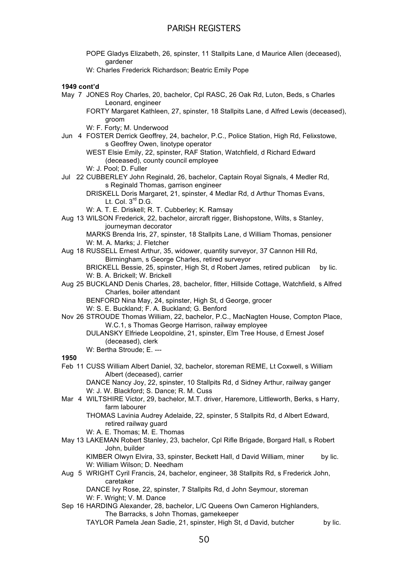- POPE Gladys Elizabeth, 26, spinster, 11 Stallpits Lane, d Maurice Allen (deceased), gardener
- W: Charles Frederick Richardson; Beatric Emily Pope

### **1949 cont'd**

- May 7 JONES Roy Charles, 20, bachelor, Cpl RASC, 26 Oak Rd, Luton, Beds, s Charles Leonard, engineer
	- FORTY Margaret Kathleen, 27, spinster, 18 Stallpits Lane, d Alfred Lewis (deceased), groom
	- W: F. Forty; M. Underwood
- Jun 4 FOSTER Derrick Geoffrey, 24, bachelor, P.C., Police Station, High Rd, Felixstowe, s Geoffrey Owen, linotype operator
	- WEST Elsie Emily, 22, spinster, RAF Station, Watchfield, d Richard Edward (deceased), county council employee

W: J. Pool; D. Fuller

Jul 22 CUBBERLEY John Reginald, 26, bachelor, Captain Royal Signals, 4 Medler Rd, s Reginald Thomas, garrison engineer

DRISKELL Doris Margaret, 21, spinster, 4 Medlar Rd, d Arthur Thomas Evans, Lt. Col.  $3^{rd}$  D.G.

W: A. T. E. Driskell; R. T. Cubberley; K. Ramsay

Aug 13 WILSON Frederick, 22, bachelor, aircraft rigger, Bishopstone, Wilts, s Stanley, journeyman decorator

MARKS Brenda Iris, 27, spinster, 18 Stallpits Lane, d William Thomas, pensioner W: M. A. Marks; J. Fletcher

- Aug 18 RUSSELL Ernest Arthur, 35, widower, quantity surveyor, 37 Cannon Hill Rd, Birmingham, s George Charles, retired surveyor BRICKELL Bessie, 25, spinster, High St, d Robert James, retired publican by lic. W: B. A. Brickell; W. Brickell
- Aug 25 BUCKLAND Denis Charles, 28, bachelor, fitter, Hillside Cottage, Watchfield, s Alfred Charles, boiler attendant

BENFORD Nina May, 24, spinster, High St, d George, grocer

- W: S. E. Buckland; F. A. Buckland; G. Benford
- Nov 26 STROUDE Thomas William, 22, bachelor, P.C., MacNagten House, Compton Place, W.C.1, s Thomas George Harrison, railway employee

DULANSKY Elfriede Leopoldine, 21, spinster, Elm Tree House, d Ernest Josef (deceased), clerk

W: Bertha Stroude: E. ---

**1950**

Feb 11 CUSS William Albert Daniel, 32, bachelor, storeman REME, Lt Coxwell, s William Albert (deceased), carrier

DANCE Nancy Joy, 22, spinster, 10 Stallpits Rd, d Sidney Arthur, railway ganger W: J. W. Blackford; S. Dance; R. M. Cuss

- Mar 4 WILTSHIRE Victor, 29, bachelor, M.T. driver, Haremore, Littleworth, Berks, s Harry, farm labourer
	- THOMAS Lavinia Audrey Adelaide, 22, spinster, 5 Stallpits Rd, d Albert Edward, retired railway guard

W: A. E. Thomas; M. E. Thomas

May 13 LAKEMAN Robert Stanley, 23, bachelor, Cpl Rifle Brigade, Borgard Hall, s Robert John, builder

KIMBER Olwyn Elvira, 33, spinster, Beckett Hall, d David William, miner by lic. W: William Wilson; D. Needham

Aug 5 WRIGHT Cyril Francis, 24, bachelor, engineer, 38 Stallpits Rd, s Frederick John, caretaker

DANCE Ivy Rose, 22, spinster, 7 Stallpits Rd, d John Seymour, storeman W: F. Wright: V. M. Dance

Sep 16 HARDING Alexander, 28, bachelor, L/C Queens Own Cameron Highlanders, The Barracks, s John Thomas, gamekeeper

TAYLOR Pamela Jean Sadie, 21, spinster, High St, d David, butcher by lic.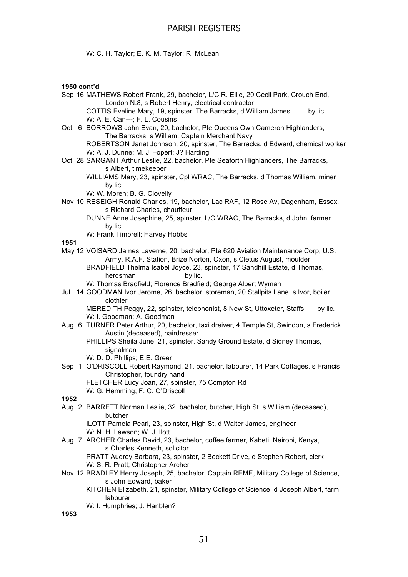W: C. H. Taylor; E. K. M. Taylor; R. McLean

### **1950 cont'd**

- Sep 16 MATHEWS Robert Frank, 29, bachelor, L/C R. Ellie, 20 Cecil Park, Crouch End, London N.8, s Robert Henry, electrical contractor COTTIS Eveline Mary, 19, spinster, The Barracks, d William James by lic.
	- W: A. E. Can---; F. L. Cousins
- Oct 6 BORROWS John Evan, 20, bachelor, Pte Queens Own Cameron Highlanders, The Barracks, s William, Captain Merchant Navy
	- ROBERTSON Janet Johnson, 20, spinster, The Barracks, d Edward, chemical worker W: A. J. Dunne; M. J. - opert; J? Harding
- Oct 28 SARGANT Arthur Leslie, 22, bachelor, Pte Seaforth Highlanders, The Barracks, s Albert, timekeeper
	- WILLIAMS Mary, 23, spinster, Cpl WRAC, The Barracks, d Thomas William, miner by lic.

W: W. Moren; B. G. Clovelly

- Nov 10 RESEIGH Ronald Charles, 19, bachelor, Lac RAF, 12 Rose Av, Dagenham, Essex, s Richard Charles, chauffeur
	- DUNNE Anne Josephine, 25, spinster, L/C WRAC, The Barracks, d John, farmer by lic.
	- W: Frank Timbrell; Harvey Hobbs

### **1951**

- May 12 VOISARD James Laverne, 20, bachelor, Pte 620 Aviation Maintenance Corp, U.S. Army, R.A.F. Station, Brize Norton, Oxon, s Cletus August, moulder
	- BRADFIELD Thelma Isabel Joyce, 23, spinster, 17 Sandhill Estate, d Thomas, herdsman by lic.
	- W: Thomas Bradfield; Florence Bradfield; George Albert Wyman
- Jul 14 GOODMAN Ivor Jerome, 26, bachelor, storeman, 20 Stallpits Lane, s Ivor, boiler clothier

MEREDITH Peggy, 22, spinster, telephonist, 8 New St, Uttoxeter, Staffs by lic. W: I. Goodman; A. Goodman

- Aug 6 TURNER Peter Arthur, 20, bachelor, taxi dreiver, 4 Temple St, Swindon, s Frederick Austin (deceased), hairdresser
	- PHILLIPS Sheila June, 21, spinster, Sandy Ground Estate, d Sidney Thomas, signalman
	- W: D. D. Phillips; E.E. Greer
- Sep 1 O'DRISCOLL Robert Raymond, 21, bachelor, labourer, 14 Park Cottages, s Francis Christopher, foundry hand
	- FLETCHER Lucy Joan, 27, spinster, 75 Compton Rd

W: G. Hemming; F. C. O'Driscoll

### **1952**

Aug 2 BARRETT Norman Leslie, 32, bachelor, butcher, High St, s William (deceased), butcher

ILOTT Pamela Pearl, 23, spinster, High St, d Walter James, engineer W: N. H. Lawson; W. J. Ilott

- Aug 7 ARCHER Charles David, 23, bachelor, coffee farmer, Kabeti, Nairobi, Kenya, s Charles Kenneth, solicitor PRATT Audrey Barbara, 23, spinster, 2 Beckett Drive, d Stephen Robert, clerk
	- W: S. R. Pratt; Christopher Archer
- Nov 12 BRADLEY Henry Joseph, 25, bachelor, Captain REME, Military College of Science, s John Edward, baker
	- KITCHEN Elizabeth, 21, spinster, Military College of Science, d Joseph Albert, farm labourer
	- W: I. Humphries; J. Hanblen?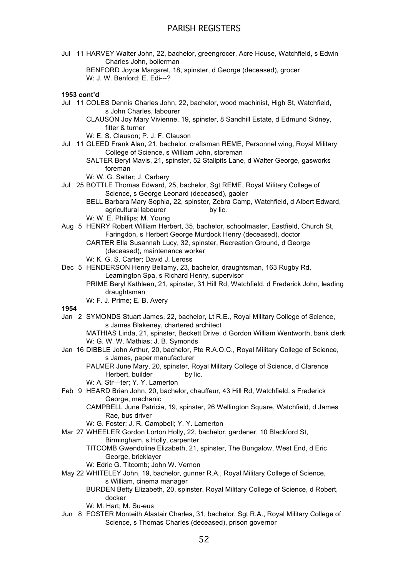Jul 11 HARVEY Walter John, 22, bachelor, greengrocer, Acre House, Watchfield, s Edwin Charles John, boilerman

BENFORD Joyce Margaret, 18, spinster, d George (deceased), grocer W: J. W. Benford; E. Edi---?

### **1953 cont'd**

Jul 11 COLES Dennis Charles John, 22, bachelor, wood machinist, High St, Watchfield, s John Charles, labourer

CLAUSON Joy Mary Vivienne, 19, spinster, 8 Sandhill Estate, d Edmund Sidney, fitter & turner

- W: E. S. Clauson; P. J. F. Clauson
- Jul 11 GLEED Frank Alan, 21, bachelor, craftsman REME, Personnel wing, Royal Military College of Science, s William John, storeman

- W: W. G. Salter; J. Carbery
- Jul 25 BOTTLE Thomas Edward, 25, bachelor, Sgt REME, Royal Military College of Science, s George Leonard (deceased), gaoler
	- BELL Barbara Mary Sophia, 22, spinster, Zebra Camp, Watchfield, d Albert Edward, agricultural labourer by lic. W: W. E. Phillips; M. Young
- Aug 5 HENRY Robert William Herbert, 35, bachelor, schoolmaster, Eastfield, Church St, Faringdon, s Herbert George Murdock Henry (deceased), doctor CARTER Ella Susannah Lucy, 32, spinster, Recreation Ground, d George
	- (deceased), maintenance worker
	- W: K. G. S. Carter; David J. Leross
- Dec 5 HENDERSON Henry Bellamy, 23, bachelor, draughtsman, 163 Rugby Rd, Leamington Spa, s Richard Henry, supervisor
	- PRIME Beryl Kathleen, 21, spinster, 31 Hill Rd, Watchfield, d Frederick John, leading draughtsman
	- W: F. J. Prime; E. B. Avery
- **1954**
- Jan 2 SYMONDS Stuart James, 22, bachelor, Lt R.E., Royal Military College of Science, s James Blakeney, chartered architect

MATHIAS Linda, 21, spinster, Beckett Drive, d Gordon William Wentworth, bank clerk W: G. W. W. Mathias; J. B. Symonds

- Jan 16 DIBBLE John Arthur, 20, bachelor, Pte R.A.O.C., Royal Military College of Science, s James, paper manufacturer
	- PALMER June Mary, 20, spinster, Royal Military College of Science, d Clarence Herbert, builder by lic.
	- W: A. Str—ter; Y. Y. Lamerton
- Feb 9 HEARD Brian John, 20, bachelor, chauffeur, 43 Hill Rd, Watchfield, s Frederick George, mechanic
	- CAMPBELL June Patricia, 19, spinster, 26 Wellington Square, Watchfield, d James Rae, bus driver
	- W: G. Foster; J. R. Campbell; Y. Y. Lamerton
- Mar 27 WHEELER Gordon Lorton Holly, 22, bachelor, gardener, 10 Blackford St, Birmingham, s Holly, carpenter

TITCOMB Gwendoline Elizabeth, 21, spinster, The Bungalow, West End, d Eric George, bricklayer

- W: Edric G. Titcomb; John W. Vernon
- May 22 WHITELEY John, 19, bachelor, gunner R.A., Royal Military College of Science, s William, cinema manager
	- BURDEN Betty Elizabeth, 20, spinster, Royal Military College of Science, d Robert, docker
	- W: M. Hart; M. Su-eus
- Jun 8 FOSTER Monteith Alastair Charles, 31, bachelor, Sgt R.A., Royal Military College of Science, s Thomas Charles (deceased), prison governor

SALTER Beryl Mavis, 21, spinster, 52 Stallpits Lane, d Walter George, gasworks foreman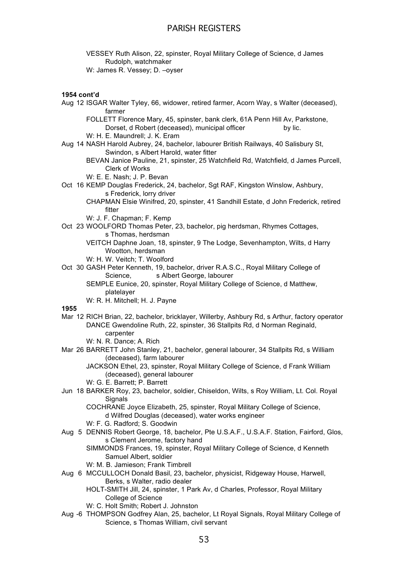VESSEY Ruth Alison, 22, spinster, Royal Military College of Science, d James Rudolph, watchmaker

W: James R. Vessey; D. –oyser

### **1954 cont'd**

Aug 12 ISGAR Walter Tyley, 66, widower, retired farmer, Acorn Way, s Walter (deceased), farmer

FOLLETT Florence Mary, 45, spinster, bank clerk, 61A Penn Hill Av, Parkstone, Dorset, d Robert (deceased), municipal officer by lic.

W: H. E. Maundrell; J. K. Eram

- Aug 14 NASH Harold Aubrey, 24, bachelor, labourer British Railways, 40 Salisbury St, Swindon, s Albert Harold, water fitter
	- BEVAN Janice Pauline, 21, spinster, 25 Watchfield Rd, Watchfield, d James Purcell, Clerk of Works
	- W: E. E. Nash; J. P. Bevan
- Oct 16 KEMP Douglas Frederick, 24, bachelor, Sgt RAF, Kingston Winslow, Ashbury, s Frederick, lorry driver
	- CHAPMAN Elsie Winifred, 20, spinster, 41 Sandhill Estate, d John Frederick, retired fitter
	- W: J. F. Chapman; F. Kemp
- Oct 23 WOOLFORD Thomas Peter, 23, bachelor, pig herdsman, Rhymes Cottages, s Thomas, herdsman
	- VEITCH Daphne Joan, 18, spinster, 9 The Lodge, Sevenhampton, Wilts, d Harry Wootton, herdsman
	- W: H. W. Veitch; T. Woolford
- Oct 30 GASH Peter Kenneth, 19, bachelor, driver R.A.S.C., Royal Military College of Science, s Albert George, labourer
	- SEMPLE Eunice, 20, spinster, Royal Military College of Science, d Matthew, platelayer
	- W: R. H. Mitchell; H. J. Payne

**1955**

- Mar 12 RICH Brian, 22, bachelor, bricklayer, Willerby, Ashbury Rd, s Arthur, factory operator DANCE Gwendoline Ruth, 22, spinster, 36 Stallpits Rd, d Norman Reginald, carpenter
	- W: N. R. Dance; A. Rich
- Mar 26 BARRETT John Stanley, 21, bachelor, general labourer, 34 Stallpits Rd, s William (deceased), farm labourer
	- JACKSON Ethel, 23, spinster, Royal Military College of Science, d Frank William (deceased), general labourer
	- W: G. E. Barrett; P. Barrett
- Jun 18 BARKER Roy, 23, bachelor, soldier, Chiseldon, Wilts, s Roy William, Lt. Col. Royal **Signals**

COCHRANE Joyce Elizabeth, 25, spinster, Royal Military College of Science, d Wilfred Douglas (deceased), water works engineer

- W: F. G. Radford; S. Goodwin
- Aug 5 DENNIS Robert George, 18, bachelor, Pte U.S.A.F., U.S.A.F. Station, Fairford, Glos, s Clement Jerome, factory hand

SIMMONDS Frances, 19, spinster, Royal Military College of Science, d Kenneth Samuel Albert, soldier

- W: M. B. Jamieson; Frank Timbrell
- Aug 6 MCCULLOCH Donald Basil, 23, bachelor, physicist, Ridgeway House, Harwell, Berks, s Walter, radio dealer
	- HOLT-SMITH Jill, 24, spinster, 1 Park Av, d Charles, Professor, Royal Military College of Science
	- W: C. Holt Smith; Robert J. Johnston
- Aug -6 THOMPSON Godfrey Alan, 25, bachelor, Lt Royal Signals, Royal Military College of Science, s Thomas William, civil servant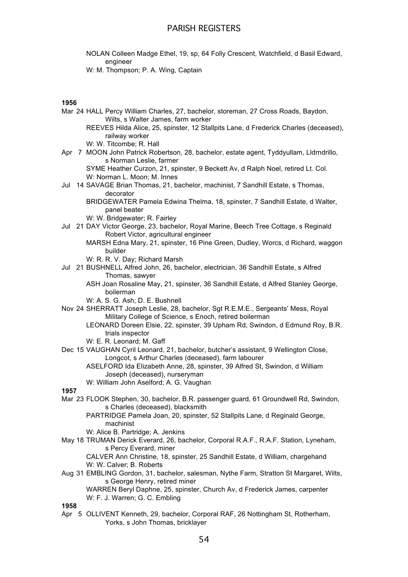- NOLAN Colleen Madge Ethel, 19, sp, 64 Folly Crescent, Watchfield, d Basil Edward, engineer
- W: M. Thompson; P. A. Wing, Captain

### **1956**

- Mar 24 HALL Percy William Charles, 27, bachelor, storeman, 27 Cross Roads, Baydon, Wilts, s Walter James, farm worker
	- REEVES Hilda Alice, 25, spinster, 12 Stallpits Lane, d Frederick Charles (deceased), railway worker
	- W: W. Titcombe; R. Hall
- Apr 7 MOON John Patrick Robertson, 28, bachelor, estate agent, Tyddyullam, Lldrndrillo, s Norman Leslie, farmer
	- SYME Heather Curzon, 21, spinster, 9 Beckett Av, d Ralph Noel, retired Lt. Col. W: Norman L. Moon; M. Innes
- Jul 14 SAVAGE Brian Thomas, 21, bachelor, machinist, 7 Sandhill Estate, s Thomas, decorator
	- BRIDGEWATER Pamela Edwina Thelma, 18, spinster, 7 Sandhill Estate, d Walter, panel beater
	- W: W. Bridgewater; R. Fairley
- Jul 21 DAY Victor George, 23, bachelor, Royal Marine, Beech Tree Cottage, s Reginald Robert Victor, agricultural engineer
	- MARSH Edna Mary, 21, spinster, 16 Pine Green, Dudley, Worcs, d Richard, waggon builder
	- W: R. R. V. Day; Richard Marsh
- Jul 21 BUSHNELL Alfred John, 26, bachelor, electrician, 36 Sandhill Estate, s Alfred Thomas, sawyer
	- ASH Joan Rosaline May, 21, spinster, 36 Sandhill Estate, d Alfred Stanley George, boilerman
	- W: A. S. G. Ash; D. E. Bushnell
- Nov 24 SHERRATT Joseph Leslie, 28, bachelor, Sgt R.E.M.E., Sergeants' Mess, Royal Military College of Science, s Enoch, retired boilerman
	- LEONARD Doreen Elsie, 22, spinster, 39 Upham Rd, Swindon, d Edmund Roy, B.R. trials inspector
	- W: E. R. Leonard; M. Gaff
- Dec 15 VAUGHAN Cyril Leonard, 21, bachelor, butcher's assistant, 9 Wellington Close, Longcot, s Arthur Charles (deceased), farm labourer
	- ASELFORD Ida Elizabeth Anne, 28, spinster, 39 Alfred St, Swindon, d William Joseph (deceased), nurseryman
	- W: William John Aselford; A. G. Vaughan

#### **1957**

- Mar 23 FLOOK Stephen, 30, bachelor, B.R. passenger guard, 61 Groundwell Rd, Swindon, s Charles (deceased), blacksmith
	- PARTRIDGE Pamela Joan, 20, spinster, 52 Stallpits Lane, d Reginald George, machinist
	- W: Alice B. Partridge; A. Jenkins
- May 18 TRUMAN Derick Everard, 26, bachelor, Corporal R.A.F., R.A.F. Station, Lyneham, s Percy Everard, miner

CALVER Ann Christine, 18, spinster, 25 Sandhill Estate, d William, chargehand W: W. Calver; B. Roberts

Aug 31 EMBLING Gordon, 31, bachelor, salesman, Nythe Farm, Stratton St Margaret, Wilts, s George Henry, retired miner

WARREN Beryl Daphne, 25, spinster, Church Av, d Frederick James, carpenter W: F. J. Warren; G. C. Embling

**1958**

Apr 5 OLLIVENT Kenneth, 29, bachelor, Corporal RAF, 26 Nottingham St, Rotherham, Yorks, s John Thomas, bricklayer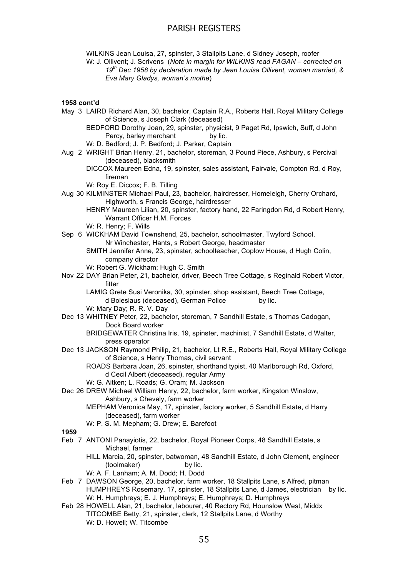WILKINS Jean Louisa, 27, spinster, 3 Stallpits Lane, d Sidney Joseph, roofer

W: J. Ollivent; J. Scrivens (*Note in margin for WILKINS read FAGAN – corrected on 19th Dec 1958 by declaration made by Jean Louisa Ollivent, woman married, & Eva Mary Gladys, woman's mothe*)

**1958 cont'd**

- May 3 LAIRD Richard Alan, 30, bachelor, Captain R.A., Roberts Hall, Royal Military College of Science, s Joseph Clark (deceased)
	- BEDFORD Dorothy Joan, 29, spinster, physicist, 9 Paget Rd, Ipswich, Suff, d John Percy, barley merchant by lic.
	- W: D. Bedford; J. P. Bedford; J. Parker, Captain
- Aug 2 WRIGHT Brian Henry, 21, bachelor, storeman, 3 Pound Piece, Ashbury, s Percival (deceased), blacksmith
	- DICCOX Maureen Edna, 19, spinster, sales assistant, Fairvale, Compton Rd, d Roy, fireman
	- W: Roy E. Diccox: F. B. Tilling
- Aug 30 KILMINSTER Michael Paul, 23, bachelor, hairdresser, Homeleigh, Cherry Orchard, Highworth, s Francis George, hairdresser
	- HENRY Maureen Lilian, 20, spinster, factory hand, 22 Faringdon Rd, d Robert Henry, Warrant Officer H.M. Forces
	- W: R. Henry; F. Wills
- Sep 6 WICKHAM David Townshend, 25, bachelor, schoolmaster, Twyford School, Nr Winchester, Hants, s Robert George, headmaster
	- SMITH Jennifer Anne, 23, spinster, schoolteacher, Coplow House, d Hugh Colin, company director
	- W: Robert G. Wickham; Hugh C. Smith
- Nov 22 DAY Brian Peter, 21, bachelor, driver, Beech Tree Cottage, s Reginald Robert Victor, fitter
	- LAMIG Grete Susi Veronika, 30, spinster, shop assistant, Beech Tree Cottage, d Boleslaus (deceased), German Police by lic.
	- W: Mary Day; R. R. V. Day
- Dec 13 WHITNEY Peter, 22, bachelor, storeman, 7 Sandhill Estate, s Thomas Cadogan, Dock Board worker
	- BRIDGEWATER Christina Iris, 19, spinster, machinist, 7 Sandhill Estate, d Walter, press operator
- Dec 13 JACKSON Raymond Philip, 21, bachelor, Lt R.E., Roberts Hall, Royal Military College of Science, s Henry Thomas, civil servant
	- ROADS Barbara Joan, 26, spinster, shorthand typist, 40 Marlborough Rd, Oxford, d Cecil Albert (deceased), regular Army
	- W: G. Aitken; L. Roads; G. Oram; M. Jackson
- Dec 26 DREW Michael William Henry, 22, bachelor, farm worker, Kingston Winslow, Ashbury, s Chevely, farm worker
	- MEPHAM Veronica May, 17, spinster, factory worker, 5 Sandhill Estate, d Harry (deceased), farm worker
	- W: P. S. M. Mepham; G. Drew; E. Barefoot

- Feb 7 ANTONI Panayiotis, 22, bachelor, Royal Pioneer Corps, 48 Sandhill Estate, s Michael, farmer
	- HILL Marcia, 20, spinster, batwoman, 48 Sandhill Estate, d John Clement, engineer (toolmaker) by lic.
	- W: A. F. Lanham; A. M. Dodd; H. Dodd
- Feb 7 DAWSON George, 20, bachelor, farm worker, 18 Stallpits Lane, s Alfred, pitman HUMPHREYS Rosemary, 17, spinster, 18 Stallpits Lane, d James, electrician by lic. W: H. Humphreys; E. J. Humphreys; E. Humphreys; D. Humphreys
- Feb 28 HOWELL Alan, 21, bachelor, labourer, 40 Rectory Rd, Hounslow West, Middx TITCOMBE Betty, 21, spinster, clerk, 12 Stallpits Lane, d Worthy W: D. Howell; W. Titcombe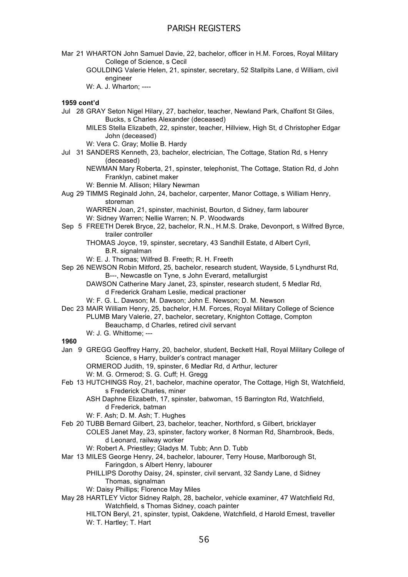- Mar 21 WHARTON John Samuel Davie, 22, bachelor, officer in H.M. Forces, Royal Military College of Science, s Cecil
	- GOULDING Valerie Helen, 21, spinster, secretary, 52 Stallpits Lane, d William, civil engineer
	- W: A. J. Wharton; ----

### **1959 cont'd**

- Jul 28 GRAY Seton Nigel Hilary, 27, bachelor, teacher, Newland Park, Chalfont St Giles, Bucks, s Charles Alexander (deceased)
	- MILES Stella Elizabeth, 22, spinster, teacher, Hillview, High St, d Christopher Edgar John (deceased)
	- W: Vera C. Gray; Mollie B. Hardy
- Jul 31 SANDERS Kenneth, 23, bachelor, electrician, The Cottage, Station Rd, s Henry (deceased)
	- NEWMAN Mary Roberta, 21, spinster, telephonist, The Cottage, Station Rd, d John Franklyn, cabinet maker
	- W: Bennie M. Allison; Hilary Newman
- Aug 29 TIMMS Reginald John, 24, bachelor, carpenter, Manor Cottage, s William Henry, storeman

WARREN Joan, 21, spinster, machinist, Bourton, d Sidney, farm labourer W: Sidney Warren; Nellie Warren; N. P. Woodwards

Sep 5 FREETH Derek Bryce, 22, bachelor, R.N., H.M.S. Drake, Devonport, s Wilfred Byrce, trailer controller

THOMAS Joyce, 19, spinster, secretary, 43 Sandhill Estate, d Albert Cyril, B.R. signalman

- W: E. J. Thomas; Wilfred B. Freeth; R. H. Freeth
- Sep 26 NEWSON Robin Mitford, 25, bachelor, research student, Wayside, 5 Lyndhurst Rd, B---, Newcastle on Tyne, s John Everard, metallurgist

DAWSON Catherine Mary Janet, 23, spinster, research student, 5 Medlar Rd, d Frederick Graham Leslie, medical practioner

W: F. G. L. Dawson; M. Dawson; John E. Newson; D. M. Newson

Dec 23 MAIR William Henry, 25, bachelor, H.M. Forces, Royal Military College of Science PLUMB Mary Valerie, 27, bachelor, secretary, Knighton Cottage, Compton Beauchamp, d Charles, retired civil servant

W: J. G. Whittome; ---

### **1960**

Jan 9 GREGG Geoffrey Harry, 20, bachelor, student, Beckett Hall, Royal Military College of Science, s Harry, builder's contract manager

ORMEROD Judith, 19, spinster, 6 Medlar Rd, d Arthur, lecturer

- W: M. G. Ormerod; S. G. Cuff; H. Gregg
- Feb 13 HUTCHINGS Roy, 21, bachelor, machine operator, The Cottage, High St, Watchfield, s Frederick Charles, miner
	- ASH Daphne Elizabeth, 17, spinster, batwoman, 15 Barrington Rd, Watchfield, d Frederick, batman
	- W: F. Ash; D. M. Ash; T. Hughes
- Feb 20 TUBB Bernard Gilbert, 23, bachelor, teacher, Northford, s Gilbert, bricklayer COLES Janet May, 23, spinster, factory worker, 8 Norman Rd, Sharnbrook, Beds, d Leonard, railway worker
	- W: Robert A. Priestley; Gladys M. Tubb; Ann D. Tubb
- Mar 13 MILES George Henry, 24, bachelor, labourer, Terry House, Marlborough St, Faringdon, s Albert Henry, labourer
	- PHILLIPS Dorothy Daisy, 24, spinster, civil servant, 32 Sandy Lane, d Sidney Thomas, signalman
	- W: Daisy Phillips; Florence May Miles
- May 28 HARTLEY Victor Sidney Ralph, 28, bachelor, vehicle examiner, 47 Watchfield Rd, Watchfield, s Thomas Sidney, coach painter

HILTON Beryl, 21, spinster, typist, Oakdene, Watchfield, d Harold Ernest, traveller W: T. Hartley; T. Hart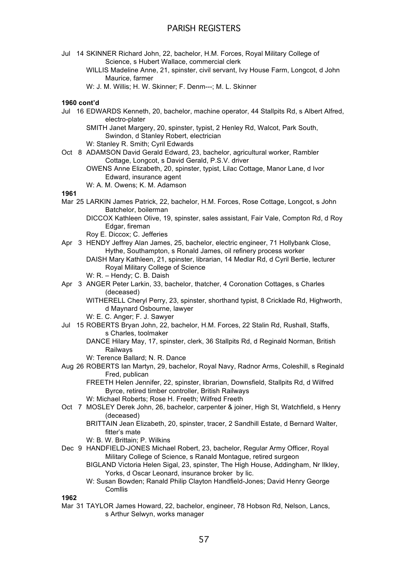- Jul 14 SKINNER Richard John, 22, bachelor, H.M. Forces, Royal Military College of Science, s Hubert Wallace, commercial clerk
	- WILLIS Madeline Anne, 21, spinster, civil servant, Ivy House Farm, Longcot, d John Maurice, farmer
	- W: J. M. Willis; H. W. Skinner; F. Denm---; M. L. Skinner

### **1960 cont'd**

- Jul 16 EDWARDS Kenneth, 20, bachelor, machine operator, 44 Stallpits Rd, s Albert Alfred, electro-plater
	- SMITH Janet Margery, 20, spinster, typist, 2 Henley Rd, Walcot, Park South, Swindon, d Stanley Robert, electrician
	- W: Stanley R. Smith; Cyril Edwards
- Oct 8 ADAMSON David Gerald Edward, 23, bachelor, agricultural worker, Rambler Cottage, Longcot, s David Gerald, P.S.V. driver
	- OWENS Anne Elizabeth, 20, spinster, typist, Lilac Cottage, Manor Lane, d Ivor Edward, insurance agent
	- W: A. M. Owens; K. M. Adamson

### **1961**

- Mar 25 LARKIN James Patrick, 22, bachelor, H.M. Forces, Rose Cottage, Longcot, s John Batchelor, boilerman
	- DICCOX Kathleen Olive, 19, spinster, sales assistant, Fair Vale, Compton Rd, d Roy Edgar, fireman
	- Roy E. Diccox; C. Jefferies
- Apr 3 HENDY Jeffrey Alan James, 25, bachelor, electric engineer, 71 Hollybank Close, Hythe, Southampton, s Ronald James, oil refinery process worker DAISH Mary Kathleen, 21, spinster, librarian, 14 Medlar Rd, d Cyril Bertie, lecturer Royal Military College of Science
	- W: R. Hendy; C. B. Daish
- Apr 3 ANGER Peter Larkin, 33, bachelor, thatcher, 4 Coronation Cottages, s Charles (deceased)

WITHERELL Cheryl Perry, 23, spinster, shorthand typist, 8 Cricklade Rd, Highworth, d Maynard Osbourne, lawyer

- W: E. C. Anger; F. J. Sawyer
- Jul 15 ROBERTS Bryan John, 22, bachelor, H.M. Forces, 22 Stalin Rd, Rushall, Staffs, s Charles, toolmaker
	- DANCE Hilary May, 17, spinster, clerk, 36 Stallpits Rd, d Reginald Norman, British Railways
	- W: Terence Ballard; N. R. Dance
- Aug 26 ROBERTS Ian Martyn, 29, bachelor, Royal Navy, Radnor Arms, Coleshill, s Reginald Fred, publican

FREETH Helen Jennifer, 22, spinster, librarian, Downsfield, Stallpits Rd, d Wilfred Byrce, retired timber controller, British Railways

- W: Michael Roberts; Rose H. Freeth; Wilfred Freeth
- Oct 7 MOSLEY Derek John, 26, bachelor, carpenter & joiner, High St, Watchfield, s Henry (deceased)
	- BRITTAIN Jean Elizabeth, 20, spinster, tracer, 2 Sandhill Estate, d Bernard Walter, fitter's mate
	- W: B. W. Brittain; P. Wilkins
- Dec 9 HANDFIELD-JONES Michael Robert, 23, bachelor, Regular Army Officer, Royal Military College of Science, s Ranald Montague, retired surgeon
	- BIGLAND Victoria Helen Sigal, 23, spinster, The High House, Addingham, Nr Ilkley, Yorks, d Oscar Leonard, insurance broker by lic.
	- W: Susan Bowden; Ranald Philip Clayton Handfield-Jones; David Henry George Comllis

**1962**

Mar 31 TAYLOR James Howard, 22, bachelor, engineer, 78 Hobson Rd, Nelson, Lancs, s Arthur Selwyn, works manager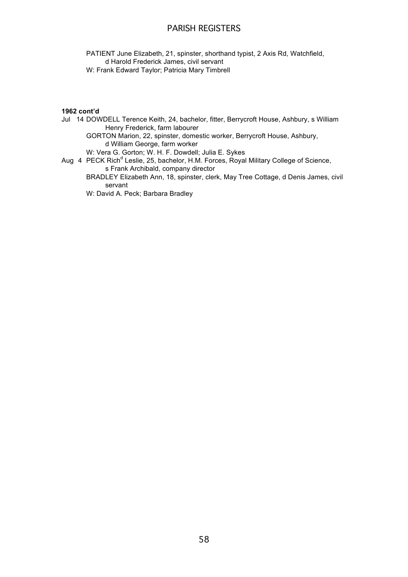PATIENT June Elizabeth, 21, spinster, shorthand typist, 2 Axis Rd, Watchfield, d Harold Frederick James, civil servant W: Frank Edward Taylor; Patricia Mary Timbrell

### **1962 cont'd**

Jul 14 DOWDELL Terence Keith, 24, bachelor, fitter, Berrycroft House, Ashbury, s William Henry Frederick, farm labourer

GORTON Marion, 22, spinster, domestic worker, Berrycroft House, Ashbury, d William George, farm worker

W: Vera G. Gorton; W. H. F. Dowdell; Julia E. Sykes

Aug 4 PECK Rich<sup>d</sup> Leslie, 25, bachelor, H.M. Forces, Royal Military College of Science, s Frank Archibald, company director

BRADLEY Elizabeth Ann, 18, spinster, clerk, May Tree Cottage, d Denis James, civil servant

W: David A. Peck; Barbara Bradley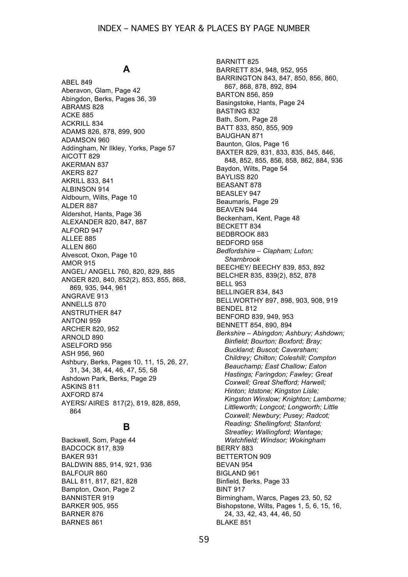# **A**

ABEL 849 Aberavon, Glam, Page 42 Abingdon, Berks, Pages 36, 39 ABRAMS 828 ACKE 885 ACKRILL 834 ADAMS 826, 878, 899, 900 ADAMSON 960 Addingham, Nr Ilkley, Yorks, Page 57 AICOTT 829 AKERMAN 837 AKERS 827 AKRILL 833, 841 ALBINSON 914 Aldbourn, Wilts, Page 10 ALDER 887 Aldershot, Hants, Page 36 ALEXANDER 820, 847, 887 ALFORD 947 ALLEE 885 ALLEN 860 Alvescot, Oxon, Page 10 AMOR 915 ANGEL/ ANGELL 760, 820, 829, 885 ANGER 820, 840, 852(2), 853, 855, 868, 869, 935, 944, 961 ANGRAVE 913 ANNELLS 870 ANSTRUTHER 847 ANTONI 959 ARCHER 820, 952 ARNOLD 890 ASELFORD 956 ASH 956, 960 Ashbury, Berks, Pages 10, 11, 15, 26, 27, 31, 34, 38, 44, 46, 47, 55, 58 Ashdown Park, Berks, Page 29 ASKINS 811 AXFORD 874 AYERS/ AIRES 817(2), 819, 828, 859, 864

# **B**

Backwell, Som, Page 44 BADCOCK 817, 839 BAKER 931 BALDWIN 885, 914, 921, 936 BALFOUR 860 BALL 811, 817, 821, 828 Bampton, Oxon, Page 2 BANNISTER 919 BARKER 905, 955 BARNER 876 BARNES 861

BARNITT 825 BARRETT 834, 948, 952, 955 BARRINGTON 843, 847, 850, 856, 860, 867, 868, 878, 892, 894 BARTON 856, 859 Basingstoke, Hants, Page 24 BASTING 832 Bath, Som, Page 28 BATT 833, 850, 855, 909 BAUGHAN 871 Baunton, Glos, Page 16 BAXTER 829, 831, 833, 835, 845, 846, 848, 852, 855, 856, 858, 862, 884, 936 Baydon, Wilts, Page 54 BAYLISS 820 BEASANT 878 BEASLEY 947 Beaumaris, Page 29 BEAVEN 944 Beckenham, Kent, Page 48 BECKETT 834 BEDBROOK 883 BEDFORD 958 *Bedfordshire – Clapham; Luton; Sharnbrook* BEECHEY/ BEECHY 839, 853, 892 BELCHER 835, 839(2), 852, 878 BELL 953 BELLINGER 834, 843 BELLWORTHY 897, 898, 903, 908, 919 BENDEL 812 BENFORD 839, 949, 953 BENNETT 854, 890, 894 *Berkshire – Abingdon; Ashbury; Ashdown; Binfield; Bourton; Boxford; Bray; Buckland; Buscot; Caversham; Childrey; Chilton; Coleshill; Compton Beauchamp; East Challow; Eaton Hastings; Faringdon; Fawley; Great Coxwell; Great Shefford; Harwell; Hinton; Idstone; Kingston Lisle; Kingston Winslow; Knighton; Lamborne; Littleworth; Longcot; Longworth; Little Coxwell; Newbury; Pusey; Radcot; Reading; Shellingford; Stanford; Streatley; Wallingford; Wantage; Watchfield; Windsor; Wokingham* BERRY 883 BETTERTON 909 BEVAN 954 BIGLAND 961 Binfield, Berks, Page 33 BINT 917 Birmingham, Warcs, Pages 23, 50, 52 Bishopstone, Wilts, Pages 1, 5, 6, 15, 16, 24, 33, 42, 43, 44, 46, 50 BLAKE 851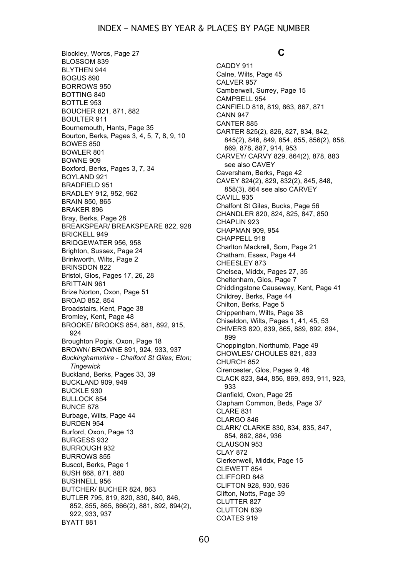Blockley, Worcs, Page 27 BLOSSOM 839 BLYTHEN 944 BOGUS 890 BORROWS 950 BOTTING 840 BOTTLE 953 BOUCHER 821, 871, 882 BOULTER 911 Bournemouth, Hants, Page 35 Bourton, Berks, Pages 3, 4, 5, 7, 8, 9, 10 BOWES 850 BOWLER 801 BOWNE 909 Boxford, Berks, Pages 3, 7, 34 BOYLAND 921 BRADFIELD 951 BRADLEY 912, 952, 962 BRAIN 850, 865 BRAKER 896 Bray, Berks, Page 28 BREAKSPEAR/ BREAKSPEARE 822, 928 BRICKELL 949 BRIDGEWATER 956, 958 Brighton, Sussex, Page 24 Brinkworth, Wilts, Page 2 BRINSDON 822 Bristol, Glos, Pages 17, 26, 28 BRITTAIN 961 Brize Norton, Oxon, Page 51 BROAD 852, 854 Broadstairs, Kent, Page 38 Bromley, Kent, Page 48 BROOKE/ BROOKS 854, 881, 892, 915, 924 Broughton Pogis, Oxon, Page 18 BROWN/ BROWNE 891, 924, 933, 937 *Buckinghamshire - Chalfont St Giles; Eton; Tingewick* Buckland, Berks, Pages 33, 39 BUCKLAND 909, 949 BUCKLE 930 BULLOCK 854 BUNCE 878 Burbage, Wilts, Page 44 BURDEN 954 Burford, Oxon, Page 13 BURGESS 932 BURROUGH 932 BURROWS 855 Buscot, Berks, Page 1 BUSH 868, 871, 880 BUSHNELL 956 BUTCHER/ BUCHER 824, 863 BUTLER 795, 819, 820, 830, 840, 846, 852, 855, 865, 866(2), 881, 892, 894(2), 922, 933, 937 BYATT 881

# **C**

CADDY 911 Calne, Wilts, Page 45 CALVER 957 Camberwell, Surrey, Page 15 CAMPBELL 954 CANFIELD 818, 819, 863, 867, 871 CANN 947 CANTER 885 CARTER 825(2), 826, 827, 834, 842, 845(2), 846, 849, 854, 855, 856(2), 858, 869, 878, 887, 914, 953 CARVEY/ CARVY 829, 864(2), 878, 883 see also CAVEY Caversham, Berks, Page 42 CAVEY 824(2), 829, 832(2), 845, 848, 858(3), 864 see also CARVEY CAVILL 935 Chalfont St Giles, Bucks, Page 56 CHANDLER 820, 824, 825, 847, 850 CHAPLIN 923 CHAPMAN 909, 954 CHAPPELL 918 Charlton Mackrell, Som, Page 21 Chatham, Essex, Page 44 CHEESLEY 873 Chelsea, Middx, Pages 27, 35 Cheltenham, Glos, Page 7 Chiddingstone Causeway, Kent, Page 41 Childrey, Berks, Page 44 Chilton, Berks, Page 5 Chippenham, Wilts, Page 38 Chiseldon, Wilts, Pages 1, 41, 45, 53 CHIVERS 820, 839, 865, 889, 892, 894, 899 Choppington, Northumb, Page 49 CHOWLES/ CHOULES 821, 833 CHURCH 852 Cirencester, Glos, Pages 9, 46 CLACK 823, 844, 856, 869, 893, 911, 923, 933 Clanfield, Oxon, Page 25 Clapham Common, Beds, Page 37 CLARE 831 CLARGO 846 CLARK/ CLARKE 830, 834, 835, 847, 854, 862, 884, 936 CLAUSON 953 CLAY 872 Clerkenwell, Middx, Page 15 CLEWETT 854 CLIFFORD 848 CLIFTON 928, 930, 936 Clifton, Notts, Page 39 CLUTTER 827 CLUTTON 839 COATES 919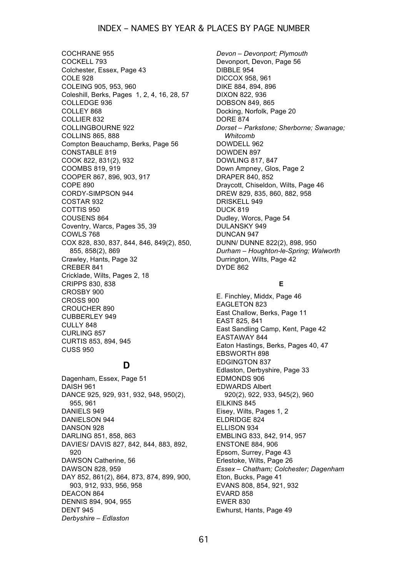### INDEX – NAMES BY YEAR & PLACES BY PAGE NUMBER

COCHRANE 955 COCKELL 793 Colchester, Essex, Page 43 COLE 928 COLEING 905, 953, 960 Coleshill, Berks, Pages 1, 2, 4, 16, 28, 57 COLLEDGE 936 COLLEY 868 COLLIER 832 COLLINGBOURNE 922 COLLINS 865, 888 Compton Beauchamp, Berks, Page 56 CONSTABLE 819 COOK 822, 831(2), 932 COOMBS 819, 919 COOPER 867, 896, 903, 917 COPE 890 CORDY-SIMPSON 944 COSTAR 932 COTTIS 950 COUSENS 864 Coventry, Warcs, Pages 35, 39 COWLS 768 COX 828, 830, 837, 844, 846, 849(2), 850, 855, 858(2), 869 Crawley, Hants, Page 32 CREBER 841 Cricklade, Wilts, Pages 2, 18 CRIPPS 830, 838 CROSBY 900 CROSS 900 CROUCHER 890 CUBBERLEY 949 CULLY 848 CURLING 857 CURTIS 853, 894, 945 CUSS 950

# **D**

Dagenham, Essex, Page 51 DAISH 961 DANCE 925, 929, 931, 932, 948, 950(2), 955, 961 DANIELS 949 DANIELSON 944 DANSON 928 DARLING 851, 858, 863 DAVIES/ DAVIS 827, 842, 844, 883, 892, 920 DAWSON Catherine, 56 DAWSON 828, 959 DAY 852, 861(2), 864, 873, 874, 899, 900, 903, 912, 933, 956, 958 DEACON 864 DENNIS 894, 904, 955 DENT 945 *Derbyshire – Edlaston* 

*Devon – Devonport; Plymouth* Devonport, Devon, Page 56 DIBBLE 954 DICCOX 958, 961 DIKE 884, 894, 896 DIXON 822, 936 DOBSON 849, 865 Docking, Norfolk, Page 20 DORE 874 *Dorset – Parkstone; Sherborne; Swanage; Whitcomb* DOWDELL 962 DOWDEN 897 DOWLING 817, 847 Down Ampney, Glos, Page 2 DRAPER 840, 852 Draycott, Chiseldon, Wilts, Page 46 DREW 829, 835, 860, 882, 958 DRISKELL 949 DUCK 819 Dudley, Worcs, Page 54 DULANSKY 949 DUNCAN 947 DUNN/ DUNNE 822(2), 898, 950 *Durham – Houghton-le-Spring; Walworth* Durrington, Wilts, Page 42 DYDE 862

### **E**

E. Finchley, Middx, Page 46 EAGLETON 823 East Challow, Berks, Page 11 EAST 825, 841 East Sandling Camp, Kent, Page 42 EASTAWAY 844 Eaton Hastings, Berks, Pages 40, 47 EBSWORTH 898 EDGINGTON 837 Edlaston, Derbyshire, Page 33 EDMONDS 906 EDWARDS Albert 920(2), 922, 933, 945(2), 960 EILKINS 845 Eisey, Wilts, Pages 1, 2 ELDRIDGE 824 ELLISON 934 EMBLING 833, 842, 914, 957 ENSTONE 884, 906 Epsom, Surrey, Page 43 Erlestoke, Wilts, Page 26 *Essex – Chatham; Colchester; Dagenham* Eton, Bucks, Page 41 EVANS 808, 854, 921, 932 EVARD 858 EWER 830 Ewhurst, Hants, Page 49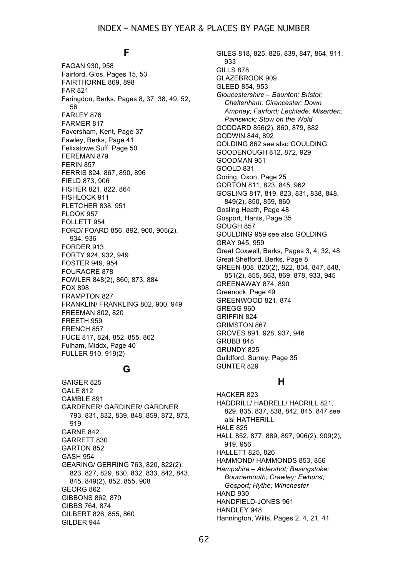### **F**

FAGAN 930, 958 Fairford, Glos, Pages 15, 53 FAIRTHORNE 869, 898 FAR 821 Faringdon, Berks, Pages 8, 37, 38, 49, 52, 56 FARLEY 876 FARMER 817 Faversham, Kent, Page 37 Fawley, Berks, Page 41 Felixstowe,Suff, Page 50 FEREMAN 879 FERIN 857 FERRIS 824, 867, 890, 896 FIELD 873, 906 FISHER 821, 822, 864 FISHLOCK 911 FLETCHER 838, 951 FLOOK 957 FOLLETT 954 FORD/ FOARD 856, 892, 900, 905(2), 934, 936 FORDER 913 FORTY 924, 932, 949 FOSTER 949, 954 FOURACRE 878 FOWLER 848(2), 860, 873, 884 FOX 898 FRAMPTON 827 FRANKLIN/ FRANKLING 802, 900, 949 FREEMAN 802, 820 FREETH 959 FRENCH 857 FUCE 817, 824, 852, 855, 862 Fulham, Middx, Page 40 FULLER 910, 919(2)

### **G**

GAIGER 825 GALE 812 GAMBLE 891 GARDENER/ GARDINER/ GARDNER 793, 831, 832, 839, 848, 859, 872, 873, 919 GARNE 842 GARRETT 830 GARTON 852 GASH 954 GEARING/ GERRING 763, 820, 822(2), 823, 827, 829, 830, 832, 833, 842, 843, 845, 849(2), 852, 855, 908 GEORG 862 GIBBONS 862, 870 GIBBS 764, 874 GILBERT 826, 855, 860 GILDER 944

GILES 818, 825, 826, 839, 847, 864, 911, 933 GILLS 878 GLAZEBROOK 909 GLEED 854, 953 *Gloucestershire – Baunton; Bristol; Cheltenham; Cirencester; Down Ampney; Fairford; Lechlade; Miserden; Painswick; Stow on the Wold* GODDARD 856(2), 860, 879, 882 GODWIN 844, 892 GOLDING 862 see also GOULDING GOODENOUGH 812, 872, 929 GOODMAN 951 GOOLD 831 Goring, Oxon, Page 25 GORTON 811, 823, 845, 962 GOSLING 817, 819, 823, 831, 838, 848, 849(2), 850, 859, 860 Gosling Heath, Page 48 Gosport, Hants, Page 35 GOUGH 857 GOULDING 959 see also GOLDING GRAY 945, 959 Great Coxwell, Berks, Pages 3, 4, 32, 48 Great Shefford, Berks, Page 8 GREEN 808, 820(2), 822, 834, 847, 848, 851(2), 855, 863, 869, 878, 933, 945 GREENAWAY 874, 890 Greenock, Page 49 GREENWOOD 821, 874 GREGG 960 GRIFFIN 824 GRIMSTON 867 GROVES 891, 928, 937, 946 GRUBB 848 GRUNDY 825 Guildford, Surrey, Page 35 GUNTER 829

# **H**

HACKER 823 HADDRILL/ HADRELL/ HADRILL 821, 829, 835, 837, 838, 842, 845, 847 see alsi HATHERILL **HALE 825** HALL 852, 877, 889, 897, 906(2), 909(2), 919, 956 HALLETT 825, 826 HAMMOND/ HAMMONDS 853, 856 *Hampshire – Aldershot; Basingstoke; Bournemouth; Crawley; Ewhurst; Gosport; Hythe; Winchester* **HAND 930** HANDFIELD-JONES 961 HANDLEY 948 Hannington, Wilts, Pages 2, 4, 21, 41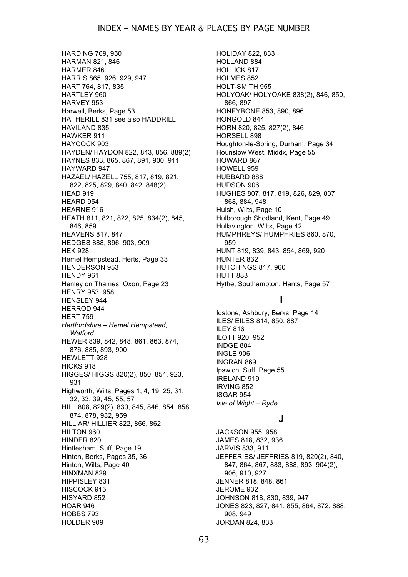HARDING 769, 950 HARMAN 821, 846 HARMER 846 HARRIS 865, 926, 929, 947 HART 764, 817, 835 HARTLEY 960 HARVEY 953 Harwell, Berks, Page 53 HATHERILL 831 see also HADDRILL HAVILAND 835 HAWKER 911 HAYCOCK 903 HAYDEN/ HAYDON 822, 843, 856, 889(2) HAYNES 833, 865, 867, 891, 900, 911 HAYWARD 947 HAZAEL/ HAZELL 755, 817, 819, 821, 822, 825, 829, 840, 842, 848(2) HEAD 919 HEARD 954 HEARNE 916 HEATH 811, 821, 822, 825, 834(2), 845, 846, 859 HEAVENS 817, 847 HEDGES 888, 896, 903, 909 HEK 928 Hemel Hempstead, Herts, Page 33 HENDERSON 953 HENDY 961 Henley on Thames, Oxon, Page 23 HENRY 953, 958 HENSLEY 944 HERROD 944 HERT 759 *Hertfordshire – Hemel Hempstead; Watford* HEWER 839, 842, 848, 861, 863, 874, 876, 885, 893, 900 HEWLETT 928 HICKS 918 HIGGES/ HIGGS 820(2), 850, 854, 923, 931 Highworth, Wilts, Pages 1, 4, 19, 25, 31, 32, 33, 39, 45, 55, 57 HILL 808, 829(2), 830, 845, 846, 854, 858, 874, 878, 932, 959 HILLIAR/ HILLIER 822, 856, 862 HILTON 960 HINDER 820 Hintlesham, Suff, Page 19 Hinton, Berks, Pages 35, 36 Hinton, Wilts, Page 40 HINXMAN 829 HIPPISLEY 831 HISCOCK 915 HISYARD 852 HOAR 946 HOBBS 793 HOLDER 909

HOLIDAY 822, 833 HOLLAND 884 HOLLICK 817 HOLMES 852 HOLT-SMITH 955 HOLYOAK/ HOLYOAKE 838(2), 846, 850, 866, 897 HONEYBONE 853, 890, 896 HONGOLD 844 HORN 820, 825, 827(2), 846 HORSELL 898 Houghton-le-Spring, Durham, Page 34 Hounslow West, Middx, Page 55 HOWARD 867 HOWELL 959 HUBBARD 888 HUDSON 906 HUGHES 807, 817, 819, 826, 829, 837, 868, 884, 948 Huish, Wilts, Page 10 Hulborough Shodland, Kent, Page 49 Hullavington, Wilts, Page 42 HUMPHREYS/ HUMPHRIES 860, 870, 959 HUNT 819, 839, 843, 854, 869, 920 HUNTER 832 HUTCHINGS 817, 960 HUTT 883 Hythe, Southampton, Hants, Page 57

### **I**

Idstone, Ashbury, Berks, Page 14 ILES/ EILES 814, 850, 887 ILEY 816 ILOTT 920, 952 INDGE 884 INGLE 906 INGRAN 869 Ipswich, Suff, Page 55 IRELAND 919 IRVING 852 ISGAR 954 *Isle of Wight – Ryde*

### **J**

JACKSON 955, 958 JAMES 818, 832, 936 JARVIS 833, 911 JEFFERIES/ JEFFRIES 819, 820(2), 840, 847, 864, 867, 883, 888, 893, 904(2), 906, 910, 927 JENNER 818, 848, 861 JEROME 932 JOHNSON 818, 830, 839, 947 JONES 823, 827, 841, 855, 864, 872, 888, 908, 949 JORDAN 824, 833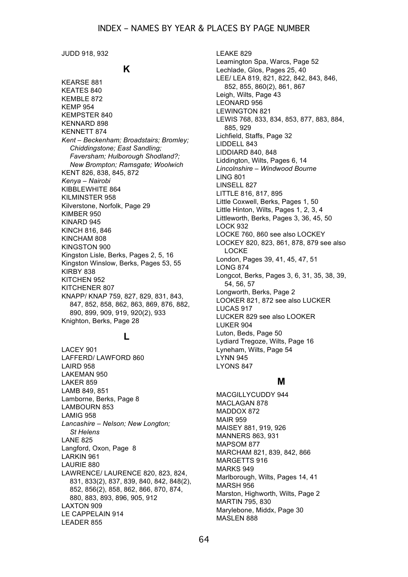JUDD 918, 932

# **K**

KEARSE 881 KEATES 840 KEMBLE 872 KEMP 954 KEMPSTER 840 KENNARD 898 KENNETT 874 *Kent – Beckenham; Broadstairs; Bromley; Chiddingstone; East Sandling; Faversham; Hulborough Shodland?; New Brompton; Ramsgate; Woolwich* KENT 826, 838, 845, 872 *Kenya – Nairobi* KIBBLEWHITE 864 KILMINSTER 958 Kilverstone, Norfolk, Page 29 KIMBER 950 KINARD 945 KINCH 816, 846 KINCHAM 808 KINGSTON 900 Kingston Lisle, Berks, Pages 2, 5, 16 Kingston Winslow, Berks, Pages 53, 55 KIRBY 838 KITCHEN 952 KITCHENER 807 KNAPP/ KNAP 759, 827, 829, 831, 843, 847, 852, 858, 862, 863, 869, 876, 882, 890, 899, 909, 919, 920(2), 933 Knighton, Berks, Page 28

### **L**

LACEY 901 LAFFERD/ LAWFORD 860 LAIRD 958 LAKEMAN 950 LAKER 859 LAMB 849, 851 Lamborne, Berks, Page 8 LAMBOURN 853 LAMIG 958 *Lancashire – Nelson; New Longton; St Helens* LANE 825 Langford, Oxon, Page 8 LARKIN 961 LAURIE 880 LAWRENCE/ LAURENCE 820, 823, 824, 831, 833(2), 837, 839, 840, 842, 848(2), 852, 856(2), 858, 862, 866, 870, 874, 880, 883, 893, 896, 905, 912 LAXTON 909 LE CAPPELAIN 914 LEADER 855

LEAKE 829 Leamington Spa, Warcs, Page 52 Lechlade, Glos, Pages 25, 40 LEE/ LEA 819, 821, 822, 842, 843, 846, 852, 855, 860(2), 861, 867 Leigh, Wilts, Page 43 LEONARD 956 LEWINGTON 821 LEWIS 768, 833, 834, 853, 877, 883, 884, 885, 929 Lichfield, Staffs, Page 32 LIDDELL 843 LIDDIARD 840, 848 Liddington, Wilts, Pages 6, 14 *Lincolnshire – Windwood Bourne* LING 801 LINSELL 827 LITTLE 816, 817, 895 Little Coxwell, Berks, Pages 1, 50 Little Hinton, Wilts, Pages 1, 2, 3, 4 Littleworth, Berks, Pages 3, 36, 45, 50 LOCK 932 LOCKE 760, 860 see also LOCKEY LOCKEY 820, 823, 861, 878, 879 see also LOCKE London, Pages 39, 41, 45, 47, 51 LONG 874 Longcot, Berks, Pages 3, 6, 31, 35, 38, 39, 54, 56, 57 Longworth, Berks, Page 2 LOOKER 821, 872 see also LUCKER LUCAS 917 LUCKER 829 see also LOOKER LUKER 904 Luton, Beds, Page 50 Lydiard Tregoze, Wilts, Page 16 Lyneham, Wilts, Page 54 LYNN 945 LYONS 847

### **M**

MACGILLYCUDDY 944 MACLAGAN 878 MADDOX 872 MAIR 959 MAISEY 881, 919, 926 MANNERS 863, 931 MAPSOM 877 MARCHAM 821, 839, 842, 866 MARGETTS 916 MARKS 949 Marlborough, Wilts, Pages 14, 41 MARSH 956 Marston, Highworth, Wilts, Page 2 MARTIN 795, 830 Marylebone, Middx, Page 30 MASLEN 888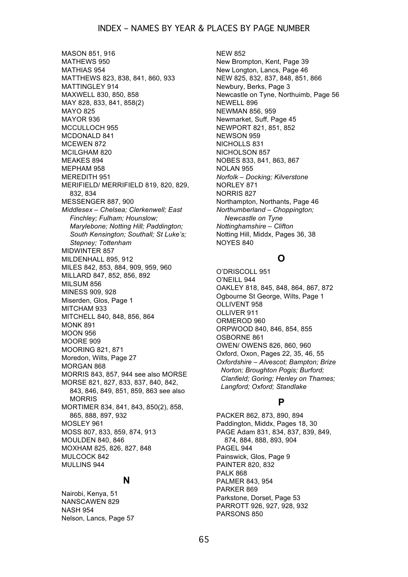MASON 851, 916 MATHEWS 950 MATHIAS 954 MATTHEWS 823, 838, 841, 860, 933 MATTINGLEY 914 MAXWELL 830, 850, 858 MAY 828, 833, 841, 858(2) MAYO 825 MAYOR 936 MCCULLOCH 955 MCDONALD 841 MCEWEN 872 MCILGHAM 820 MEAKES 894 MEPHAM 958 MEREDITH 951 MERIFIELD/ MERRIFIELD 819, 820, 829, 832, 834 MESSENGER 887, 900 *Middlesex – Chelsea; Clerkenwell; East Finchley; Fulham; Hounslow; Marylebone; Notting Hill; Paddington; South Kensington; Southall; St Luke's; Stepney; Tottenham* MIDWINTER 857 MILDENHALL 895, 912 MILES 842, 853, 884, 909, 959, 960 MILLARD 847, 852, 856, 892 MILSUM 856 MINESS 909, 928 Miserden, Glos, Page 1 MITCHAM 933 MITCHELL 840, 848, 856, 864 MONK 891 MOON 956 MOORE 909 MOORING 821, 871 Moredon, Wilts, Page 27 MORGAN 868 MORRIS 843, 857, 944 see also MORSE MORSE 821, 827, 833, 837, 840, 842, 843, 846, 849, 851, 859, 863 see also MORRIS MORTIMER 834, 841, 843, 850(2), 858, 865, 888, 897, 932 MOSLEY 961 MOSS 807, 833, 859, 874, 913 MOULDEN 840, 846 MOXHAM 825, 826, 827, 848 MULCOCK 842 MULLINS 944

### **N**

Nairobi, Kenya, 51 NANSCAWEN 829 NASH 954 Nelson, Lancs, Page 57 NEW 852 New Brompton, Kent, Page 39 New Longton, Lancs, Page 46 NEW 825, 832, 837, 848, 851, 866 Newbury, Berks, Page 3 Newcastle on Tyne, Northuimb, Page 56 NEWELL 896 NEWMAN 856, 959 Newmarket, Suff, Page 45 NEWPORT 821, 851, 852 NEWSON 959 NICHOLLS 831 NICHOLSON 857 NOBES 833, 841, 863, 867 NOLAN 955 *Norfolk – Docking; Kilverstone* NORLEY 871 NORRIS 827 Northampton, Northants, Page 46 *Northumberland – Choppington; Newcastle on Tyne Nottinghamshire – Clifton* Notting Hill, Middx, Pages 36, 38 NOYES 840

# **O**

O'DRISCOLL 951 O'NEILL 944 OAKLEY 818, 845, 848, 864, 867, 872 Ogbourne St George, Wilts, Page 1 OLLIVENT 958 OLLIVER 911 ORMEROD 960 ORPWOOD 840, 846, 854, 855 OSBORNE 861 OWEN/ OWENS 826, 860, 960 Oxford, Oxon, Pages 22, 35, 46, 55 *Oxfordshire – Alvescot; Bampton; Brize Norton; Broughton Pogis; Burford; Clanfield; Goring; Henley on Thames; Langford; Oxford; Standlake*

# **P**

PACKER 862, 873, 890, 894 Paddington, Middx, Pages 18, 30 PAGE Adam 831, 834, 837, 839, 849, 874, 884, 888, 893, 904 PAGEL 944 Painswick, Glos, Page 9 PAINTER 820, 832 PALK 868 PALMER 843, 954 PARKER 869 Parkstone, Dorset, Page 53 PARROTT 926, 927, 928, 932 PARSONS 850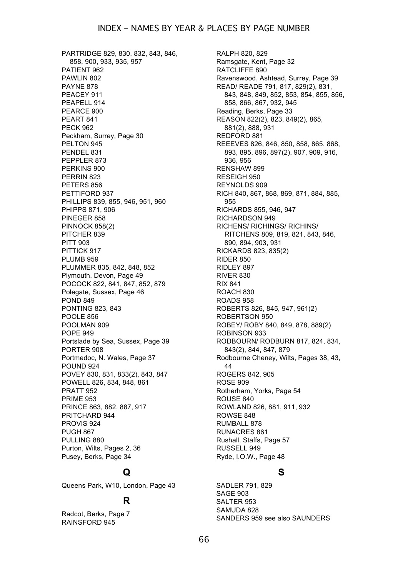PARTRIDGE 829, 830, 832, 843, 846, 858, 900, 933, 935, 957 PATIENT 962 PAWLIN 802 PAYNE 878 PEACEY 911 PEAPELL 914 PEARCE 900 PEART 841 PECK 962 Peckham, Surrey, Page 30 PELTON 945 PENDEL 831 PEPPLER 873 PERKINS 900 PERRIN 823 PETERS 856 PETTIFORD 937 PHILLIPS 839, 855, 946, 951, 960 PHIPPS 871, 906 PINEGER 858 PINNOCK 858(2) PITCHER 839 PITT 903 PITTICK 917 PLUMB 959 PLUMMER 835, 842, 848, 852 Plymouth, Devon, Page 49 POCOCK 822, 841, 847, 852, 879 Polegate, Sussex, Page 46 POND 849 PONTING 823, 843 POOLE 856 POOLMAN 909 POPE 949 Portslade by Sea, Sussex, Page 39 PORTER 908 Portmedoc, N. Wales, Page 37 POUND 924 POVEY 830, 831, 833(2), 843, 847 POWELL 826, 834, 848, 861 PRATT 952 PRIME 953 PRINCE 863, 882, 887, 917 PRITCHARD 944 PROVIS 924 PUGH 867 PULLING 880 Purton, Wilts, Pages 2, 36 Pusey, Berks, Page 34

# **Q**

Queens Park, W10, London, Page 43

# **R**

Radcot, Berks, Page 7 RAINSFORD 945

RALPH 820, 829 Ramsgate, Kent, Page 32 RATCLIFFE 890 Ravenswood, Ashtead, Surrey, Page 39 READ/ READE 791, 817, 829(2), 831, 843, 848, 849, 852, 853, 854, 855, 856, 858, 866, 867, 932, 945 Reading, Berks, Page 33 REASON 822(2), 823, 849(2), 865, 881(2), 888, 931 REDFORD 881 REEEVES 826, 846, 850, 858, 865, 868, 893, 895, 896, 897(2), 907, 909, 916, 936, 956 RENSHAW 899 RESEIGH 950 REYNOLDS 909 RICH 840, 867, 868, 869, 871, 884, 885, 955 RICHARDS 855, 946, 947 RICHARDSON 949 RICHENS/ RICHINGS/ RICHINS/ RITCHENS 809, 819, 821, 843, 846, 890, 894, 903, 931 RICKARDS 823, 835(2) RIDER 850 RIDLEY 897 RIVER 830 RIX 841 ROACH 830 ROADS 958 ROBERTS 826, 845, 947, 961(2) ROBERTSON 950 ROBEY/ ROBY 840, 849, 878, 889(2) ROBINSON 933 RODBOURN/ RODBURN 817, 824, 834, 843(2), 844, 847, 879 Rodbourne Cheney, Wilts, Pages 38, 43, 44 ROGERS 842, 905 ROSE 909 Rotherham, Yorks, Page 54 ROUSE 840 ROWLAND 826, 881, 911, 932 ROWSE 848 RUMBALL 878 RUNACRES 861 Rushall, Staffs, Page 57 RUSSELL 949 Ryde, I.O.W., Page 48

# **S**

SADLER 791, 829 SAGE 903 SALTER 953 SAMUDA 828 SANDERS 959 see also SAUNDERS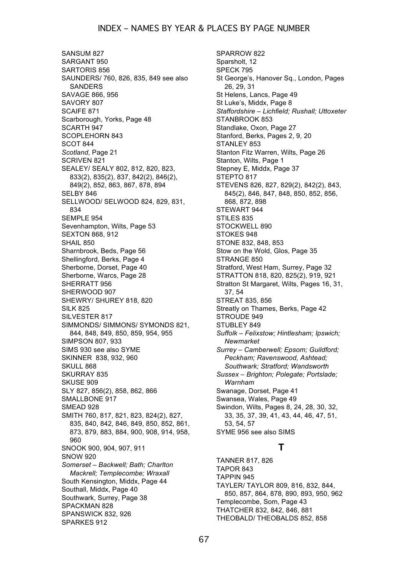SANSUM 827 SARGANT 950 SARTORIS 856 SAUNDERS/ 760, 826, 835, 849 see also SANDERS SAVAGE 866, 956 SAVORY 807 SCAIFE 871 Scarborough, Yorks, Page 48 SCARTH 947 SCOPLEHORN 843 SCOT 844 *Scotland*, Page 21 SCRIVEN 821 SEALEY/ SEALY 802, 812, 820, 823, 833(2), 835(2), 837, 842(2), 846(2), 849(2), 852, 863, 867, 878, 894 SELBY 846 SELLWOOD/ SELWOOD 824, 829, 831, 834 SEMPLE 954 Sevenhampton, Wilts, Page 53 SEXTON 868, 912 SHAIL 850 Sharnbrook, Beds, Page 56 Shellingford, Berks, Page 4 Sherborne, Dorset, Page 40 Sherborne, Warcs, Page 28 SHERRATT 956 SHERWOOD 907 SHEWRY/ SHUREY 818, 820 SILK 825 SILVESTER 817 SIMMONDS/ SIMMONS/ SYMONDS 821, 844, 848, 849, 850, 859, 954, 955 SIMPSON 807, 933 SIMS 930 see also SYME SKINNER 838, 932, 960 SKULL 868 SKURRAY 835 SKUSE 909 SLY 827, 856(2), 858, 862, 866 SMALLBONE 917 SMEAD 928 SMITH 760, 817, 821, 823, 824(2), 827, 835, 840, 842, 846, 849, 850, 852, 861, 873, 879, 883, 884, 900, 908, 914, 958, 960 SNOOK 900, 904, 907, 911 SNOW 920 *Somerset – Backwell; Bath; Charlton Mackrell; Templecombe; Wraxall* South Kensington, Middx, Page 44 Southall, Middx, Page 40 Southwark, Surrey, Page 38 SPACKMAN 828 SPANSWICK 832, 926 SPARKES 912

SPARROW 822 Sparsholt, 12 SPECK 795 St George's, Hanover Sq., London, Pages 26, 29, 31 St Helens, Lancs, Page 49 St Luke's, Middx, Page 8 *Staffordshire – Lichfield; Rushall; Uttoxeter* STANBROOK 853 Standlake, Oxon, Page 27 Stanford, Berks, Pages 2, 9, 20 STANLEY 853 Stanton Fitz Warren, Wilts, Page 26 Stanton, Wilts, Page 1 Stepney E, Middx, Page 37 STEPTO 817 STEVENS 826, 827, 829(2), 842(2), 843, 845(2), 846, 847, 848, 850, 852, 856, 868, 872, 898 STEWART 944 STILES 835 STOCKWELL 890 STOKES 948 STONE 832, 848, 853 Stow on the Wold, Glos, Page 35 STRANGE 850 Stratford, West Ham, Surrey, Page 32 STRATTON 818, 820, 825(2), 919, 921 Stratton St Margaret, Wilts, Pages 16, 31, 37, 54 STREAT 835, 856 Streatly on Thames, Berks, Page 42 STROUDE 949 STUBLEY 849 *Suffolk – Felixstow; Hintlesham; Ipswich; Newmarket Surrey – Camberwell; Epsom; Guildford; Peckham; Ravenswood, Ashtead; Southwark; Stratford; Wandsworth Sussex – Brighton; Polegate; Portslade; Warnham* Swanage, Dorset, Page 41 Swansea, Wales, Page 49 Swindon, Wilts, Pages 8, 24, 28, 30, 32, 33, 35, 37, 39, 41, 43, 44, 46, 47, 51, 53, 54, 57 SYME 956 see also SIMS

# **T**

TANNER 817, 826 TAPOR 843 TAPPIN 945 TAYLER/ TAYLOR 809, 816, 832, 844, 850, 857, 864, 878, 890, 893, 950, 962 Templecombe, Som, Page 43 THATCHER 832, 842, 846, 881 THEOBALD/ THEOBALDS 852, 858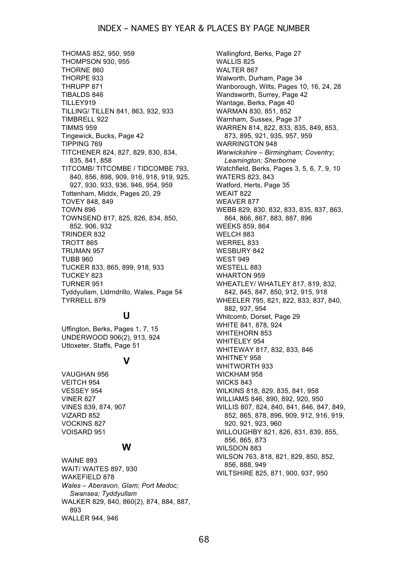### INDEX – NAMES BY YEAR & PLACES BY PAGE NUMBER

THOMAS 852, 950, 959 THOMPSON 930, 955 THORNE 860 THORPE 933 THRUPP 871 TIBALDS 846 TILLEY919 TILLING/ TILLEN 841, 863, 932, 933 TIMBRELL 922 TIMMS 959 Tingewick, Bucks, Page 42 TIPPING 769 TITCHENER 824, 827, 829, 830, 834, 835, 841, 858 TITCOMB/ TITCOMBE / TIDCOMBE 793, 840, 856, 898, 909, 916, 918, 919, 925, 927, 930, 933, 936, 946, 954, 959 Tottenham, Middx, Pages 20, 29 TOVEY 848, 849 TOWN 896 TOWNSEND 817, 825, 826, 834, 850, 852, 906, 932 TRINDER 832 TROTT 865 TRUMAN 957 TUBB 960 TUCKER 833, 865, 899, 918, 933 TUCKEY 823 TURNER 951 Tyddyullam, Lldrndrillo, Wales, Page 54 TYRRELL 879

# **U**

Uffington, Berks, Pages 1, 7, 15 UNDERWOOD 906(2), 913, 924 Uttoxeter, Staffs, Page 51

### **V**

VAUGHAN 956 VEITCH 954 VESSEY 954 VINER 827 VINES 839, 874, 907 VIZARD 852 VOCKINS 827 VOISARD 951

### **W**

WAINE 893 WAIT/ WAITES 897, 930 WAKEFIELD 878 *Wales – Aberavon, Glam; Port Medoc; Swansea; Tyddyullam* WALKER 829, 840, 860(2), 874, 884, 887, 893 WALLER 944, 946

Wallingford, Berks, Page 27 WALLIS 825 WALTER 867 Walworth, Durham, Page 34 Wanborough, Wilts, Pages 10, 16, 24, 28 Wandsworth, Surrey, Page 42 Wantage, Berks, Page 40 WARMAN 830, 851, 852 Warnham, Sussex, Page 37 WARREN 814, 822, 833, 835, 849, 853, 873, 895, 921, 935, 957, 959 WARRINGTON 948 *Warwickshire – Birmingham; Coventry; Leamington; Sherborne* Watchfield, Berks, Pages 3, 5, 6, 7, 9, 10 WATERS 823, 843 Watford, Herts, Page 35 WEAIT 822 WEAVER 877 WEBB 829, 830, 832, 833, 835, 837, 863, 864, 866, 867, 883, 887, 896 WEEKS 859, 864 WELCH 883 WERREL 833 WESBURY 842 WEST 949 WESTELL 883 WHARTON 959 WHEATLEY/ WHATLEY 817, 819, 832, 842, 845, 847, 850, 912, 915, 918 WHEELER 795, 821, 822, 833, 837, 840, 882, 937, 954 Whitcomb, Dorset, Page 29 WHITE 841, 878, 924 WHITEHORN 853 WHITELEY 954 WHITEWAY 817, 832, 833, 846 WHITNEY 958 WHITWORTH 933 WICKHAM 958 WICKS 843 WILKINS 818, 829, 835, 841, 958 WILLIAMS 846, 890, 892, 920, 950 WILLIS 807, 824, 840, 841, 846, 847, 849, 852, 865, 878, 896, 909, 912, 916, 919, 920, 921, 923, 960 WILLOUGHBY 821, 826, 831, 839, 855, 856, 865, 873 WILSDON 883 WILSON 763, 818, 821, 829, 850, 852, 856, 888, 949 WILTSHIRE 825, 871, 900, 937, 950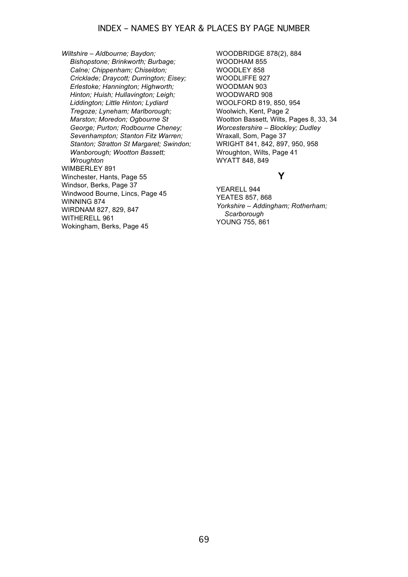*Wiltshire – Aldbourne; Baydon; Bishopstone; Brinkworth; Burbage; Calne; Chippenham; Chiseldon; Cricklade; Draycott; Durrington; Eisey; Erlestoke; Hannington; Highworth; Hinton; Huish; Hullavington; Leigh; Liddington; Little Hinton; Lydiard Tregoze; Lyneham; Marlborough; Marston; Moredon; Ogbourne St George; Purton; Rodbourne Cheney; Sevenhampton; Stanton Fitz Warren; Stanton; Stratton St Margaret; Swindon; Wanborough; Wootton Bassett; Wroughton* WIMBERLEY 891 Winchester, Hants, Page 55 Windsor, Berks, Page 37 Windwood Bourne, Lincs, Page 45 WINNING 874 WIRDNAM 827, 829, 847 WITHERELL 961 Wokingham, Berks, Page 45

WOODBRIDGE 878(2), 884 WOODHAM 855 WOODLEY 858 WOODLIFFE 927 WOODMAN 903 WOODWARD 908 WOOLFORD 819, 850, 954 Woolwich, Kent, Page 2 Wootton Bassett, Wilts, Pages 8, 33, 34 *Worcestershire – Blockley; Dudley* Wraxall, Som, Page 37 WRIGHT 841, 842, 897, 950, 958 Wroughton, Wilts, Page 41 WYATT 848, 849

### **Y**

YEARELL 944 YEATES 857, 868 *Yorkshire – Addingham; Rotherham; Scarborough* YOUNG 755, 861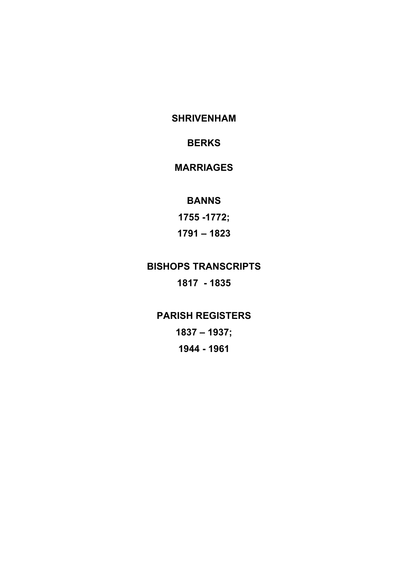**SHRIVENHAM**

# **BERKS**

# **MARRIAGES**

# **BANNS**

**1755 -1772; 1791 – 1823**

# **BISHOPS TRANSCRIPTS 1817 - 1835**

**PARISH REGISTERS 1837 – 1937; 1944 - 1961**